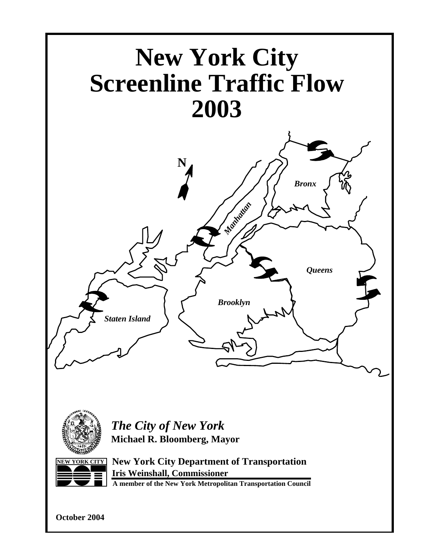



*The City of New York* **Michael R. Bloomberg, Mayor**



**NEW YORK CITY New York City Department of Transportation Iris Weinshall, Commissioner**

**A member of the New York Metropolitan Transportation Council**

**October 2004**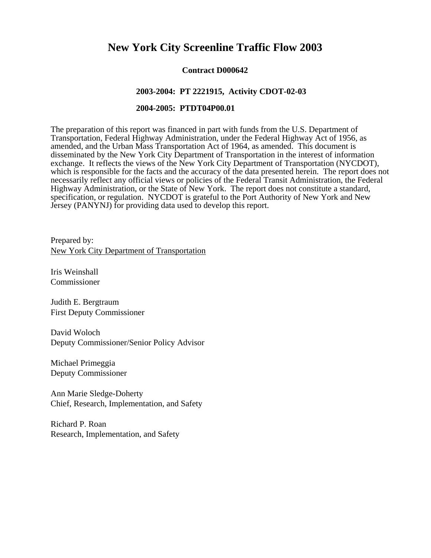# **New York City Screenline Traffic Flow 2003**

#### **Contract D000642**

#### **2003-2004: PT 2221915, Activity CDOT-02-03**

#### **2004-2005: PTDT04P00.01**

The preparation of this report was financed in part with funds from the U.S. Department of Transportation, Federal Highway Administration, under the Federal Highway Act of 1956, as amended, and the Urban Mass Transportation Act of 1964, as amended. This document is disseminated by the New York City Department of Transportation in the interest of information exchange. It reflects the views of the New York City Department of Transportation (NYCDOT), which is responsible for the facts and the accuracy of the data presented herein. The report does not necessarily reflect any official views or policies of the Federal Transit Administration, the Federal Highway Administration, or the State of New York. The report does not constitute a standard, specification, or regulation. NYCDOT is grateful to the Port Authority of New York and New Jersey (PANYNJ) for providing data used to develop this report.

Prepared by: New York City Department of Transportation

Iris Weinshall Commissioner

Judith E. Bergtraum First Deputy Commissioner

David Woloch Deputy Commissioner/Senior Policy Advisor

Michael Primeggia Deputy Commissioner

Ann Marie Sledge-Doherty Chief, Research, Implementation, and Safety

Richard P. Roan Research, Implementation, and Safety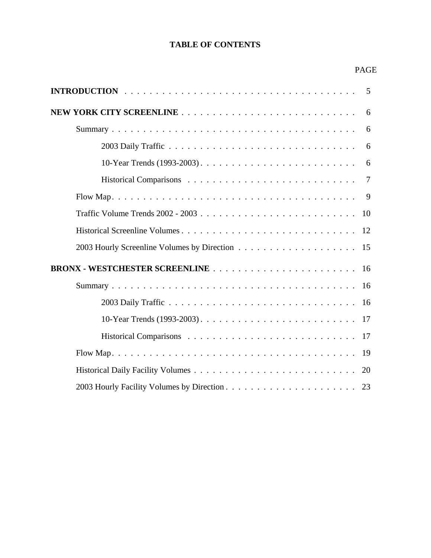# **TABLE OF CONTENTS**

#### PAGE

| 6              |
|----------------|
| 6              |
| 6              |
| 6              |
| $\overline{7}$ |
|                |
|                |
|                |
|                |
| 16             |
| 16             |
| 16             |
|                |
|                |
|                |
| 20             |
|                |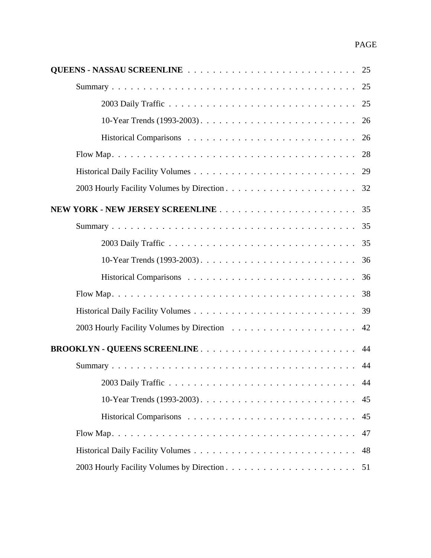|                                     | 25 |
|-------------------------------------|----|
|                                     | 25 |
| 2003 Daily Traffic                  | 25 |
|                                     | 26 |
|                                     | 26 |
|                                     | 28 |
|                                     | 29 |
|                                     | 32 |
|                                     | 35 |
|                                     | 35 |
|                                     | 35 |
|                                     | 36 |
|                                     | 36 |
|                                     | 38 |
|                                     | 39 |
|                                     | 42 |
| <b>BROOKLYN - QUEENS SCREENLINE</b> | 44 |
|                                     | 44 |
|                                     | 44 |
|                                     | 45 |
|                                     | 45 |
|                                     | 47 |
|                                     | 48 |
|                                     | 51 |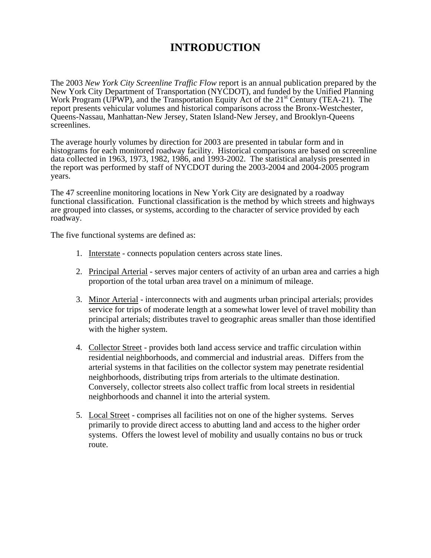# **INTRODUCTION**

The 2003 *New York City Screenline Traffic Flow* report is an annual publication prepared by the New York City Department of Transportation (NYCDOT), and funded by the Unified Planning Work Program (UPWP), and the Transportation Equity Act of the 21<sup>st</sup> Century (TEA-21). The report presents vehicular volumes and historical comparisons across the Bronx-Westchester, Queens-Nassau, Manhattan-New Jersey, Staten Island-New Jersey, and Brooklyn-Queens screenlines.

The average hourly volumes by direction for 2003 are presented in tabular form and in histograms for each monitored roadway facility. Historical comparisons are based on screenline data collected in 1963, 1973, 1982, 1986, and 1993-2002. The statistical analysis presented in the report was performed by staff of NYCDOT during the 2003-2004 and 2004-2005 program years.

The 47 screenline monitoring locations in New York City are designated by a roadway functional classification. Functional classification is the method by which streets and highways are grouped into classes, or systems, according to the character of service provided by each roadway.

The five functional systems are defined as:

- 1. Interstate connects population centers across state lines.
- 2. Principal Arterial serves major centers of activity of an urban area and carries a high proportion of the total urban area travel on a minimum of mileage.
- 3. Minor Arterial interconnects with and augments urban principal arterials; provides service for trips of moderate length at a somewhat lower level of travel mobility than principal arterials; distributes travel to geographic areas smaller than those identified with the higher system.
- 4. Collector Street provides both land access service and traffic circulation within residential neighborhoods, and commercial and industrial areas. Differs from the arterial systems in that facilities on the collector system may penetrate residential neighborhoods, distributing trips from arterials to the ultimate destination. Conversely, collector streets also collect traffic from local streets in residential neighborhoods and channel it into the arterial system.
- 5. Local Street comprises all facilities not on one of the higher systems. Serves primarily to provide direct access to abutting land and access to the higher order systems. Offers the lowest level of mobility and usually contains no bus or truck route.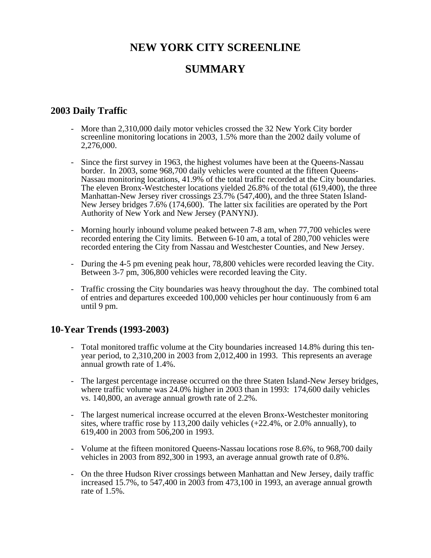# **NEW YORK CITY SCREENLINE**

# **SUMMARY**

# **2003 Daily Traffic**

- More than 2,310,000 daily motor vehicles crossed the 32 New York City border screenline monitoring locations in 2003, 1.5% more than the 2002 daily volume of 2,276,000.
- Since the first survey in 1963, the highest volumes have been at the Queens-Nassau border. In 2003, some 968,700 daily vehicles were counted at the fifteen Queens-Nassau monitoring locations, 41.9% of the total traffic recorded at the City boundaries. The eleven Bronx-Westchester locations yielded 26.8% of the total (619,400), the three Manhattan-New Jersey river crossings 23.7% (547,400), and the three Staten Island-New Jersey bridges 7.6% (174,600). The latter six facilities are operated by the Port Authority of New York and New Jersey (PANYNJ).
- Morning hourly inbound volume peaked between 7-8 am, when 77,700 vehicles were recorded entering the City limits. Between 6-10 am, a total of 280,700 vehicles were recorded entering the City from Nassau and Westchester Counties, and New Jersey.
- During the 4-5 pm evening peak hour, 78,800 vehicles were recorded leaving the City. Between 3-7 pm, 306,800 vehicles were recorded leaving the City.
- Traffic crossing the City boundaries was heavy throughout the day. The combined total of entries and departures exceeded 100,000 vehicles per hour continuously from 6 am until 9 pm.

# **10-Year Trends (1993-2003)**

- Total monitored traffic volume at the City boundaries increased 14.8% during this tenyear period, to 2,310,200 in 2003 from 2,012,400 in 1993. This represents an average annual growth rate of 1.4%.
- The largest percentage increase occurred on the three Staten Island-New Jersey bridges, where traffic volume was 24.0% higher in 2003 than in 1993: 174,600 daily vehicles vs. 140,800, an average annual growth rate of 2.2%.
- The largest numerical increase occurred at the eleven Bronx-Westchester monitoring sites, where traffic rose by 113,200 daily vehicles  $(+22.4\%$ , or 2.0% annually), to 619,400 in 2003 from 506,200 in 1993.
- Volume at the fifteen monitored Queens-Nassau locations rose 8.6%, to 968,700 daily vehicles in 2003 from 892,300 in 1993, an average annual growth rate of 0.8%.
- On the three Hudson River crossings between Manhattan and New Jersey, daily traffic increased 15.7%, to 547,400 in 2003 from 473,100 in 1993, an average annual growth rate of 1.5%.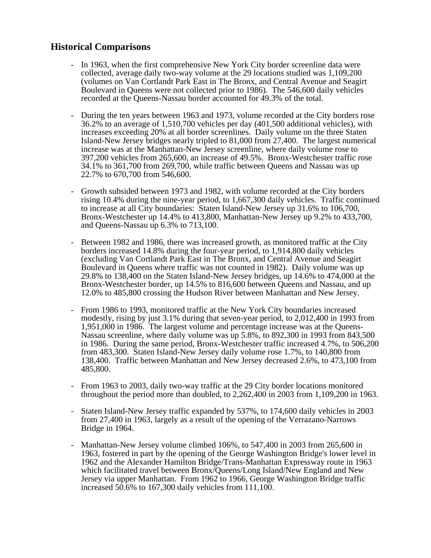# **Historical Comparisons**

- In 1963, when the first comprehensive New York City border screenline data were collected, average daily two-way volume at the 29 locations studied was 1,109,200 (volumes on Van Cortlandt Park East in The Bronx, and Central Avenue and Seagirt Boulevard in Queens were not collected prior to 1986). The 546,600 daily vehicles recorded at the Queens-Nassau border accounted for 49.3% of the total.
- During the ten years between 1963 and 1973, volume recorded at the City borders rose 36.2% to an average of 1,510,700 vehicles per day (401,500 additional vehicles), with increases exceeding 20% at all border screenlines. Daily volume on the three Staten Island-New Jersey bridges nearly tripled to 81,000 from 27,400. The largest numerical increase was at the Manhattan-New Jersey screenline, where daily volume rose to 397,200 vehicles from 265,600, an increase of 49.5%. Bronx-Westchester traffic rose 34.1% to 361,700 from 269,700, while traffic between Queens and Nassau was up 22.7% to 670,700 from 546,600.
- Growth subsided between 1973 and 1982, with volume recorded at the City borders rising 10.4% during the nine-year period, to 1,667,300 daily vehicles. Traffic continued to increase at all City boundaries: Staten Island-New Jersey up 31.6% to 106,700, Bronx-Westchester up 14.4% to 413,800, Manhattan-New Jersey up 9.2% to 433,700, and Queens-Nassau up 6.3% to 713,100.
- Between 1982 and 1986, there was increased growth, as monitored traffic at the City borders increased 14.8% during the four-year period, to 1,914,800 daily vehicles (excluding Van Cortlandt Park East in The Bronx, and Central Avenue and Seagirt Boulevard in Queens where traffic was not counted in 1982). Daily volume was up 29.8% to 138,400 on the Staten Island-New Jersey bridges, up 14.6% to 474,000 at the Bronx-Westchester border, up 14.5% to 816,600 between Queens and Nassau, and up 12.0% to 485,800 crossing the Hudson River between Manhattan and New Jersey.
- From 1986 to 1993, monitored traffic at the New York City boundaries increased modestly, rising by just 3.1% during that seven-year period, to 2,012,400 in 1993 from 1,951,000 in 1986. The largest volume and percentage increase was at the Queens-Nassau screenline, where daily volume was up 5.8%, to 892,300 in 1993 from 843,500 in 1986. During the same period, Bronx-Westchester traffic increased 4.7%, to 506,200 from 483,300. Staten Island-New Jersey daily volume rose 1.7%, to 140,800 from 138,400. Traffic between Manhattan and New Jersey decreased 2.6%, to 473,100 from 485,800.
- From 1963 to 2003, daily two-way traffic at the 29 City border locations monitored throughout the period more than doubled, to 2,262,400 in 2003 from 1,109,200 in 1963.
- Staten Island-New Jersey traffic expanded by 537%, to 174,600 daily vehicles in 2003 from 27,400 in 1963, largely as a result of the opening of the Verrazano-Narrows Bridge in 1964.
- Manhattan-New Jersey volume climbed 106%, to 547,400 in 2003 from 265,600 in 1963, fostered in part by the opening of the George Washington Bridge's lower level in 1962 and the Alexander Hamilton Bridge/Trans-Manhattan Expressway route in 1963 which facilitated travel between Bronx/Queens/Long Island/New England and New Jersey via upper Manhattan. From 1962 to 1966, George Washington Bridge traffic increased 50.6% to 167,300 daily vehicles from 111,100.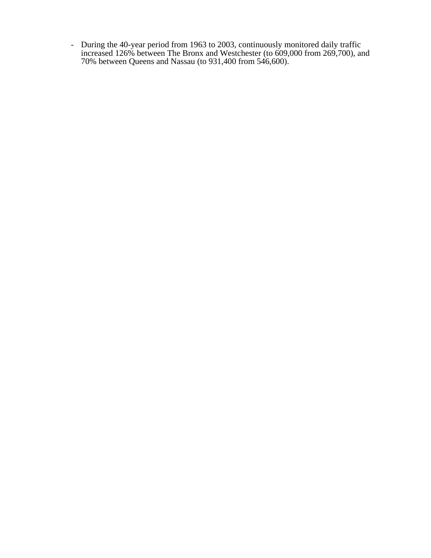- During the 40-year period from 1963 to 2003, continuously monitored daily traffic increased 126% between The Bronx and Westchester (to 609,000 from 269,700), and 70% between Queens and Nassau (to 931,400 from 546,600).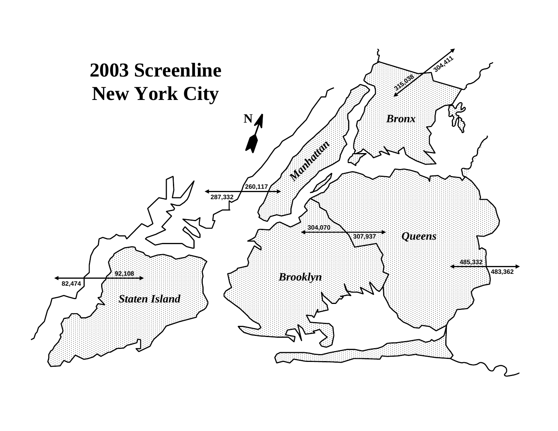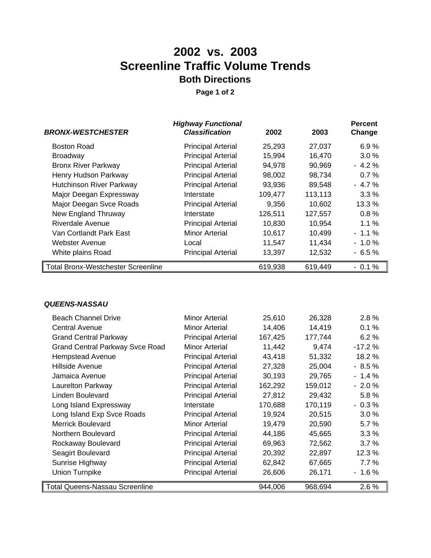# **2002 vs. 2003 Screenline Traffic Volume Trends Both Directions**

**Page 1 of 2**

|                                           | <b>Highway Functional</b> |         |         | <b>Percent</b> |
|-------------------------------------------|---------------------------|---------|---------|----------------|
| <b>BRONX-WESTCHESTER</b>                  | <b>Classification</b>     | 2002    | 2003    | Change         |
| <b>Boston Road</b>                        | <b>Principal Arterial</b> | 25,293  | 27,037  | 6.9%           |
| <b>Broadway</b>                           | <b>Principal Arterial</b> | 15,994  | 16,470  | $3.0\%$        |
| <b>Bronx River Parkway</b>                | <b>Principal Arterial</b> | 94,978  | 90,969  | $-4.2%$        |
| Henry Hudson Parkway                      | <b>Principal Arterial</b> | 98,002  | 98,734  | 0.7%           |
| <b>Hutchinson River Parkway</b>           | <b>Principal Arterial</b> | 93,936  | 89,548  | $-4.7%$        |
| Major Deegan Expressway                   | Interstate                | 109,477 | 113,113 | 3.3%           |
| Major Deegan Svce Roads                   | <b>Principal Arterial</b> | 9,356   | 10,602  | 13.3 %         |
| New England Thruway                       | Interstate                | 126,511 | 127,557 | 0.8%           |
| <b>Riverdale Avenue</b>                   | <b>Principal Arterial</b> | 10,830  | 10,954  | $1.1\%$        |
| Van Cortlandt Park East                   | <b>Minor Arterial</b>     | 10,617  | 10,499  | $-1.1%$        |
| Webster Avenue                            | Local                     | 11,547  | 11,434  | $-1.0%$        |
| White plains Road                         | <b>Principal Arterial</b> | 13,397  | 12,532  | $-6.5%$        |
| <b>Total Bronx-Westchester Screenline</b> |                           | 619,938 | 619,449 | $-0.1%$        |

#### *QUEENS-NASSAU*

| <b>Beach Channel Drive</b>             | <b>Minor Arterial</b>     | 25,610  | 26,328  | 2.8%     |
|----------------------------------------|---------------------------|---------|---------|----------|
| Central Avenue                         | <b>Minor Arterial</b>     | 14,406  | 14,419  | 0.1%     |
| <b>Grand Central Parkway</b>           | <b>Principal Arterial</b> | 167,425 | 177,744 | 6.2%     |
| <b>Grand Central Parkway Svce Road</b> | Minor Arterial            | 11,442  | 9,474   | $-17.2%$ |
| <b>Hempstead Avenue</b>                | <b>Principal Arterial</b> | 43,418  | 51,332  | 18.2 %   |
| Hillside Avenue                        | <b>Principal Arterial</b> | 27,328  | 25,004  | $-8.5%$  |
| Jamaica Avenue                         | <b>Principal Arterial</b> | 30,193  | 29,765  | $-1.4%$  |
| Laurelton Parkway                      | <b>Principal Arterial</b> | 162,292 | 159,012 | $-2.0%$  |
| Linden Boulevard                       | <b>Principal Arterial</b> | 27,812  | 29,432  | 5.8%     |
| Long Island Expressway                 | Interstate                | 170,688 | 170,119 | $-0.3%$  |
| Long Island Exp Svce Roads             | <b>Principal Arterial</b> | 19,924  | 20,515  | $3.0\%$  |
| <b>Merrick Boulevard</b>               | <b>Minor Arterial</b>     | 19,479  | 20,590  | 5.7%     |
| Northern Boulevard                     | <b>Principal Arterial</b> | 44,186  | 45,665  | 3.3%     |
| Rockaway Boulevard                     | <b>Principal Arterial</b> | 69,963  | 72,562  | 3.7%     |
| Seagirt Boulevard                      | <b>Principal Arterial</b> | 20,392  | 22,897  | 12.3 %   |
| Sunrise Highway                        | <b>Principal Arterial</b> | 62,842  | 67,665  | 7.7%     |
| <b>Union Turnpike</b>                  | <b>Principal Arterial</b> | 26,606  | 26,171  | $-1.6%$  |
| <b>Total Queens-Nassau Screenline</b>  |                           | 944,006 | 968,694 | 2.6 %    |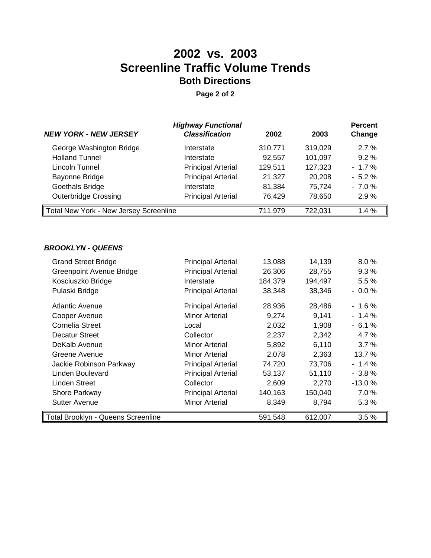# **2002 vs. 2003 Screenline Traffic Volume Trends Both Directions**

**Page 2 of 2**

| <b>NEW YORK - NEW JERSEY</b>           | <b>Highway Functional</b><br><b>Classification</b> | 2002    | 2003    | <b>Percent</b><br>Change |
|----------------------------------------|----------------------------------------------------|---------|---------|--------------------------|
| George Washington Bridge               | Interstate                                         | 310,771 | 319,029 | 2.7%                     |
| <b>Holland Tunnel</b>                  | Interstate                                         | 92,557  | 101,097 | $9.2\%$                  |
| Lincoln Tunnel                         | <b>Principal Arterial</b>                          | 129,511 | 127,323 | $-1.7\%$                 |
| Bayonne Bridge                         | <b>Principal Arterial</b>                          | 21,327  | 20,208  | $-5.2\%$                 |
| Goethals Bridge                        | Interstate                                         | 81,384  | 75,724  | $-7.0%$                  |
| <b>Outerbridge Crossing</b>            | <b>Principal Arterial</b>                          | 76,429  | 78,650  | 2.9%                     |
| Total New York - New Jersey Screenline |                                                    | 711,979 | 722,031 | 1.4%                     |

#### *BROOKLYN - QUEENS*

| <b>Grand Street Bridge</b>         | <b>Principal Arterial</b> | 13,088  | 14,139  | 8.0%     |
|------------------------------------|---------------------------|---------|---------|----------|
| <b>Greenpoint Avenue Bridge</b>    | <b>Principal Arterial</b> | 26,306  | 28,755  | 9.3%     |
| Kosciuszko Bridge                  | Interstate                | 184,379 | 194,497 | $5.5\%$  |
| Pulaski Bridge                     | <b>Principal Arterial</b> | 38,348  | 38,346  | $-0.0%$  |
| <b>Atlantic Avenue</b>             | <b>Principal Arterial</b> | 28,936  | 28,486  | $-1.6%$  |
| Cooper Avenue                      | Minor Arterial            | 9,274   | 9,141   | $-1.4%$  |
| Cornelia Street                    | Local                     | 2,032   | 1,908   | $-6.1%$  |
| <b>Decatur Street</b>              | Collector                 | 2,237   | 2,342   | 4.7 %    |
| DeKalb Avenue                      | Minor Arterial            | 5,892   | 6,110   | 3.7%     |
| Greene Avenue                      | Minor Arterial            | 2,078   | 2,363   | 13.7 %   |
| Jackie Robinson Parkway            | <b>Principal Arterial</b> | 74,720  | 73,706  | $-1.4%$  |
| Linden Boulevard                   | <b>Principal Arterial</b> | 53,137  | 51,110  | $-3.8\%$ |
| Linden Street                      | Collector                 | 2,609   | 2,270   | $-13.0%$ |
| Shore Parkway                      | <b>Principal Arterial</b> | 140,163 | 150,040 | 7.0%     |
| <b>Sutter Avenue</b>               | <b>Minor Arterial</b>     | 8,349   | 8,794   | 5.3%     |
| Total Brooklyn - Queens Screenline |                           | 591,548 | 612,007 | 3.5%     |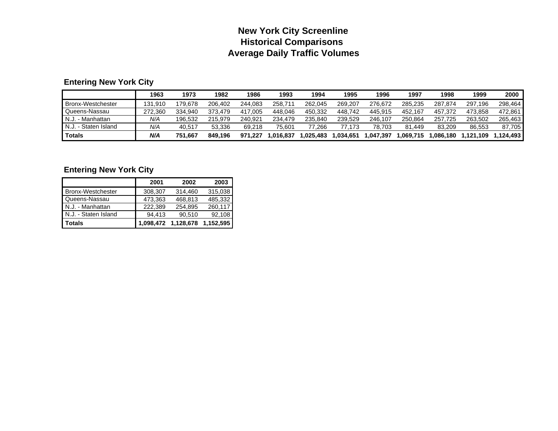# **New York City Screenline Historical Comparisons Average Daily Traffic Volumes**

# **Entering New York City**

|                        | 1963    | 1973    | 1982    | 1986    | 1993      | 1994      | 1995       | 1996     | 1997     | 1998     | 1999     | 2000     |
|------------------------|---------|---------|---------|---------|-----------|-----------|------------|----------|----------|----------|----------|----------|
| Bronx-Westchester      | 131.910 | 79.678  | 206.402 | 244.083 | 258.711   | 262.045   | 269.207    | 276.672  | 285.235  | 287.874  | 297.196  | 298.464  |
| Queens-Nassau          | 272.360 | 334.940 | 373.479 | 417.005 | 448.046   | 450.332   | 448.742    | 445.915  | 452.167  | 457.372  | 473.858  | 472.861  |
| N.J.<br>. - Manhattan  | N/A     | 196.532 | 215.979 | 240.921 | 234.479   | 235.840   | 239.529    | 246.107  | 250.864  | 257.725  | 263.502  | 265.463  |
| I N.J. - Staten Island | N/A     | 40.517  | 53.336  | 69.218  | 75.601    | 77.266    | 173:       | 78.703   | 81.449   | 83.209   | 86.553   | 87,705   |
| <b>Totals</b>          | N/A     | 751.667 | 849.196 | 971.227 | 1.016.837 | 1.025.483 | 034.651. ا | ,047,397 | .069,715 | .086.180 | .121.109 | .124.493 |

## **Entering New York City**

|                          | 2001    | 2002                | 2003      |
|--------------------------|---------|---------------------|-----------|
| <b>Bronx-Westchester</b> | 308,307 | 314.460             | 315,038   |
| Queens-Nassau            | 473.363 | 468.813             | 485.332   |
| N.J. - Manhattan         | 222.389 | 254.895             | 260.117   |
| N.J. - Staten Island     | 94.413  | 90,510              | 92,108    |
| Totals                   |         | 1,098,472 1,128,678 | 1,152,595 |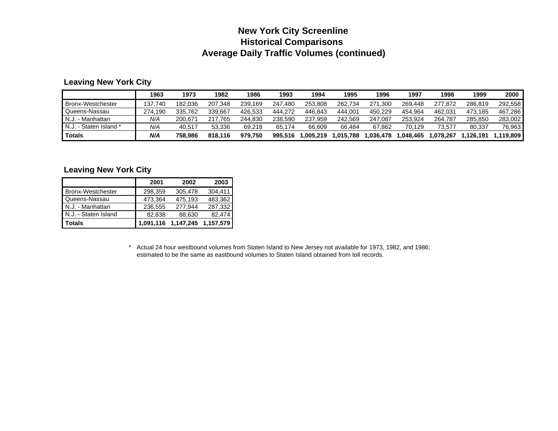# **New York City Screenline Historical Comparisons Average Daily Traffic Volumes (continued)**

#### **Leaving New York City**

|                          | 1963    | 1973    | 1982        | 1986    | 1993    | 1994     | 1995      | 1996        | 1997     | 1998     | 1999      | 2000       |
|--------------------------|---------|---------|-------------|---------|---------|----------|-----------|-------------|----------|----------|-----------|------------|
| <b>Bronx-Westchester</b> | 37.740  | 182.036 | 207.348     | 239.169 | 247.480 | 253.808  | 262.734   | 271<br>.300 | 269.448  | 277.872  | 286.819   | 292.558    |
| Queens-Nassau            | 274.190 | 335.762 | 339.667     | 426.533 | 444.272 | 446.843  | 444.001   | 450.229     | 454.964  | 462.031  | 473.185   | 467,286    |
| I N.J.<br>. - Manhattan  | N/A     | 200.671 | 765'<br>217 | 244.830 | 238.590 | 237.959  | 242.569   | 247.087     | 253.924  | 264.787  | 285.850   | 283.002    |
| N.J. - Staten Island *   | N/A     | 40.517  | 53.336      | 69.218  | 65.174  | 66.609   | 66.484    | 67.862      | 70.129   | 73.577   | 80.337    | 76,963     |
| <b>Totals</b>            | N/A     | 758.986 | 818.116     | 979.750 | 995.516 | .005.219 | 1,015.788 | .036.478    | .048.465 | .078.267 | ',126,191 | ا 119.809. |

#### **Leaving New York City**

|                          | 2001    | 2002                          | 2003    |
|--------------------------|---------|-------------------------------|---------|
| <b>Bronx-Westchester</b> | 298,359 | 305,478                       | 304,411 |
| Queens-Nassau            | 473,364 | 475,193                       | 483,362 |
| N.J. - Manhattan         | 236,555 | 277.944                       | 287,332 |
| N.J. - Staten Island     | 82,838  | 88,630                        | 82,474  |
| <b>Totals</b>            |         | 1,091,116 1,147,245 1,157,579 |         |

\* Actual 24 hour westbound volumes from Staten Island to New Jersey not available for 1973, 1982, and 1986; estimated to be the same as eastbound volumes to Staten Island obtained from toll records.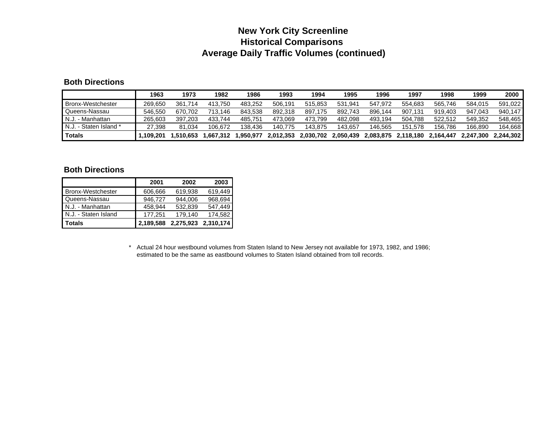# **New York City Screenline Historical Comparisons Average Daily Traffic Volumes (continued)**

#### **Both Directions**

|                          | 1963      | 1973         | 1982     | 1986     | 1993      | 1994      | 1995      | 1996      | 1997      | 1998      | 1999      | 2000      |
|--------------------------|-----------|--------------|----------|----------|-----------|-----------|-----------|-----------|-----------|-----------|-----------|-----------|
| <b>Bronx-Westchester</b> | 269.650   | 361.<br>.714 | 413.750  | 483.252  | 506.191   | 515.853   | 531.941   | 547.972   | 554.683   | 565.746   | 584.015   | 591.022   |
| Queens-Nassau            | 546.550   | 670.702      | 713.146  | 843.538  | 892.318   | 897.175   | 892.743   | 896.144   | 907.131   | 919.403   | 947.043   | 940.147   |
| N.J.<br>. - Manhattan    | 265.603   | 397.203      | 433.744  | 485.751  | 473.069   | 473.799   | 482.098   | 493.194   | 504.788   | 522.512   | 549.352   | 548.465   |
| N.J. - Staten Island *   | 27.398    | 81.034       | 106.672  | 138.436  | 140.775   | 143.875   | 143.657   | 146.565   | 151.578   | 156.786   | 166.890   | 164.668   |
| <b>Totals</b>            | 109.201.، | .510.653     | .667.312 | .950.977 | 2.012.353 | 2,030,702 | 2.050.439 | 2.083.875 | 2.118.180 | 2.164.447 | 2.247.300 | 2.244.302 |

#### **Both Directions**

|                          | 2001      | 2002      | 2003      |
|--------------------------|-----------|-----------|-----------|
| <b>Bronx-Westchester</b> | 606,666   | 619,938   | 619,449   |
| Queens-Nassau            | 946.727   | 944.006   | 968,694   |
| N.J. - Manhattan         | 458.944   | 532,839   | 547.449   |
| N.J. - Staten Island     | 177.251   | 179,140   | 174,582   |
| <b>Totals</b>            | 2,189,588 | 2,275,923 | 2,310,174 |

\* Actual 24 hour westbound volumes from Staten Island to New Jersey not available for 1973, 1982, and 1986; estimated to be the same as eastbound volumes to Staten Island obtained from toll records.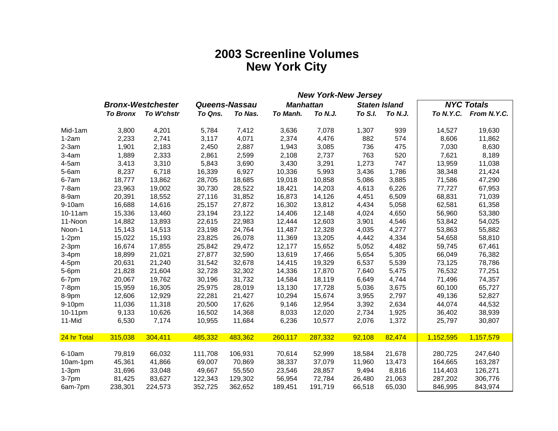# **2003 Screenline Volumes New York City**

|             |                 |                          |         |               | <b>New York-New Jersey</b> |                  |         |                      |           |                       |
|-------------|-----------------|--------------------------|---------|---------------|----------------------------|------------------|---------|----------------------|-----------|-----------------------|
|             |                 | <b>Bronx-Westchester</b> |         | Queens-Nassau |                            | <b>Manhattan</b> |         | <b>Staten Island</b> |           | <b>NYC Totals</b>     |
|             | <b>To Bronx</b> | To W'chstr               | To Qns. | To Nas.       | To Manh.                   | To N.J.          | To S.I. | To N.J.              |           | To N.Y.C. From N.Y.C. |
| Mid-1am     | 3,800           | 4,201                    | 5,784   | 7,412         | 3,636                      | 7,078            | 1,307   | 939                  | 14,527    | 19,630                |
| $1-2am$     | 2,233           | 2,741                    | 3,117   | 4,071         | 2,374                      | 4,476            | 882     | 574                  | 8,606     | 11,862                |
| $2-3am$     | 1,901           | 2,183                    | 2,450   | 2,887         | 1,943                      | 3,085            | 736     | 475                  | 7,030     | 8,630                 |
| $3-4am$     | 1,889           | 2,333                    | 2,861   | 2,599         | 2,108                      | 2,737            | 763     | 520                  | 7,621     | 8,189                 |
| 4-5am       | 3,413           | 3,310                    | 5,843   | 3,690         | 3,430                      | 3,291            | 1,273   | 747                  | 13,959    | 11,038                |
| $5-6am$     | 8,237           | 6,718                    | 16,339  | 6,927         | 10,336                     | 5,993            | 3,436   | 1,786                | 38,348    | 21,424                |
| 6-7am       | 18,777          | 13,862                   | 28,705  | 18,685        | 19,018                     | 10,858           | 5,086   | 3,885                | 71,586    | 47,290                |
| $7-8am$     | 23,963          | 19,002                   | 30,730  | 28,522        | 18,421                     | 14,203           | 4,613   | 6,226                | 77,727    | 67,953                |
| 8-9am       | 20,391          | 18,552                   | 27,116  | 31,852        | 16,873                     | 14,126           | 4,451   | 6,509                | 68,831    | 71,039                |
| 9-10am      | 16,688          | 14,616                   | 25,157  | 27,872        | 16,302                     | 13,812           | 4,434   | 5,058                | 62,581    | 61,358                |
| 10-11am     | 15,336          | 13,460                   | 23,194  | 23,122        | 14,406                     | 12,148           | 4,024   | 4,650                | 56,960    | 53,380                |
| 11-Noon     | 14,882          | 13,893                   | 22,615  | 22,983        | 12,444                     | 12,603           | 3,901   | 4,546                | 53,842    | 54,025                |
| Noon-1      | 15,143          | 14,513                   | 23,198  | 24,764        | 11,487                     | 12,328           | 4,035   | 4,277                | 53,863    | 55,882                |
| $1-2pm$     | 15,022          | 15,193                   | 23,825  | 26,078        | 11,369                     | 13,205           | 4,442   | 4,334                | 54,658    | 58,810                |
| $2-3pm$     | 16,674          | 17,855                   | 25,842  | 29,472        | 12,177                     | 15,652           | 5,052   | 4,482                | 59,745    | 67,461                |
| $3-4pm$     | 18,899          | 21,021                   | 27,877  | 32,590        | 13,619                     | 17,466           | 5,654   | 5,305                | 66,049    | 76,382                |
| $4-5pm$     | 20,631          | 21,240                   | 31,542  | 32,678        | 14,415                     | 19,329           | 6,537   | 5,539                | 73,125    | 78,786                |
| 5-6pm       | 21,828          | 21,604                   | 32,728  | 32,302        | 14,336                     | 17,870           | 7,640   | 5,475                | 76,532    | 77,251                |
| 6-7pm       | 20,067          | 19,762                   | 30,196  | 31,732        | 14,584                     | 18,119           | 6,649   | 4,744                | 71,496    | 74,357                |
| $7-8pm$     | 15,959          | 16,305                   | 25,975  | 28,019        | 13,130                     | 17,728           | 5,036   | 3,675                | 60,100    | 65,727                |
| 8-9pm       | 12,606          | 12,929                   | 22,281  | 21,427        | 10,294                     | 15,674           | 3,955   | 2,797                | 49,136    | 52,827                |
| 9-10pm      | 11,036          | 11,318                   | 20,500  | 17,626        | 9,146                      | 12,954           | 3,392   | 2,634                | 44,074    | 44,532                |
| 10-11pm     | 9,133           | 10,626                   | 16,502  | 14,368        | 8,033                      | 12,020           | 2,734   | 1,925                | 36,402    | 38,939                |
| 11-Mid      | 6,530           | 7,174                    | 10,955  | 11,684        | 6,236                      | 10,577           | 2,076   | 1,372                | 25,797    | 30,807                |
| 24 hr Total | 315,038         | 304,411                  | 485,332 | 483,362       | 260,117                    | 287,332          | 92,108  | 82,474               | 1,152,595 | 1,157,579             |
| 6-10am      | 79,819          | 66,032                   | 111,708 | 106,931       | 70,614                     | 52,999           | 18,584  | 21,678               | 280,725   | 247,640               |
| 10am-1pm    | 45,361          | 41,866                   | 69,007  | 70,869        | 38,337                     | 37,079           | 11,960  | 13,473               | 164,665   | 163,287               |
| $1-3pm$     | 31,696          | 33,048                   | 49,667  | 55,550        | 23,546                     | 28,857           | 9,494   | 8,816                | 114,403   | 126,271               |
| 3-7pm       | 81,425          | 83,627                   | 122,343 | 129,302       | 56,954                     | 72,784           | 26,480  | 21,063               | 287,202   | 306,776               |
| 6am-7pm     | 238,301         | 224,573                  | 352,725 | 362,652       | 189,451                    | 191,719          | 66,518  | 65,030               | 846,995   | 843,974               |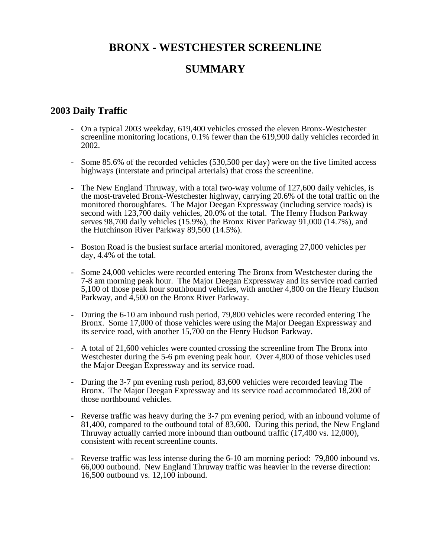# **BRONX - WESTCHESTER SCREENLINE**

# **SUMMARY**

# **2003 Daily Traffic**

- On a typical 2003 weekday, 619,400 vehicles crossed the eleven Bronx-Westchester screenline monitoring locations, 0.1% fewer than the 619,900 daily vehicles recorded in 2002.
- Some 85.6% of the recorded vehicles (530,500 per day) were on the five limited access highways (interstate and principal arterials) that cross the screenline.
- The New England Thruway, with a total two-way volume of 127,600 daily vehicles, is the most-traveled Bronx-Westchester highway, carrying 20.6% of the total traffic on the monitored thoroughfares. The Major Deegan Expressway (including service roads) is second with 123,700 daily vehicles, 20.0% of the total. The Henry Hudson Parkway serves 98,700 daily vehicles (15.9%), the Bronx River Parkway 91,000 (14.7%), and the Hutchinson River Parkway 89,500 (14.5%).
- Boston Road is the busiest surface arterial monitored, averaging 27,000 vehicles per day, 4.4% of the total.
- Some 24,000 vehicles were recorded entering The Bronx from Westchester during the 7-8 am morning peak hour. The Major Deegan Expressway and its service road carried 5,100 of those peak hour southbound vehicles, with another 4,800 on the Henry Hudson Parkway, and 4,500 on the Bronx River Parkway.
- During the 6-10 am inbound rush period, 79,800 vehicles were recorded entering The Bronx. Some 17,000 of those vehicles were using the Major Deegan Expressway and its service road, with another 15,700 on the Henry Hudson Parkway.
- A total of 21,600 vehicles were counted crossing the screenline from The Bronx into Westchester during the 5-6 pm evening peak hour. Over 4,800 of those vehicles used the Major Deegan Expressway and its service road.
- During the 3-7 pm evening rush period, 83,600 vehicles were recorded leaving The Bronx. The Major Deegan Expressway and its service road accommodated 18,200 of those northbound vehicles.
- Reverse traffic was heavy during the 3-7 pm evening period, with an inbound volume of 81,400, compared to the outbound total of 83,600. During this period, the New England Thruway actually carried more inbound than outbound traffic (17,400 vs. 12,000), consistent with recent screenline counts.
- Reverse traffic was less intense during the 6-10 am morning period: 79,800 inbound vs. 66,000 outbound. New England Thruway traffic was heavier in the reverse direction: 16,500 outbound vs. 12,100 inbound.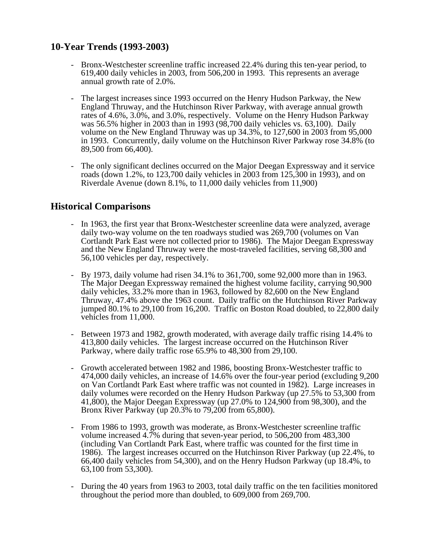# **10-Year Trends (1993-2003)**

- Bronx-Westchester screenline traffic increased 22.4% during this ten-year period, to 619,400 daily vehicles in 2003, from 506,200 in 1993. This represents an average annual growth rate of 2.0%.
- The largest increases since 1993 occurred on the Henry Hudson Parkway, the New England Thruway, and the Hutchinson River Parkway, with average annual growth rates of 4.6%, 3.0%, and 3.0%, respectively. Volume on the Henry Hudson Parkway was 56.5% higher in 2003 than in 1993 (98,700 daily vehicles vs. 63,100). Daily volume on the New England Thruway was up 34.3%, to 127,600 in 2003 from 95,000 in 1993. Concurrently, daily volume on the Hutchinson River Parkway rose 34.8% (to 89,500 from 66,400).
- The only significant declines occurred on the Major Deegan Expressway and it service roads (down 1.2%, to 123,700 daily vehicles in 2003 from 125,300 in 1993), and on Riverdale Avenue (down 8.1%, to 11,000 daily vehicles from 11,900)

# **Historical Comparisons**

- In 1963, the first year that Bronx-Westchester screenline data were analyzed, average daily two-way volume on the ten roadways studied was 269,700 (volumes on Van Cortlandt Park East were not collected prior to 1986). The Major Deegan Expressway and the New England Thruway were the most-traveled facilities, serving 68,300 and 56,100 vehicles per day, respectively.
- By 1973, daily volume had risen 34.1% to 361,700, some 92,000 more than in 1963. The Major Deegan Expressway remained the highest volume facility, carrying 90,900 daily vehicles, 33.2% more than in 1963, followed by 82,600 on the New England Thruway, 47.4% above the 1963 count. Daily traffic on the Hutchinson River Parkway jumped 80.1% to 29,100 from 16,200. Traffic on Boston Road doubled, to 22,800 daily vehicles from 11,000.
- Between 1973 and 1982, growth moderated, with average daily traffic rising 14.4% to 413,800 daily vehicles. The largest increase occurred on the Hutchinson River Parkway, where daily traffic rose 65.9% to 48,300 from 29,100.
- Growth accelerated between 1982 and 1986, boosting Bronx-Westchester traffic to 474,000 daily vehicles, an increase of 14.6% over the four-year period (excluding 9,200 on Van Cortlandt Park East where traffic was not counted in 1982). Large increases in daily volumes were recorded on the Henry Hudson Parkway (up 27.5% to 53,300 from 41,800), the Major Deegan Expressway (up 27.0% to 124,900 from 98,300), and the Bronx River Parkway (up 20.3% to 79,200 from 65,800).
- From 1986 to 1993, growth was moderate, as Bronx-Westchester screenline traffic volume increased 4.7% during that seven-year period, to 506,200 from 483,300 (including Van Cortlandt Park East, where traffic was counted for the first time in 1986). The largest increases occurred on the Hutchinson River Parkway (up 22.4%, to 66,400 daily vehicles from 54,300), and on the Henry Hudson Parkway (up 18.4%, to 63,100 from 53,300).
- During the 40 years from 1963 to 2003, total daily traffic on the ten facilities monitored throughout the period more than doubled, to 609,000 from 269,700.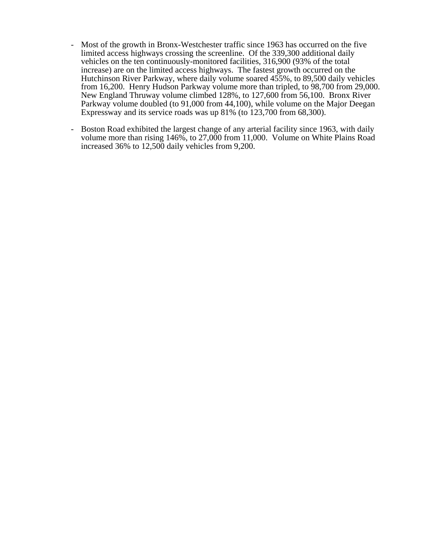- Most of the growth in Bronx-Westchester traffic since 1963 has occurred on the five limited access highways crossing the screenline. Of the 339,300 additional daily vehicles on the ten continuously-monitored facilities, 316,900 (93% of the total increase) are on the limited access highways. The fastest growth occurred on the Hutchinson River Parkway, where daily volume soared 455%, to 89,500 daily vehicles from 16,200. Henry Hudson Parkway volume more than tripled, to 98,700 from 29,000. New England Thruway volume climbed 128%, to 127,600 from 56,100. Bronx River Parkway volume doubled (to 91,000 from 44,100), while volume on the Major Deegan Expressway and its service roads was up 81% (to 123,700 from 68,300).
- Boston Road exhibited the largest change of any arterial facility since 1963, with daily volume more than rising 146%, to 27,000 from 11,000. Volume on White Plains Road increased 36% to 12,500 daily vehicles from 9,200.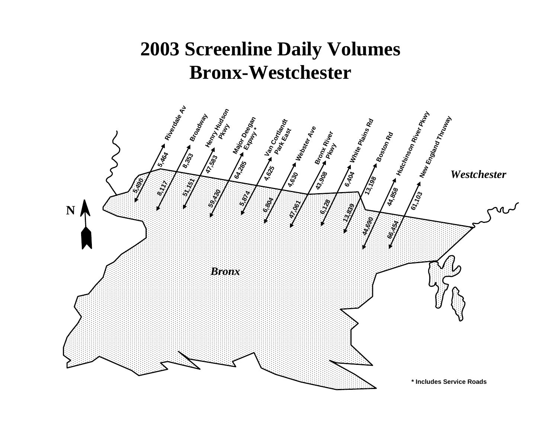# **2003 Screenline Daily Volumes Bronx-Westchester**

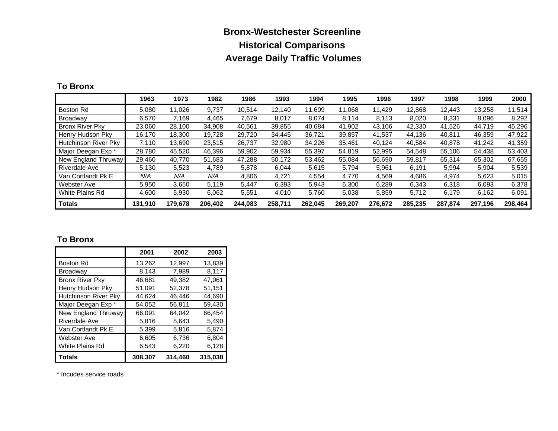# **Bronx-Westchester Screenline Historical Comparisons Average Daily Traffic Volumes**

#### **To Bronx**

|                             | 1963    | 1973      | 1982    | 1986    | 1993    | 1994    | 1995    | 1996    | 1997    | 1998    | 1999    | 2000    |
|-----------------------------|---------|-----------|---------|---------|---------|---------|---------|---------|---------|---------|---------|---------|
| <b>Boston Rd</b>            | 5.080   | .026<br>1 | 9,737   | 10.514  | 12.140  | 11,609  | 11,068  | 11.429  | 12,868  | 12.443  | 13,258  | 11,514  |
| Broadway                    | 6,570   | 7.169     | 4,465   | 7,679   | 8,017   | 8,074   | 8.114   | 8,113   | 8,020   | 8,331   | 8,096   | 8,292   |
| <b>Bronx River Pky</b>      | 23.060  | 28.100    | 34,908  | 40.561  | 39.855  | 40.684  | 41.902  | 43.106  | 42,330  | 41.526  | 44.719  | 45,296  |
| Henry Hudson Pky            | 16.170  | 18,300    | 19,728  | 29.720  | 34.445  | 36,721  | 39,857  | 41,537  | 44,136  | 40,811  | 46,359  | 47,922  |
| <b>Hutchinson River Pky</b> | 7.110   | 13.690    | 23,515  | 26.737  | 32,980  | 34,226  | 35,461  | 40,124  | 40.584  | 40.878  | 41,242  | 41,359  |
| Major Deegan Exp *          | 28,780  | 45,520    | 46,396  | 59,902  | 59,934  | 55,397  | 54,819  | 52,995  | 54,548  | 55,106  | 54,438  | 53,403  |
| New England Thruway         | 29.460  | 40.770    | 51,683  | 47.288  | 50.172  | 53,462  | 55,084  | 56,690  | 59,817  | 65.314  | 65,302  | 67,655  |
| <b>Riverdale Ave</b>        | 5,130   | 5,523     | 4,789   | 5,878   | 6,044   | 5,615   | 5.794   | 5,961   | 6,191   | 5,994   | 5,904   | 5,539   |
| Van Cortlandt Pk E          | N/A     | N/A       | N/A     | 4,806   | 4,721   | 4,554   | 4,770   | 4,569   | 4,686   | 4,974   | 5,623   | 5,015   |
| Webster Ave                 | 5,950   | 3,650     | 5,119   | 5,447   | 6,393   | 5,943   | 6,300   | 6,289   | 6,343   | 6,318   | 6,093   | 6,378   |
| White Plains Rd             | 4.600   | 5,930     | 6,062   | 5,551   | 4,010   | 5,760   | 6,038   | 5,859   | 5,712   | 6,179   | 6,162   | 6,091   |
| <b>Totals</b>               | 131.910 | 179.678   | 206.402 | 244.083 | 258.711 | 262.045 | 269.207 | 276.672 | 285.235 | 287.874 | 297.196 | 298,464 |

#### **To Bronx**

|                             | 2001    | 2002    | 2003    |
|-----------------------------|---------|---------|---------|
| Boston Rd                   | 13,262  | 12,997  | 13.839  |
| <b>Broadway</b>             | 8,143   | 7,989   | 8,117   |
| <b>Bronx River Pky</b>      | 46,681  | 49.382  | 47,061  |
| Henry Hudson Pky            | 51,091  | 52,378  | 51,151  |
| <b>Hutchinson River Pky</b> | 44.624  | 46.446  | 44.690  |
| Major Deegan Exp *          | 54.052  | 56,811  | 59.430  |
| New England Thruway         | 66,091  | 64,042  | 66,454  |
| <b>Riverdale Ave</b>        | 5.816   | 5.643   | 5,490   |
| Van Cortlandt Pk E          | 5,399   | 5,816   | 5,874   |
| <b>Webster Ave</b>          | 6,605   | 6,736   | 6,804   |
| White Plains Rd             | 6,543   | 6,220   | 6,128   |
| <b>Totals</b>               | 308,307 | 314.460 | 315,038 |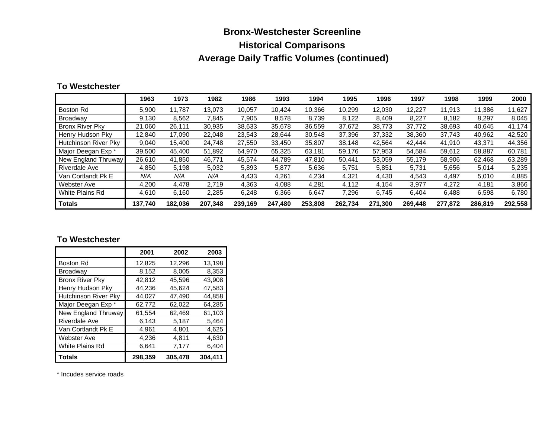# **Bronx-Westchester Screenline Historical Comparisons Average Daily Traffic Volumes (continued)**

#### **To Westchester**

|                             | 1963    | 1973    | 1982    | 1986    | 1993    | 1994    | 1995    | 1996    | 1997    | 1998    | 1999    | 2000    |
|-----------------------------|---------|---------|---------|---------|---------|---------|---------|---------|---------|---------|---------|---------|
| Boston Rd                   | 5,900   | 11.787  | 13.073  | 10.057  | 10.424  | 10,366  | 10.299  | 12,030  | 12,227  | 11,913  | 11.386  | 11,627  |
| Broadway                    | 9,130   | 8,562   | 7,845   | 7,905   | 8,578   | 8,739   | 8,122   | 8,409   | 8,227   | 8,182   | 8,297   | 8,045   |
| <b>Bronx River Pkv</b>      | 21,060  | 26.111  | 30,935  | 38.633  | 35.678  | 36,559  | 37.672  | 38.773  | 37.772  | 38.693  | 40.645  | 41.174  |
| Henry Hudson Pky            | 12,840  | 17.090  | 22,048  | 23,543  | 28,644  | 30,548  | 37,396  | 37,332  | 38,360  | 37,743  | 40,962  | 42,520  |
| <b>Hutchinson River Pky</b> | 9,040   | 15.400  | 24.748  | 27.550  | 33.450  | 35,807  | 38.148  | 42,564  | 42.444  | 41.910  | 43,371  | 44,356  |
| Major Deegan Exp *          | 39,500  | 45.400  | 51,892  | 64.970  | 65,325  | 63,181  | 59,176  | 57,953  | 54,584  | 59.612  | 58,887  | 60,781  |
| New England Thruway         | 26.610  | 41,850  | 46.771  | 45.574  | 44.789  | 47,810  | 50.441  | 53,059  | 55,179  | 58,906  | 62,468  | 63,289  |
| <b>Riverdale Ave</b>        | 4,850   | 5,198   | 5,032   | 5,893   | 5,877   | 5,636   | 5,751   | 5,851   | 5,731   | 5,656   | 5,014   | 5,235   |
| Van Cortlandt Pk E          | N/A     | N/A     | N/A     | 4,433   | 4.261   | 4,234   | 4,321   | 4,430   | 4,543   | 4,497   | 5,010   | 4,885   |
| Webster Ave                 | 4,200   | 4,478   | 2,719   | 4,363   | 4,088   | 4,281   | 4,112   | 4,154   | 3,977   | 4,272   | 4,181   | 3,866   |
| White Plains Rd             | 4.610   | 6,160   | 2,285   | 6,248   | 6,366   | 6,647   | 7,296   | 6,745   | 6.404   | 6,488   | 6,598   | 6,780   |
| <b>Totals</b>               | 137.740 | 182.036 | 207.348 | 239.169 | 247.480 | 253.808 | 262.734 | 271.300 | 269,448 | 277,872 | 286.819 | 292,558 |

#### **To Westchester**

|                        | 2001    | 2002    | 2003    |
|------------------------|---------|---------|---------|
| Boston Rd              | 12,825  | 12,296  | 13,198  |
| <b>Broadway</b>        | 8,152   | 8,005   | 8,353   |
| <b>Bronx River Pky</b> | 42,812  | 45.596  | 43,908  |
| Henry Hudson Pky       | 44,236  | 45,624  | 47,583  |
| Hutchinson River Pky   | 44.027  | 47.490  | 44.858  |
| Major Deegan Exp *     | 62,772  | 62,022  | 64.285  |
| New England Thruway    | 61,554  | 62,469  | 61,103  |
| <b>Riverdale Ave</b>   | 6,143   | 5,187   | 5,464   |
| Van Cortlandt Pk E     | 4,961   | 4,801   | 4,625   |
| <b>Webster Ave</b>     | 4,236   | 4,811   | 4,630   |
| White Plains Rd        | 6.641   | 7,177   | 6,404   |
| <b>Totals</b>          | 298,359 | 305,478 | 304,411 |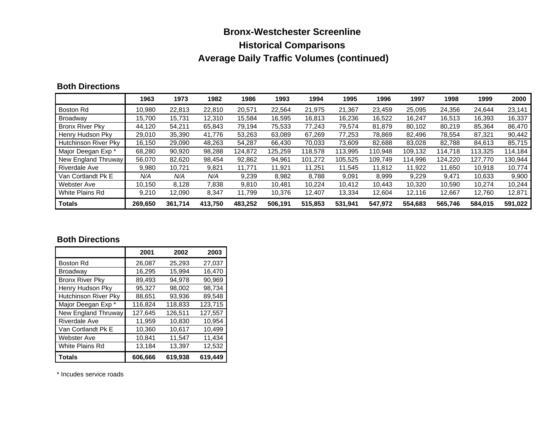# **Bronx-Westchester Screenline Historical Comparisons Average Daily Traffic Volumes (continued)**

#### **Both Directions**

|                             | 1963    | 1973    | 1982    | 1986    | 1993    | 1994    | 1995    | 1996    | 1997    | 1998    | 1999    | 2000    |
|-----------------------------|---------|---------|---------|---------|---------|---------|---------|---------|---------|---------|---------|---------|
| Boston Rd                   | 10.980  | 22.813  | 22.810  | 20.571  | 22.564  | 21.975  | 21.367  | 23.459  | 25,095  | 24,356  | 24.644  | 23,141  |
| Broadway                    | 15.700  | 15.731  | 12.310  | 15.584  | 16.595  | 16,813  | 16.236  | 16,522  | 16.247  | 16.513  | 16,393  | 16,337  |
| <b>Bronx River Pkv</b>      | 44.120  | 54.211  | 65,843  | 79.194  | 75.533  | 77,243  | 79.574  | 81.879  | 80,102  | 80.219  | 85.364  | 86,470  |
| Henry Hudson Pky            | 29,010  | 35,390  | 41.776  | 53,263  | 63,089  | 67,269  | 77,253  | 78,869  | 82,496  | 78.554  | 87,321  | 90,442  |
| <b>Hutchinson River Pky</b> | 16.150  | 29.090  | 48.263  | 54.287  | 66.430  | 70,033  | 73.609  | 82.688  | 83.028  | 82.788  | 84,613  | 85,715  |
| Major Deegan Exp *          | 68,280  | 90,920  | 98,288  | 124.872 | 125.259 | 118,578 | 113.995 | 110.948 | 109,132 | 114.718 | 113.325 | 114.184 |
| New England Thruway         | 56.070  | 82,620  | 98,454  | 92,862  | 94,961  | 101,272 | 105,525 | 109.749 | 114,996 | 124,220 | 127.770 | 130,944 |
| <b>Riverdale Ave</b>        | 9,980   | 10,721  | 9,821   | 11.771  | 11,921  | 11,251  | 11.545  | 11,812  | 11,922  | 11.650  | 10,918  | 10,774  |
| Van Cortlandt Pk E          | N/A     | N/A     | N/A     | 9,239   | 8,982   | 8,788   | 9,091   | 8,999   | 9,229   | 9,471   | 10,633  | 9,900   |
| Webster Ave                 | 10,150  | 8,128   | 7,838   | 9,810   | 10.481  | 10,224  | 10,412  | 10,443  | 10,320  | 10,590  | 10,274  | 10,244  |
| White Plains Rd             | 9,210   | 12,090  | 8,347   | 11.799  | 10.376  | 12,407  | 13,334  | 12.604  | 12,116  | 12,667  | 12,760  | 12,871  |
| <b>Totals</b>               | 269.650 | 361.714 | 413.750 | 483.252 | 506,191 | 515.853 | 531,941 | 547.972 | 554.683 | 565,746 | 584.015 | 591,022 |

#### **Both Directions**

|                        | 2001    | 2002    | 2003    |
|------------------------|---------|---------|---------|
| <b>Boston Rd</b>       | 26,087  | 25,293  | 27,037  |
| <b>Broadway</b>        | 16,295  | 15.994  | 16,470  |
| <b>Bronx River Pky</b> | 89,493  | 94.978  | 90,969  |
| Henry Hudson Pky       | 95,327  | 98.002  | 98,734  |
| Hutchinson River Pky   | 88,651  | 93,936  | 89,548  |
| Major Deegan Exp *     | 116,824 | 118.833 | 123,715 |
| New England Thruway    | 127,645 | 126,511 | 127,557 |
| <b>Riverdale Ave</b>   | 11,959  | 10,830  | 10,954  |
| Van Cortlandt Pk E     | 10,360  | 10,617  | 10,499  |
| <b>Webster Ave</b>     | 10,841  | 11,547  | 11,434  |
| White Plains Rd        | 13,184  | 13.397  | 12,532  |
| <b>Totals</b>          | 606,666 | 619,938 | 619,449 |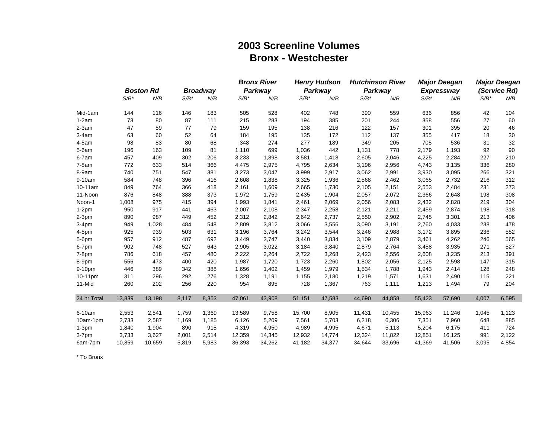# **2003 Screenline VolumesBronx - Westchester**

|             |         |                  |         |                 |         | <b>Bronx River</b> |         | <b>Henry Hudson</b> |         | <b>Hutchinson River</b> |         | <b>Major Deegan</b> |         | <b>Major Deegan</b> |
|-------------|---------|------------------|---------|-----------------|---------|--------------------|---------|---------------------|---------|-------------------------|---------|---------------------|---------|---------------------|
|             |         | <b>Boston Rd</b> |         | <b>Broadway</b> |         | Parkway            |         | Parkway             |         | Parkway                 |         | <b>Expressway</b>   |         | (Service Rd)        |
|             | $S/B^*$ | N/B              | $S/B^*$ | N/B             | $S/B^*$ | N/B                | $S/B^*$ | N/B                 | $S/B^*$ | N/B                     | $S/B^*$ | N/B                 | $S/B^*$ | N/B                 |
| Mid-1am     | 144     | 116              | 146     | 183             | 505     | 528                | 402     | 748                 | 390     | 559                     | 636     | 856                 | 42      | 104                 |
| $1-2am$     | 73      | 80               | 87      | 111             | 215     | 283                | 194     | 385                 | 201     | 244                     | 358     | 556                 | 27      | 60                  |
| $2-3am$     | 47      | 59               | 77      | 79              | 159     | 195                | 138     | 216                 | 122     | 157                     | 301     | 395                 | 20      | 46                  |
| $3-4am$     | 63      | 60               | 52      | 64              | 184     | 195                | 135     | 172                 | 112     | 137                     | 355     | 417                 | 18      | 30                  |
| $4-5am$     | 98      | 83               | 80      | 68              | 348     | 274                | 277     | 189                 | 349     | 205                     | 705     | 536                 | 31      | 32                  |
| $5-6am$     | 196     | 163              | 109     | 81              | 1,110   | 699                | 1,036   | 442                 | 1,131   | 778                     | 2,179   | 1,193               | 92      | 90                  |
| $6-7am$     | 457     | 409              | 302     | 206             | 3,233   | 1,898              | 3,581   | 1,418               | 2,605   | 2,046                   | 4,225   | 2,284               | 227     | 210                 |
| $7-8am$     | 772     | 633              | 514     | 366             | 4,475   | 2,975              | 4,795   | 2,634               | 3,196   | 2,956                   | 4,743   | 3,135               | 336     | 280                 |
| 8-9am       | 740     | 751              | 547     | 381             | 3,273   | 3,047              | 3,999   | 2,917               | 3,062   | 2,991                   | 3,930   | 3,095               | 266     | 321                 |
| 9-10am      | 584     | 748              | 396     | 416             | 2,608   | 1,838              | 3,325   | 1,936               | 2,568   | 2,462                   | 3,065   | 2,732               | 216     | 312                 |
| 10-11am     | 849     | 764              | 366     | 418             | 2,161   | 1,609              | 2,665   | 1,730               | 2,105   | 2,151                   | 2,553   | 2,484               | 231     | 273                 |
| 11-Noon     | 876     | 848              | 388     | 373             | 1,972   | 1,759              | 2,435   | 1,904               | 2,057   | 2,072                   | 2,366   | 2,648               | 198     | 308                 |
| Noon-1      | 1,008   | 975              | 415     | 394             | 1,993   | 1,841              | 2,461   | 2,069               | 2,056   | 2,083                   | 2,432   | 2,828               | 219     | 304                 |
| $1-2pm$     | 950     | 917              | 441     | 463             | 2,007   | 2,108              | 2,347   | 2,258               | 2,121   | 2,211                   | 2,459   | 2,874               | 198     | 318                 |
| $2-3pm$     | 890     | 987              | 449     | 452             | 2,312   | 2,842              | 2,642   | 2,737               | 2,550   | 2,902                   | 2,745   | 3,301               | 213     | 406                 |
| $3-4pm$     | 949     | 1,028            | 484     | 548             | 2,809   | 3,812              | 3,066   | 3,556               | 3,090   | 3,191                   | 2,760   | 4,033               | 238     | 478                 |
| 4-5pm       | 925     | 939              | 503     | 631             | 3,196   | 3,764              | 3,242   | 3,544               | 3,246   | 2,988                   | 3,172   | 3,895               | 236     | 552                 |
| 5-6pm       | 957     | 912              | 487     | 692             | 3,449   | 3,747              | 3,440   | 3,834               | 3,109   | 2,879                   | 3,461   | 4,262               | 246     | 565                 |
| 6-7pm       | 902     | 748              | 527     | 643             | 2,905   | 3,022              | 3,184   | 3,840               | 2,879   | 2,764                   | 3,458   | 3,935               | 271     | 527                 |
| $7-8pm$     | 786     | 618              | 457     | 480             | 2,222   | 2,264              | 2,722   | 3,268               | 2,423   | 2,556                   | 2,608   | 3,235               | 213     | 391                 |
| 8-9pm       | 556     | 473              | 400     | 420             | 1,987   | 1,720              | 1,723   | 2,260               | 1,802   | 2,056                   | 2,125   | 2,598               | 147     | 315                 |
| 9-10pm      | 446     | 389              | 342     | 388             | 1,656   | 1,402              | 1,459   | 1,979               | 1,534   | 1,788                   | 1,943   | 2,414               | 128     | 248                 |
| 10-11pm     | 311     | 296              | 292     | 276             | 1,328   | 1,191              | 1,155   | 2,180               | 1,219   | 1,571                   | 1,631   | 2,490               | 115     | 221                 |
| 11-Mid      | 260     | 202              | 256     | 220             | 954     | 895                | 728     | 1,367               | 763     | 1,111                   | 1,213   | 1,494               | 79      | 204                 |
| 24 hr Total | 13,839  | 13,198           | 8,117   | 8,353           | 47,061  | 43,908             | 51,151  | 47,583              | 44,690  | 44,858                  | 55,423  | 57,690              | 4,007   | 6,595               |
| 6-10am      | 2,553   | 2,541            | 1,759   | 1,369           | 13,589  | 9,758              | 15,700  | 8,905               | 11,431  | 10,455                  | 15,963  | 11,246              | 1,045   | 1,123               |
| 10am-1pm    | 2,733   | 2,587            | 1,169   | 1,185           | 6,126   | 5,209              | 7,561   | 5,703               | 6,218   | 6,306                   | 7,351   | 7,960               | 648     | 885                 |
| $1-3pm$     | 1,840   | 1,904            | 890     | 915             | 4,319   | 4,950              | 4,989   | 4,995               | 4,671   | 5,113                   | 5,204   | 6,175               | 411     | 724                 |
| 3-7pm       | 3,733   | 3,627            | 2,001   | 2,514           | 12,359  | 14,345             | 12,932  | 14,774              | 12,324  | 11,822                  | 12,851  | 16,125              | 991     | 2,122               |
| 6am-7pm     | 10,859  | 10.659           | 5.819   | 5.983           | 36,393  | 34,262             | 41,182  | 34,377              | 34.644  | 33.696                  | 41,369  | 41,506              | 3.095   | 4.854               |

\* To Bronx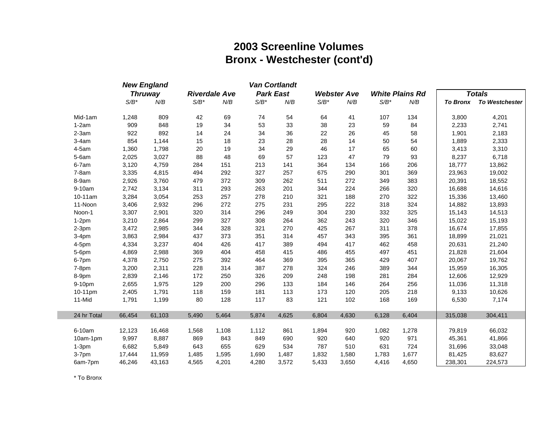# **2003 Screenline Volumes Bronx - Westchester (cont'd)**

|             |         | <b>New England</b> |         | Van Cortlandt        |         |                  |         |                    |         |                        |         |                         |
|-------------|---------|--------------------|---------|----------------------|---------|------------------|---------|--------------------|---------|------------------------|---------|-------------------------|
|             |         | <b>Thruway</b>     |         | <b>Riverdale Ave</b> |         | <b>Park East</b> |         | <b>Webster Ave</b> |         | <b>White Plains Rd</b> |         | <b>Totals</b>           |
|             | $S/B^*$ | N/B                | $S/B^*$ | N/B                  | $S/B^*$ | N/B              | $S/B^*$ | N/B                | $S/B^*$ | N/B                    |         | To Bronx To Westchester |
| Mid-1am     | 1,248   | 809                | 42      | 69                   | 74      | 54               | 64      | 41                 | 107     | 134                    | 3,800   | 4,201                   |
| $1-2am$     | 909     | 848                | 19      | 34                   | 53      | 33               | 38      | 23                 | 59      | 84                     | 2,233   | 2,741                   |
| $2-3am$     | 922     | 892                | 14      | 24                   | 34      | 36               | 22      | 26                 | 45      | 58                     | 1,901   | 2,183                   |
| $3-4am$     | 854     | 1,144              | 15      | 18                   | 23      | 28               | 28      | 14                 | 50      | 54                     | 1,889   | 2,333                   |
| $4-5am$     | 1,360   | 1,798              | 20      | 19                   | 34      | 29               | 46      | 17                 | 65      | 60                     | 3,413   | 3,310                   |
| 5-6am       | 2,025   | 3,027              | 88      | 48                   | 69      | 57               | 123     | 47                 | 79      | 93                     | 8,237   | 6,718                   |
| 6-7am       | 3,120   | 4,759              | 284     | 151                  | 213     | 141              | 364     | 134                | 166     | 206                    | 18,777  | 13,862                  |
| $7-8am$     | 3,335   | 4,815              | 494     | 292                  | 327     | 257              | 675     | 290                | 301     | 369                    | 23,963  | 19,002                  |
| 8-9am       | 2,926   | 3,760              | 479     | 372                  | 309     | 262              | 511     | 272                | 349     | 383                    | 20,391  | 18,552                  |
| 9-10am      | 2,742   | 3,134              | 311     | 293                  | 263     | 201              | 344     | 224                | 266     | 320                    | 16,688  | 14,616                  |
| 10-11am     | 3,284   | 3,054              | 253     | 257                  | 278     | 210              | 321     | 188                | 270     | 322                    | 15,336  | 13,460                  |
| 11-Noon     | 3,406   | 2,932              | 296     | 272                  | 275     | 231              | 295     | 222                | 318     | 324                    | 14,882  | 13,893                  |
| Noon-1      | 3,307   | 2,901              | 320     | 314                  | 296     | 249              | 304     | 230                | 332     | 325                    | 15,143  | 14,513                  |
| $1-2pm$     | 3,210   | 2,864              | 299     | 327                  | 308     | 264              | 362     | 243                | 320     | 346                    | 15,022  | 15,193                  |
| $2-3pm$     | 3,472   | 2,985              | 344     | 328                  | 321     | 270              | 425     | 267                | 311     | 378                    | 16,674  | 17,855                  |
| $3-4pm$     | 3,863   | 2,984              | 437     | 373                  | 351     | 314              | 457     | 343                | 395     | 361                    | 18,899  | 21,021                  |
| 4-5pm       | 4,334   | 3,237              | 404     | 426                  | 417     | 389              | 494     | 417                | 462     | 458                    | 20,631  | 21,240                  |
| 5-6pm       | 4,869   | 2,988              | 369     | 404                  | 458     | 415              | 486     | 455                | 497     | 451                    | 21,828  | 21,604                  |
| 6-7pm       | 4,378   | 2,750              | 275     | 392                  | 464     | 369              | 395     | 365                | 429     | 407                    | 20,067  | 19,762                  |
| 7-8pm       | 3,200   | 2,311              | 228     | 314                  | 387     | 278              | 324     | 246                | 389     | 344                    | 15,959  | 16,305                  |
| 8-9pm       | 2,839   | 2,146              | 172     | 250                  | 326     | 209              | 248     | 198                | 281     | 284                    | 12,606  | 12,929                  |
| 9-10pm      | 2,655   | 1,975              | 129     | 200                  | 296     | 133              | 184     | 146                | 264     | 256                    | 11,036  | 11,318                  |
| 10-11pm     | 2,405   | 1,791              | 118     | 159                  | 181     | 113              | 173     | 120                | 205     | 218                    | 9,133   | 10,626                  |
| 11-Mid      | 1,791   | 1,199              | 80      | 128                  | 117     | 83               | 121     | 102                | 168     | 169                    | 6,530   | 7,174                   |
| 24 hr Total | 66,454  | 61,103             | 5,490   | 5,464                | 5,874   | 4,625            | 6,804   | 4,630              | 6,128   | 6,404                  | 315,038 | 304,411                 |
| 6-10am      | 12,123  | 16,468             | 1,568   | 1,108                | 1,112   | 861              | 1,894   | 920                | 1,082   | 1,278                  | 79,819  | 66,032                  |
| 10am-1pm    | 9,997   | 8,887              | 869     | 843                  | 849     | 690              | 920     | 640                | 920     | 971                    | 45,361  | 41,866                  |
| $1-3pm$     | 6,682   | 5,849              | 643     | 655                  | 629     | 534              | 787     | 510                | 631     | 724                    | 31,696  | 33,048                  |
| 3-7pm       | 17,444  | 11,959             | 1,485   | 1,595                | 1,690   | 1,487            | 1,832   | 1,580              | 1,783   | 1,677                  | 81,425  | 83,627                  |
| 6am-7pm     | 46,246  | 43,163             | 4,565   | 4,201                | 4,280   | 3,572            | 5,433   | 3,650              | 4,416   | 4,650                  | 238,301 | 224,573                 |

\* To Bronx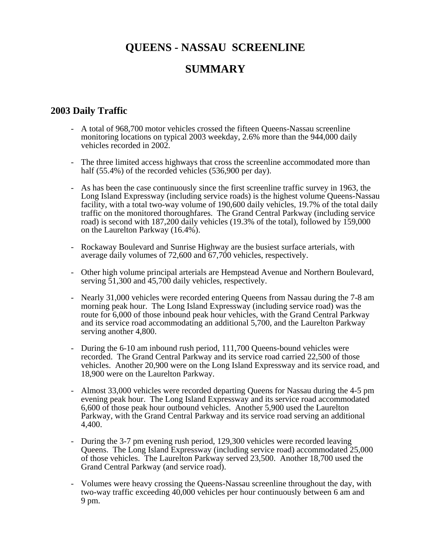# **QUEENS - NASSAU SCREENLINE SUMMARY**

# **2003 Daily Traffic**

- A total of 968,700 motor vehicles crossed the fifteen Queens-Nassau screenline monitoring locations on typical 2003 weekday, 2.6% more than the 944,000 daily vehicles recorded in 2002.
- The three limited access highways that cross the screenline accommodated more than half (55.4%) of the recorded vehicles (536,900 per day).
- As has been the case continuously since the first screenline traffic survey in 1963, the Long Island Expressway (including service roads) is the highest volume Queens-Nassau facility, with a total two-way volume of 190,600 daily vehicles, 19.7% of the total daily traffic on the monitored thoroughfares. The Grand Central Parkway (including service road) is second with 187,200 daily vehicles (19.3% of the total), followed by 159,000 on the Laurelton Parkway (16.4%).
- Rockaway Boulevard and Sunrise Highway are the busiest surface arterials, with average daily volumes of 72,600 and 67,700 vehicles, respectively.
- Other high volume principal arterials are Hempstead Avenue and Northern Boulevard, serving  $\bar{5}1,300$  and  $\bar{4}5,700$  daily vehicles, respectively.
- Nearly 31,000 vehicles were recorded entering Queens from Nassau during the 7-8 am morning peak hour. The Long Island Expressway (including service road) was the route for 6,000 of those inbound peak hour vehicles, with the Grand Central Parkway and its service road accommodating an additional 5,700, and the Laurelton Parkway serving another 4,800.
- During the 6-10 am inbound rush period, 111,700 Queens-bound vehicles were recorded. The Grand Central Parkway and its service road carried 22,500 of those vehicles. Another 20,900 were on the Long Island Expressway and its service road, and 18,900 were on the Laurelton Parkway.
- Almost 33,000 vehicles were recorded departing Queens for Nassau during the 4-5 pm evening peak hour. The Long Island Expressway and its service road accommodated 6,600 of those peak hour outbound vehicles. Another 5,900 used the Laurelton Parkway, with the Grand Central Parkway and its service road serving an additional 4,400.
- During the 3-7 pm evening rush period, 129,300 vehicles were recorded leaving Queens. The Long Island Expressway (including service road) accommodated 25,000 of those vehicles. The Laurelton Parkway served 23,500. Another 18,700 used the Grand Central Parkway (and service road).
- Volumes were heavy crossing the Queens-Nassau screenline throughout the day, with two-way traffic exceeding 40,000 vehicles per hour continuously between 6 am and 9 pm.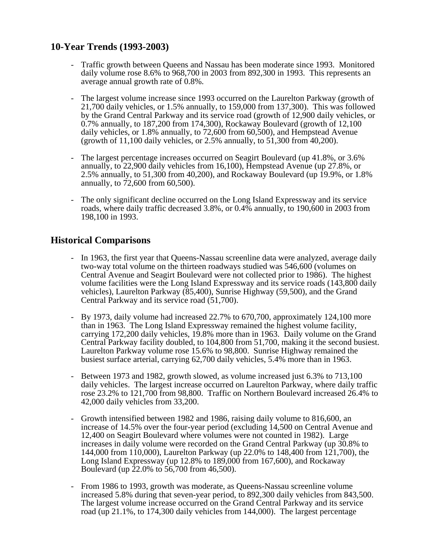# **10-Year Trends (1993-2003)**

- Traffic growth between Queens and Nassau has been moderate since 1993. Monitored daily volume rose 8.6% to 968,700 in 2003 from 892,300 in 1993. This represents an average annual growth rate of 0.8%.
- The largest volume increase since 1993 occurred on the Laurelton Parkway (growth of 21,700 daily vehicles, or 1.5% annually, to 159,000 from 137,300). This was followed by the Grand Central Parkway and its service road (growth of 12,900 daily vehicles, or 0.7% annually, to 187,200 from 174,300), Rockaway Boulevard (growth of 12,100 daily vehicles, or 1.8% annually, to 72,600 from 60,500), and Hempstead Avenue (growth of 11,100 daily vehicles, or 2.5% annually, to 51,300 from 40,200).
- The largest percentage increases occurred on Seagirt Boulevard (up 41.8%, or 3.6% annually, to 22,900 daily vehicles from 16,100), Hempstead Avenue (up 27.8%, or 2.5% annually, to 51,300 from 40,200), and Rockaway Boulevard (up 19.9%, or 1.8% annually, to 72,600 from 60,500).
- The only significant decline occurred on the Long Island Expressway and its service roads, where daily traffic decreased 3.8%, or 0.4% annually, to 190,600 in 2003 from 198,100 in 1993.

# **Historical Comparisons**

- In 1963, the first year that Queens-Nassau screenline data were analyzed, average daily two-way total volume on the thirteen roadways studied was 546,600 (volumes on Central Avenue and Seagirt Boulevard were not collected prior to 1986). The highest volume facilities were the Long Island Expressway and its service roads (143,800 daily vehicles), Laurelton Parkway (85,400), Sunrise Highway (59,500), and the Grand Central Parkway and its service road (51,700).
- By 1973, daily volume had increased 22.7% to 670,700, approximately 124,100 more than in 1963. The Long Island Expressway remained the highest volume facility, carrying 172,200 daily vehicles, 19.8% more than in 1963. Daily volume on the Grand Central Parkway facility doubled, to 104,800 from 51,700, making it the second busiest. Laurelton Parkway volume rose 15.6% to 98,800. Sunrise Highway remained the busiest surface arterial, carrying 62,700 daily vehicles, 5.4% more than in 1963.
- Between 1973 and 1982, growth slowed, as volume increased just 6.3% to 713,100 daily vehicles. The largest increase occurred on Laurelton Parkway, where daily traffic rose 23.2% to 121,700 from 98,800. Traffic on Northern Boulevard increased 26.4% to 42,000 daily vehicles from 33,200.
- Growth intensified between 1982 and 1986, raising daily volume to 816,600, an increase of 14.5% over the four-year period (excluding 14,500 on Central Avenue and 12,400 on Seagirt Boulevard where volumes were not counted in 1982). Large increases in daily volume were recorded on the Grand Central Parkway (up 30.8% to 144,000 from 110,000), Laurelton Parkway (up 22.0% to 148,400 from 121,700), the Long Island Expressway (up 12.8% to 189,000 from 167,600), and Rockaway Boulevard (up 22.0% to 56,700 from 46,500).
- From 1986 to 1993, growth was moderate, as Queens-Nassau screenline volume increased 5.8% during that seven-year period, to 892,300 daily vehicles from 843,500. The largest volume increase occurred on the Grand Central Parkway and its service road (up 21.1%, to 174,300 daily vehicles from 144,000). The largest percentage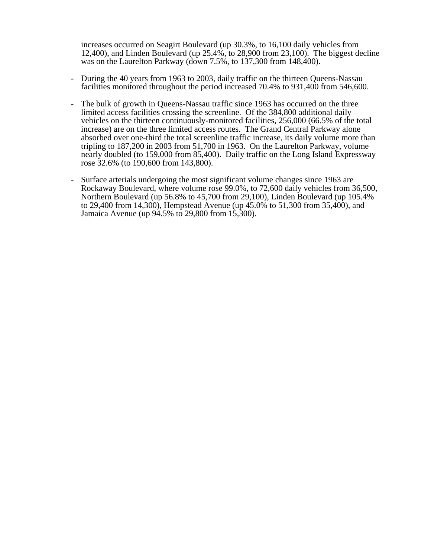increases occurred on Seagirt Boulevard (up 30.3%, to 16,100 daily vehicles from 12,400), and Linden Boulevard (up 25.4%, to 28,900 from 23,100). The biggest decline was on the Laurelton Parkway (down 7.5%, to 137,300 from 148,400).

- During the 40 years from 1963 to 2003, daily traffic on the thirteen Queens-Nassau facilities monitored throughout the period increased 70.4% to 931,400 from 546,600.
- The bulk of growth in Queens-Nassau traffic since 1963 has occurred on the three limited access facilities crossing the screenline. Of the 384,800 additional daily vehicles on the thirteen continuously-monitored facilities, 256,000 (66.5% of the total increase) are on the three limited access routes. The Grand Central Parkway alone absorbed over one-third the total screenline traffic increase, its daily volume more than tripling to 187,200 in 2003 from 51,700 in 1963. On the Laurelton Parkway, volume nearly doubled (to 159,000 from 85,400). Daily traffic on the Long Island Expressway rose 32.6% (to 190,600 from 143,800).
- Surface arterials undergoing the most significant volume changes since 1963 are Rockaway Boulevard, where volume rose 99.0%, to 72,600 daily vehicles from 36,500, Northern Boulevard (up 56.8% to 45,700 from 29,100), Linden Boulevard (up 105.4% to 29,400 from 14,300), Hempstead Avenue (up 45.0% to 51,300 from 35,400), and Jamaica Avenue (up 94.5% to 29,800 from 15,300).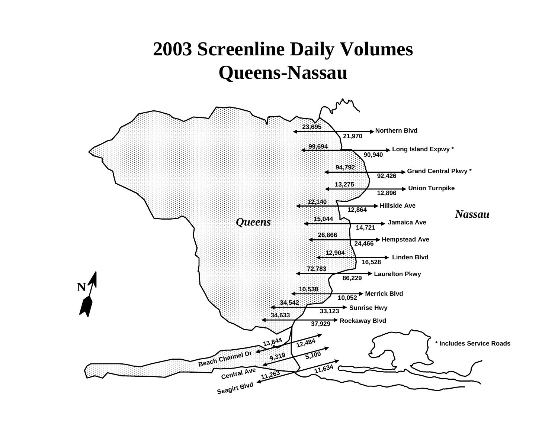# **2003 Screenline Daily Volumes Queens-Nassau**

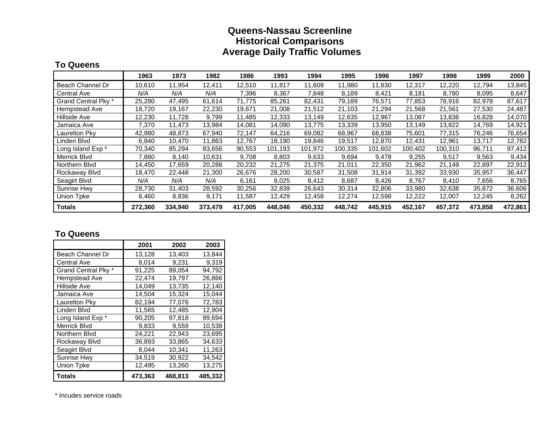# **Queens-Nassau Screenline Historical Comparisons Average Daily Traffic Volumes**

#### **To Queens**

|                     | 1963    | 1973    | 1982    | 1986    | 1993    | 1994    | 1995    | 1996    | 1997    | 1998    | 1999    | 2000    |
|---------------------|---------|---------|---------|---------|---------|---------|---------|---------|---------|---------|---------|---------|
| Beach Channel Dr    | 10,610  | 11,954  | 12,411  | 12,510  | 11,817  | 11,609  | 11,980  | 11,830  | 12,317  | 12,220  | 12,794  | 13,845  |
| <b>Central Ave</b>  | N/A     | N/A     | N/A     | 7,396   | 8,367   | 7,848   | 8,189   | 8,421   | 8,181   | 8,780   | 8,095   | 8,647   |
| Grand Central Pky * | 25,280  | 47.495  | 61,614  | 71.775  | 85,261  | 82,431  | 79,189  | 76,571  | 77,853  | 78,916  | 82,978  | 87,617  |
| Hempstead Ave       | 18,720  | 19,167  | 22,230  | 19,671  | 21,008  | 21,512  | 21,103  | 21,294  | 21,568  | 21,561  | 27,530  | 24,487  |
| Hillside Ave        | 12,230  | 11,728  | 9,799   | 11,485  | 12,333  | 13.149  | 12,635  | 12,967  | 13,087  | 13,836  | 16,828  | 14,070  |
| Jamaica Ave         | 7,370   | 11,473  | 13,984  | 14,081  | 14,090  | 13,775  | 13,339  | 13,950  | 13,149  | 13,822  | 14,769  | 14,921  |
| Laurelton Pky       | 42,980  | 48,873  | 67,940  | 72,147  | 64,216  | 69,082  | 68,967  | 68,838  | 75,601  | 77,315  | 76,246  | 76,654  |
| Linden Blvd         | 6,840   | 10,470  | 11,863  | 12,767  | 18,190  | 19,846  | 19,517  | 12,870  | 12,431  | 12,961  | 13,717  | 12,782  |
| Long Island Exp *   | 70,340  | 85,294  | 83,656  | 90,553  | 101,193 | 101,972 | 100,335 | 101,602 | 100,402 | 100,310 | 96,711  | 97,412  |
| Merrick Blvd        | 7,880   | 8.140   | 10,631  | 9,708   | 8,803   | 9,633   | 9,694   | 9,478   | 9,255   | 9,517   | 9,563   | 9,434   |
| Northern Blvd       | 14.450  | 17,659  | 20,288  | 20,232  | 21,275  | 21,375  | 21,011  | 22,350  | 21,962  | 21,149  | 22,897  | 22,912  |
| Rockaway Blvd       | 18,470  | 22,448  | 21,300  | 26,676  | 28,200  | 30,587  | 31,508  | 31,914  | 31,392  | 33,930  | 35,957  | 36,447  |
| Seagirt Blvd        | N/A     | N/A     | N/A     | 6,161   | 8,025   | 8,412   | 8,687   | 8,426   | 8,767   | 8,410   | 7,656   | 8,765   |
| <b>Sunrise Hwy</b>  | 28,730  | 31,403  | 28,592  | 30,256  | 32,839  | 26,643  | 30,314  | 32,806  | 33,980  | 32,638  | 35,872  | 36,606  |
| <b>Union Tpke</b>   | 8,460   | 8,836   | 9,171   | 11,587  | 12,429  | 12,458  | 12,274  | 12,598  | 12,222  | 12,007  | 12,245  | 8,262   |
| <b>Totals</b>       | 272,360 | 334,940 | 373,479 | 417,005 | 448.046 | 450,332 | 448,742 | 445.915 | 452,167 | 457,372 | 473,858 | 472,861 |

# **To Queens**

|                     | 2001    | 2002    | 2003    |
|---------------------|---------|---------|---------|
| Beach Channel Dr    | 13,128  | 13,403  | 13,844  |
| <b>Central Ave</b>  | 8.014   | 9,231   | 9,319   |
| Grand Central Pky * | 91,225  | 89,054  | 94,792  |
| Hempstead Ave       | 22.474  | 19.797  | 26,866  |
| <b>Hillside Ave</b> | 14,049  | 13.735  | 12,140  |
| Jamaica Ave         | 14,504  | 15.324  | 15,044  |
| Laurelton Pky       | 82,194  | 77,076  | 72,783  |
| Linden Blvd         | 11,565  | 12,485  | 12,904  |
| Long Island Exp *   | 90,205  | 97,818  | 99,694  |
| Merrick Blvd        | 9.833   | 9.559   | 10,538  |
| Northern Blvd       | 24,221  | 22.943  | 23,695  |
| Rockaway Blvd       | 36,893  | 33.865  | 34,633  |
| Seagirt Blvd        | 8.044   | 10,341  | 11,263  |
| <b>Sunrise Hwy</b>  | 34,519  | 30,922  | 34,542  |
| <b>Union Tpke</b>   | 12,495  | 13,260  | 13,275  |
| <b>Totals</b>       | 473,363 | 468,813 | 485,332 |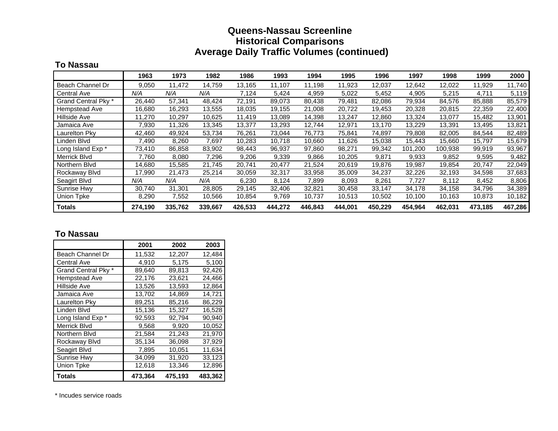# **Queens-Nassau Screenline Historical Comparisons Average Daily Traffic Volumes (continued)**

# **To Nassau**

|                     | 1963    | 1973    | 1982    | 1986    | 1993    | 1994    | 1995    | 1996    | 1997    | 1998    | 1999    | 2000    |
|---------------------|---------|---------|---------|---------|---------|---------|---------|---------|---------|---------|---------|---------|
| Beach Channel Dr    | 9,050   | 11,472  | 14,759  | 13,165  | 11,107  | 11,198  | 11,923  | 12,037  | 12,642  | 12,022  | 11,929  | 11,740  |
| <b>Central Ave</b>  | N/A     | N/A     | N/A     | 7,124   | 5,424   | 4,959   | 5,022   | 5,452   | 4,905   | 5,215   | 4,711   | 5,119   |
| Grand Central Pky * | 26,440  | 57,341  | 48.424  | 72,191  | 89,073  | 80,438  | 79,481  | 82,086  | 79,934  | 84,576  | 85,888  | 85,579  |
| Hempstead Ave       | 16,680  | 16,293  | 13,555  | 18,035  | 19,155  | 21,008  | 20,722  | 19,453  | 20,328  | 20,815  | 22,359  | 22,400  |
| Hillside Ave        | 11,270  | 10,297  | 10,625  | 11,419  | 13,089  | 14,398  | 13,247  | 12,860  | 13,324  | 13,077  | 15,482  | 13,901  |
| Jamaica Ave         | 7,930   | 11,326  | 13,345  | 13,377  | 13,293  | 12,744  | 12,971  | 13,170  | 13,229  | 13,391  | 13,495  | 13,821  |
| Laurelton Pky       | 42,460  | 49,924  | 53,734  | 76,261  | 73,044  | 76,773  | 75,841  | 74,897  | 79,808  | 82,005  | 84,544  | 82,489  |
| Linden Blvd         | 7,490   | 8,260   | 7,697   | 10,283  | 10,718  | 10,660  | 11,626  | 15,038  | 15,443  | 15,660  | 15,797  | 15,679  |
| Long Island Exp *   | 73,410  | 86,858  | 83,902  | 98,443  | 96,937  | 97,860  | 98,271  | 99,342  | 101,200 | 100,938 | 99,919  | 93,967  |
| Merrick Blvd        | 7,760   | 8,080   | 7,296   | 9,206   | 9,339   | 9,866   | 10,205  | 9,871   | 9,933   | 9,852   | 9,595   | 9,482   |
| Northern Blvd       | 14.680  | 15,585  | 21,745  | 20,741  | 20,477  | 21,524  | 20,619  | 19,876  | 19,987  | 19,854  | 20,747  | 22,049  |
| Rockaway Blvd       | 17,990  | 21,473  | 25,214  | 30,059  | 32,317  | 33,958  | 35,009  | 34,237  | 32,226  | 32,193  | 34,598  | 37,683  |
| Seagirt Blvd        | N/A     | N/A     | N/A     | 6,230   | 8,124   | 7,899   | 8,093   | 8,261   | 7,727   | 8,112   | 8,452   | 8,806   |
| <b>Sunrise Hwy</b>  | 30,740  | 31,301  | 28,805  | 29,145  | 32,406  | 32,821  | 30,458  | 33,147  | 34,178  | 34,158  | 34,796  | 34,389  |
| <b>Union Tpke</b>   | 8,290   | 7,552   | 10,566  | 10,854  | 9,769   | 10,737  | 10,513  | 10,502  | 10,100  | 10,163  | 10,873  | 10,182  |
| <b>Totals</b>       | 274,190 | 335,762 | 339,667 | 426,533 | 444.272 | 446,843 | 444,001 | 450,229 | 454,964 | 462,031 | 473,185 | 467,286 |

#### **To Nassau**

|                     | 2001    | 2002    | 2003    |
|---------------------|---------|---------|---------|
| Beach Channel Dr    | 11,532  | 12,207  | 12,484  |
| Central Ave         | 4,910   | 5,175   | 5,100   |
| Grand Central Pky * | 89.640  | 89,813  | 92,426  |
| Hempstead Ave       | 22.176  | 23.621  | 24,466  |
| <b>Hillside Ave</b> | 13.526  | 13.593  | 12,864  |
| Jamaica Ave         | 13,702  | 14,869  | 14,721  |
| Laurelton Pky       | 89,251  | 85,216  | 86,229  |
| Linden Blvd         | 15,136  | 15,327  | 16,528  |
| Long Island Exp *   | 92,593  | 92,794  | 90,940  |
| Merrick Blvd        | 9.568   | 9,920   | 10,052  |
| Northern Blvd       | 21,584  | 21.243  | 21,970  |
| Rockaway Blvd       | 35,134  | 36.098  | 37,929  |
| Seagirt Blvd        | 7,895   | 10,051  | 11,634  |
| <b>Sunrise Hwy</b>  | 34,099  | 31,920  | 33,123  |
| Union Tpke          | 12,618  | 13,346  | 12,896  |
| Totals              | 473,364 | 475,193 | 483,362 |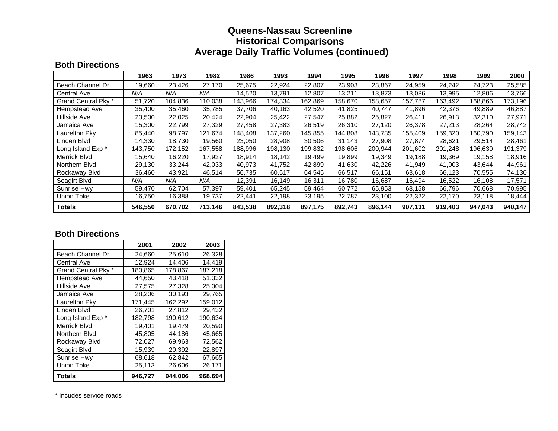# **Queens-Nassau Screenline Historical Comparisons Average Daily Traffic Volumes (continued)**

### **Both Directions**

|                     | 1963    | 1973    | 1982    | 1986    | 1993    | 1994    | 1995    | 1996    | 1997    | 1998    | 1999    | 2000    |
|---------------------|---------|---------|---------|---------|---------|---------|---------|---------|---------|---------|---------|---------|
| Beach Channel Dr    | 19,660  | 23,426  | 27,170  | 25,675  | 22,924  | 22,807  | 23,903  | 23,867  | 24,959  | 24,242  | 24,723  | 25,585  |
| Central Ave         | N/A     | N/A     | N/A     | 14,520  | 13,791  | 12,807  | 13,211  | 13,873  | 13,086  | 13,995  | 12,806  | 13,766  |
| Grand Central Pky * | 51,720  | 104,836 | 110,038 | 143,966 | 174,334 | 162,869 | 158,670 | 158,657 | 157,787 | 163,492 | 168,866 | 173,196 |
| Hempstead Ave       | 35,400  | 35,460  | 35,785  | 37,706  | 40,163  | 42,520  | 41,825  | 40,747  | 41,896  | 42,376  | 49,889  | 46,887  |
| Hillside Ave        | 23,500  | 22,025  | 20,424  | 22,904  | 25,422  | 27,547  | 25,882  | 25,827  | 26,411  | 26,913  | 32,310  | 27,971  |
| Jamaica Ave         | 15,300  | 22,799  | 27,329  | 27,458  | 27,383  | 26,519  | 26,310  | 27,120  | 26,378  | 27,213  | 28,264  | 28,742  |
| Laurelton Pky       | 85,440  | 98,797  | 121,674 | 148,408 | 137,260 | 145,855 | 144,808 | 143,735 | 155,409 | 159,320 | 160,790 | 159,143 |
| Linden Blvd         | 14,330  | 18,730  | 19,560  | 23,050  | 28,908  | 30,506  | 31,143  | 27,908  | 27,874  | 28,621  | 29,514  | 28,461  |
| Long Island Exp *   | 143,750 | 172,152 | 167,558 | 188,996 | 198,130 | 199,832 | 198,606 | 200,944 | 201,602 | 201,248 | 196,630 | 191,379 |
| Merrick Blvd        | 15,640  | 16,220  | 17,927  | 18,914  | 18,142  | 19,499  | 19,899  | 19,349  | 19,188  | 19,369  | 19,158  | 18,916  |
| Northern Blvd       | 29,130  | 33,244  | 42,033  | 40,973  | 41.752  | 42,899  | 41,630  | 42,226  | 41,949  | 41.003  | 43,644  | 44,961  |
| Rockaway Blyd       | 36.460  | 43,921  | 46,514  | 56,735  | 60,517  | 64,545  | 66,517  | 66,151  | 63,618  | 66,123  | 70,555  | 74,130  |
| Seagirt Blvd        | N/A     | N/A     | N/A     | 12,391  | 16,149  | 16,311  | 16,780  | 16,687  | 16,494  | 16,522  | 16,108  | 17,571  |
| Sunrise Hwy         | 59,470  | 62,704  | 57,397  | 59,401  | 65,245  | 59,464  | 60,772  | 65,953  | 68,158  | 66,796  | 70,668  | 70,995  |
| <b>Union Tpke</b>   | 16,750  | 16,388  | 19,737  | 22,441  | 22,198  | 23,195  | 22,787  | 23,100  | 22,322  | 22,170  | 23,118  | 18,444  |
| <b>Totals</b>       | 546,550 | 670.702 | 713.146 | 843,538 | 892,318 | 897,175 | 892,743 | 896.144 | 907,131 | 919,403 | 947.043 | 940,147 |

#### **Both Directions**

|                     | 2001    | 2002    | 2003    |
|---------------------|---------|---------|---------|
| Beach Channel Dr    | 24,660  | 25,610  | 26,328  |
| Central Ave         | 12,924  | 14,406  | 14,419  |
| Grand Central Pky * | 180,865 | 178,867 | 187,218 |
| Hempstead Ave       | 44.650  | 43.418  | 51,332  |
| <b>Hillside Ave</b> | 27,575  | 27,328  | 25,004  |
| Jamaica Ave         | 28,206  | 30,193  | 29,765  |
| Laurelton Pky       | 171,445 | 162,292 | 159,012 |
| Linden Blvd         | 26,701  | 27,812  | 29,432  |
| Long Island Exp *   | 182,798 | 190,612 | 190,634 |
| <b>Merrick Blvd</b> | 19.401  | 19.479  | 20,590  |
| Northern Blvd       | 45,805  | 44.186  | 45,665  |
| Rockaway Blvd       | 72,027  | 69,963  | 72,562  |
| Seagirt Blvd        | 15,939  | 20,392  | 22,897  |
| <b>Sunrise Hwy</b>  | 68,618  | 62,842  | 67,665  |
| <b>Union Tpke</b>   | 25,113  | 26,606  | 26,171  |
| Totals              | 946.727 | 944.006 | 968,694 |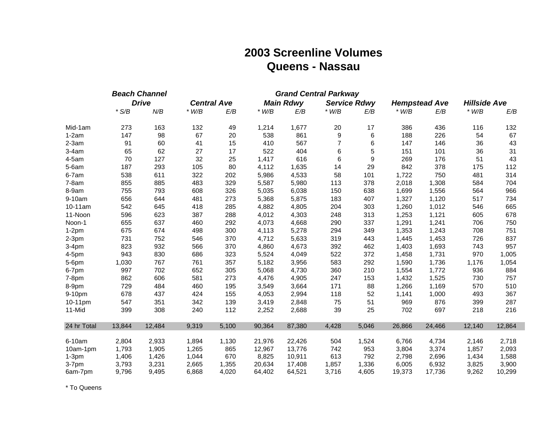# **2003 Screenline Volumes Queens - Nassau**

|             |         | <b>Beach Channel</b> | <b>Grand Central Parkway</b> |                    |         |                  |                |                     |         |                      |                     |        |
|-------------|---------|----------------------|------------------------------|--------------------|---------|------------------|----------------|---------------------|---------|----------------------|---------------------|--------|
|             |         | <b>Drive</b>         |                              | <b>Central Ave</b> |         | <b>Main Rdwy</b> |                | <b>Service Rdwy</b> |         | <b>Hempstead Ave</b> | <b>Hillside Ave</b> |        |
|             | $*$ S/B | N/B                  | $*$ W/B                      | E/B                | $*$ W/B | E/B              | $*$ W/B        | E/B                 | $*$ W/B | E/B                  | $*$ W/B             | E/B    |
| Mid-1am     | 273     | 163                  | 132                          | 49                 | 1,214   | 1,677            | 20             | 17                  | 386     | 436                  | 116                 | 132    |
| $1-2am$     | 147     | 98                   | 67                           | 20                 | 538     | 861              | 9              | 6                   | 188     | 226                  | 54                  | 67     |
| $2-3am$     | 91      | 60                   | 41                           | 15                 | 410     | 567              | $\overline{7}$ | 6                   | 147     | 146                  | 36                  | 43     |
| $3-4am$     | 65      | 62                   | 27                           | 17                 | 522     | 404              | 6              | 5                   | 151     | 101                  | 36                  | 31     |
| $4-5am$     | 70      | 127                  | 32                           | 25                 | 1,417   | 616              | 6              | $\boldsymbol{9}$    | 269     | 176                  | 51                  | 43     |
| $5-6am$     | 187     | 293                  | 105                          | 80                 | 4,112   | 1,635            | 14             | 29                  | 842     | 378                  | 175                 | 112    |
| 6-7am       | 538     | 611                  | 322                          | 202                | 5,986   | 4,533            | 58             | 101                 | 1,722   | 750                  | 481                 | 314    |
| $7-8am$     | 855     | 885                  | 483                          | 329                | 5,587   | 5,980            | 113            | 378                 | 2,018   | 1,308                | 584                 | 704    |
| 8-9am       | 755     | 793                  | 608                          | 326                | 5,035   | 6,038            | 150            | 638                 | 1,699   | 1,556                | 564                 | 966    |
| 9-10am      | 656     | 644                  | 481                          | 273                | 5,368   | 5,875            | 183            | 407                 | 1,327   | 1,120                | 517                 | 734    |
| 10-11am     | 542     | 645                  | 418                          | 285                | 4,882   | 4,805            | 204            | 303                 | 1,260   | 1,012                | 546                 | 665    |
| 11-Noon     | 596     | 623                  | 387                          | 288                | 4,012   | 4,303            | 248            | 313                 | 1,253   | 1,121                | 605                 | 678    |
| Noon-1      | 655     | 637                  | 460                          | 292                | 4,073   | 4,668            | 290            | 337                 | 1,291   | 1,241                | 706                 | 750    |
| $1-2pm$     | 675     | 674                  | 498                          | 300                | 4,113   | 5,278            | 294            | 349                 | 1,353   | 1,243                | 708                 | 751    |
| $2-3pm$     | 731     | 752                  | 546                          | 370                | 4,712   | 5,633            | 319            | 443                 | 1,445   | 1,453                | 726                 | 837    |
| $3-4pm$     | 823     | 932                  | 566                          | 370                | 4,860   | 4,673            | 392            | 462                 | 1,403   | 1,693                | 743                 | 957    |
| 4-5pm       | 943     | 830                  | 686                          | 323                | 5,524   | 4,049            | 522            | 372                 | 1,458   | 1,731                | 970                 | 1,005  |
| 5-6pm       | 1,030   | 767                  | 761                          | 357                | 5,182   | 3,956            | 583            | 292                 | 1,590   | 1,736                | 1,176               | 1,054  |
| 6-7pm       | 997     | 702                  | 652                          | 305                | 5,068   | 4,730            | 360            | 210                 | 1,554   | 1,772                | 936                 | 884    |
| 7-8pm       | 862     | 606                  | 581                          | 273                | 4,476   | 4,905            | 247            | 153                 | 1,432   | 1,525                | 730                 | 757    |
| 8-9pm       | 729     | 484                  | 460                          | 195                | 3,549   | 3,664            | 171            | 88                  | 1,266   | 1,169                | 570                 | 510    |
| 9-10pm      | 678     | 437                  | 424                          | 155                | 4,053   | 2,994            | 118            | 52                  | 1,141   | 1,000                | 493                 | 367    |
| 10-11pm     | 547     | 351                  | 342                          | 139                | 3,419   | 2,848            | 75             | 51                  | 969     | 876                  | 399                 | 287    |
| 11-Mid      | 399     | 308                  | 240                          | 112                | 2,252   | 2,688            | 39             | 25                  | 702     | 697                  | 218                 | 216    |
| 24 hr Total | 13,844  | 12,484               | 9,319                        | 5,100              | 90,364  | 87,380           | 4,428          | 5,046               | 26,866  | 24,466               | 12,140              | 12,864 |
| 6-10am      | 2,804   | 2,933                | 1,894                        | 1,130              | 21,976  | 22,426           | 504            | 1,524               | 6,766   | 4,734                | 2,146               | 2,718  |
| 10am-1pm    | 1,793   | 1,905                | 1,265                        | 865                | 12,967  | 13,776           | 742            | 953                 | 3,804   | 3,374                | 1,857               | 2,093  |
| $1-3pm$     | 1,406   | 1,426                | 1,044                        | 670                | 8,825   | 10,911           | 613            | 792                 | 2,798   | 2,696                | 1,434               | 1,588  |
| 3-7pm       | 3,793   | 3,231                | 2,665                        | 1,355              | 20,634  | 17,408           | 1,857          | 1,336               | 6,005   | 6,932                | 3,825               | 3,900  |
| 6am-7pm     | 9,796   | 9,495                | 6,868                        | 4,020              | 64,402  | 64,521           | 3,716          | 4,605               | 19,373  | 17,736               | 9,262               | 10,299 |

\* To Queens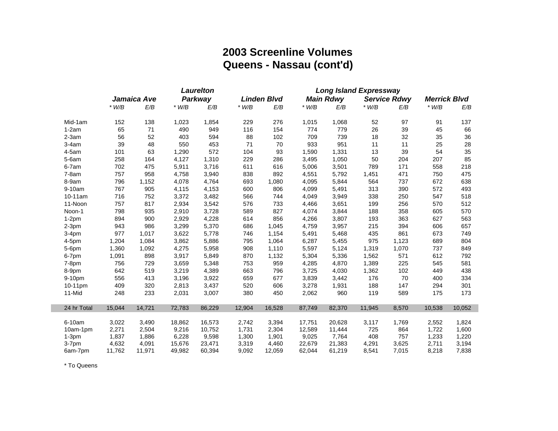# **2003 Screenline Volumes Queens - Nassau (cont'd)**

| Jamaica Ave<br>Parkway<br>$*$ W/B<br>E/B<br>E/B<br>$*$ W/B<br>$*$ W/B<br>138<br>1,023<br>1,854<br>229<br>Mid-1am<br>152<br>65<br>71<br>490<br>949<br>116<br>$1-2am$<br>56<br>52<br>403<br>$2-3am$<br>594<br>88 | <b>Linden Blvd</b><br>E/B<br>276<br>154<br>102<br>70<br>93<br>286<br>616 | $*$ W/B<br>1,015<br>774<br>709<br>933<br>1,590<br>3,495 | <b>Main Rdwy</b><br>E/B<br>1,068<br>779<br>739<br>951<br>1,331<br>1,050 | $*$ W/B<br>52<br>26<br>18<br>11<br>13 | <b>Service Rdwy</b><br>E/B<br>97<br>39<br>32<br>11 | <b>Merrick Blvd</b><br>$*$ W/B<br>91<br>45<br>35<br>25 | E/B<br>137<br>66<br>36<br>28 |
|----------------------------------------------------------------------------------------------------------------------------------------------------------------------------------------------------------------|--------------------------------------------------------------------------|---------------------------------------------------------|-------------------------------------------------------------------------|---------------------------------------|----------------------------------------------------|--------------------------------------------------------|------------------------------|
|                                                                                                                                                                                                                |                                                                          |                                                         |                                                                         |                                       |                                                    |                                                        |                              |
|                                                                                                                                                                                                                |                                                                          |                                                         |                                                                         |                                       |                                                    |                                                        |                              |
|                                                                                                                                                                                                                |                                                                          |                                                         |                                                                         |                                       |                                                    |                                                        |                              |
|                                                                                                                                                                                                                |                                                                          |                                                         |                                                                         |                                       |                                                    |                                                        |                              |
|                                                                                                                                                                                                                |                                                                          |                                                         |                                                                         |                                       |                                                    |                                                        |                              |
| 39<br>48<br>550<br>71<br>453<br>$3-4am$                                                                                                                                                                        |                                                                          |                                                         |                                                                         |                                       |                                                    |                                                        |                              |
| 63<br>572<br>$4-5am$<br>101<br>1,290<br>104                                                                                                                                                                    |                                                                          |                                                         |                                                                         |                                       | 39                                                 | 54                                                     | 35                           |
| 4,127<br>$5-6am$<br>258<br>164<br>1,310<br>229                                                                                                                                                                 |                                                                          |                                                         |                                                                         | 50                                    | 204                                                | 207                                                    | 85                           |
| 3,716<br>$6-7am$<br>702<br>475<br>5,911<br>611                                                                                                                                                                 |                                                                          | 5,006                                                   | 3,501                                                                   | 789                                   | 171                                                | 558                                                    | 218                          |
| 958<br>757<br>4,758<br>3,940<br>838<br>$7-8am$                                                                                                                                                                 | 892                                                                      | 4,551                                                   | 5,792                                                                   | 1,451                                 | 471                                                | 750                                                    | 475                          |
| 1,152<br>8-9am<br>796<br>4,078<br>4,764<br>693                                                                                                                                                                 | 1,080                                                                    | 4,095                                                   | 5,844                                                                   | 564                                   | 737                                                | 672                                                    | 638                          |
| 9-10am<br>905<br>600<br>767<br>4,115<br>4,153                                                                                                                                                                  | 806                                                                      | 4,099                                                   | 5,491                                                                   | 313                                   | 390                                                | 572                                                    | 493                          |
| 752<br>10-11am<br>716<br>3,372<br>3,482<br>566                                                                                                                                                                 | 744                                                                      | 4,049                                                   | 3,949                                                                   | 338                                   | 250                                                | 547                                                    | 518                          |
| 817<br>11-Noon<br>757<br>2,934<br>3,542<br>576                                                                                                                                                                 | 733                                                                      | 4,466                                                   | 3,651                                                                   | 199                                   | 256                                                | 570                                                    | 512                          |
| 798<br>935<br>2,910<br>3,728<br>589<br>Noon-1                                                                                                                                                                  | 827                                                                      | 4,074                                                   | 3,844                                                                   | 188                                   | 358                                                | 605                                                    | 570                          |
| 2,929<br>4,228<br>$1-2pm$<br>894<br>900<br>614                                                                                                                                                                 | 856                                                                      | 4,266                                                   | 3,807                                                                   | 193                                   | 363                                                | 627                                                    | 563                          |
| 986<br>3,299<br>5,370<br>$2-3pm$<br>943<br>686                                                                                                                                                                 | 1,045                                                                    | 4,759                                                   | 3,957                                                                   | 215                                   | 394                                                | 606                                                    | 657                          |
| 977<br>1,017<br>3,622<br>5,778<br>$3-4pm$<br>746                                                                                                                                                               | 1,154                                                                    | 5,491                                                   | 5,468                                                                   | 435                                   | 861                                                | 673                                                    | 749                          |
| 1,084<br>3,862<br>5,886<br>4-5pm<br>1,204<br>795                                                                                                                                                               | 1,064                                                                    | 6,287                                                   | 5,455                                                                   | 975                                   | 1,123                                              | 689                                                    | 804                          |
| 4,275<br>5,958<br>5-6pm<br>1,360<br>1,092<br>908                                                                                                                                                               | 1,110                                                                    | 5,597                                                   | 5,124                                                                   | 1,319                                 | 1,070                                              | 737                                                    | 849                          |
| 898<br>3,917<br>6-7pm<br>1,091<br>5,849<br>870                                                                                                                                                                 | 1,132                                                                    | 5,304                                                   | 5,336                                                                   | 1,562                                 | 571                                                | 612                                                    | 792                          |
| 756<br>729<br>3,659<br>5,348<br>753<br>$7-8pm$                                                                                                                                                                 | 959                                                                      | 4,285                                                   | 4,870                                                                   | 1,389                                 | 225                                                | 545                                                    | 581                          |
| 519<br>642<br>3,219<br>663<br>8-9pm<br>4,389                                                                                                                                                                   | 796                                                                      | 3,725                                                   | 4,030                                                                   | 1,362                                 | 102                                                | 449                                                    | 438                          |
| 413<br>556<br>659<br>9-10pm<br>3,196<br>3,922                                                                                                                                                                  | 677                                                                      | 3,839                                                   | 3,442                                                                   | 176                                   | 70                                                 | 400                                                    | 334                          |
| 409<br>320<br>520<br>10-11pm<br>2,813<br>3,437                                                                                                                                                                 | 606                                                                      | 3,278                                                   | 1,931                                                                   | 188                                   | 147                                                | 294                                                    | 301                          |
| 233<br>380<br>11-Mid<br>248<br>2,031<br>3,007                                                                                                                                                                  | 450                                                                      | 2,062                                                   | 960                                                                     | 119                                   | 589                                                | 175                                                    | 173                          |
| 24 hr Total<br>15,044<br>14,721<br>72,783<br>86,229<br>12,904                                                                                                                                                  | 16,528                                                                   | 87,749                                                  | 82,370                                                                  | 11,945                                | 8,570                                              | 10,538                                                 | 10,052                       |
| 6-10am<br>3,022<br>3,490<br>18,862<br>16,573<br>2,742                                                                                                                                                          | 3,394                                                                    | 17,751                                                  | 20,628                                                                  | 3,117                                 | 1,769                                              | 2,552                                                  | 1,824                        |
| 2,271<br>2,504<br>9,216<br>10,752<br>1,731<br>10am-1pm                                                                                                                                                         | 2,304                                                                    | 12,589                                                  | 11,444                                                                  | 725                                   | 864                                                | 1,722                                                  | 1,600                        |
| 1,837<br>1,886<br>6,228<br>9,598<br>1,300<br>$1-3pm$                                                                                                                                                           | 1,901                                                                    | 9,025                                                   | 7,764                                                                   | 408                                   | 757                                                | 1,233                                                  | 1,220                        |
| 4,632<br>3-7pm<br>4,091<br>15,676<br>23,471<br>3,319                                                                                                                                                           | 4,460                                                                    | 22,679                                                  | 21,383                                                                  | 4,291                                 | 3,625                                              | 2,711                                                  | 3,194                        |
| 9,092<br>6am-7pm<br>11,762<br>11,971<br>49,982<br>60,394                                                                                                                                                       | 12,059                                                                   | 62,044                                                  | 61,219                                                                  | 8,541                                 | 7,015                                              | 8,218                                                  | 7,838                        |

\* To Queens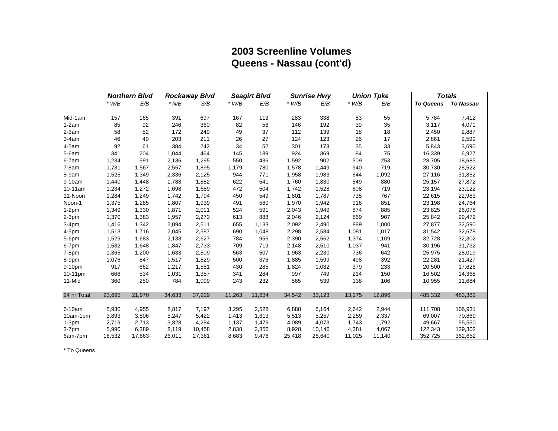# **2003 Screenline Volumes Queens - Nassau (cont'd)**

|             |         | <b>Northern Blvd</b> |         | <b>Rockaway Blvd</b> |         | <b>Seagirt Blvd</b> |         | <b>Sunrise Hwy</b> |         | <b>Union Tpke</b> |                  | <b>Totals</b>    |
|-------------|---------|----------------------|---------|----------------------|---------|---------------------|---------|--------------------|---------|-------------------|------------------|------------------|
|             | $*$ W/B | E/B                  | $*$ N/B | S/B                  | $*$ W/B | E/B                 | $*$ W/B | E/B                | $*$ W/B | E/B               | <b>To Queens</b> | <b>To Nassau</b> |
| Mid-1am     | 157     | 165                  | 391     | 697                  | 167     | 113                 | 283     | 338                | 83      | 55                | 5,784            | 7,412            |
| $1-2am$     | 85      | 92                   | 246     | 360                  | 82      | 56                  | 146     | 192                | 39      | 35                | 3,117            | 4,071            |
| $2-3am$     | 58      | 52                   | 172     | 249                  | 49      | 37                  | 112     | 139                | 18      | 18                | 2,450            | 2,887            |
| $3-4am$     | 46      | 40                   | 203     | 211                  | 26      | 27                  | 124     | 123                | 26      | 17                | 2,861            | 2,599            |
| $4-5am$     | 92      | 61                   | 384     | 242                  | 34      | 52                  | 301     | 173                | 35      | 33                | 5,843            | 3,690            |
| $5-6am$     | 341     | 204                  | 1,044   | 464                  | 145     | 189                 | 924     | 369                | 84      | 75                | 16,339           | 6,927            |
| 6-7am       | 1,234   | 591                  | 2,136   | 1,295                | 550     | 436                 | 1,592   | 902                | 509     | 253               | 28,705           | 18,685           |
| $7-8am$     | 1,731   | 1,567                | 2,557   | 1,895                | 1,179   | 780                 | 1,578   | 1,449              | 940     | 719               | 30,730           | 28,522           |
| 8-9am       | 1,525   | 1,349                | 2,336   | 2,125                | 944     | 771                 | 1,958   | 1,983              | 644     | 1,092             | 27,116           | 31,852           |
| 9-10am      | 1,440   | 1,448                | 1,788   | 1,882                | 622     | 541                 | 1,760   | 1,830              | 549     | 880               | 25,157           | 27,872           |
| 10-11am     | 1,234   | 1,272                | 1,698   | 1,689                | 472     | 504                 | 1,742   | 1,528              | 608     | 719               | 23,194           | 23,122           |
| 11-Noon     | 1,284   | 1,249                | 1,742   | 1,794                | 450     | 549                 | 1,801   | 1,787              | 735     | 767               | 22,615           | 22,983           |
| Noon-1      | 1,375   | 1,285                | 1,807   | 1,939                | 491     | 560                 | 1,970   | 1,942              | 916     | 851               | 23,198           | 24,764           |
| $1-2pm$     | 1,349   | 1,330                | 1,871   | 2,011                | 524     | 591                 | 2,043   | 1,949              | 874     | 885               | 23,825           | 26,078           |
| $2-3pm$     | 1,370   | 1,383                | 1,957   | 2,273                | 613     | 888                 | 2,046   | 2,124              | 869     | 907               | 25,842           | 29,472           |
| $3-4pm$     | 1,416   | 1,342                | 2,094   | 2,511                | 655     | 1,133               | 2,092   | 2,490              | 889     | 1,000             | 27,877           | 32,590           |
| $4-5$ pm    | 1,513   | 1,716                | 2,045   | 2,587                | 690     | 1,048               | 2,298   | 2,584              | 1,081   | 1,017             | 31,542           | 32,678           |
| 5-6pm       | 1,529   | 1,683                | 2,133   | 2,627                | 784     | 956                 | 2,390   | 2,562              | 1,374   | 1,109             | 32,728           | 32,302           |
| 6-7pm       | 1,532   | 1,648                | 1,847   | 2,733                | 709     | 719                 | 2,148   | 2,510              | 1,037   | 941               | 30,196           | 31,732           |
| 7-8pm       | 1,365   | 1,200                | 1,633   | 2,509                | 563     | 507                 | 1,963   | 2,230              | 736     | 642               | 25,975           | 28,019           |
| 8-9pm       | 1,076   | 847                  | 1,517   | 1,829                | 500     | 376                 | 1,885   | 1,599              | 498     | 392               | 22,281           | 21,427           |
| 9-10pm      | 917     | 662                  | 1,217   | 1,551                | 430     | 285                 | 1,824   | 1,032              | 379     | 233               | 20,500           | 17,626           |
| 10-11pm     | 666     | 534                  | 1,031   | 1,357                | 341     | 284                 | 997     | 749                | 214     | 150               | 16,502           | 14,368           |
| 11-Mid      | 360     | 250                  | 784     | 1,099                | 243     | 232                 | 565     | 539                | 138     | 106               | 10,955           | 11,684           |
| 24 hr Total | 23,695  | 21,970               | 34,633  | 37,929               | 11,263  | 11,634              | 34,542  | 33,123             | 13,275  | 12,896            | 485,332          | 483,362          |
| 6-10am      | 5,930   | 4,955                | 8,817   | 7,197                | 3,295   | 2,528               | 6,888   | 6,164              | 2,642   | 2,944             | 111.708          | 106,931          |
| 10am-1pm    | 3,893   | 3,806                | 5,247   | 5,422                | 1,413   | 1,613               | 5,513   | 5,257              | 2,259   | 2,337             | 69,007           | 70,869           |
| $1-3pm$     | 2,719   | 2,713                | 3,828   | 4,284                | 1,137   | 1,479               | 4,089   | 4,073              | 1,743   | 1,792             | 49,667           | 55,550           |
| $3-7pm$     | 5,990   | 6,389                | 8,119   | 10,458               | 2,838   | 3,856               | 8,928   | 10,146             | 4,381   | 4,067             | 122,343          | 129,302          |
| 6am-7pm     | 18,532  | 17,863               | 26,011  | 27,361               | 8,683   | 9,476               | 25,418  | 25,640             | 11,025  | 11,140            | 352,725          | 362,652          |

\* To Queens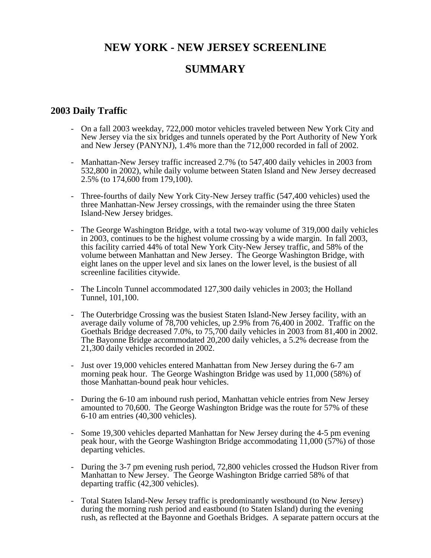# **NEW YORK - NEW JERSEY SCREENLINE SUMMARY**

## **2003 Daily Traffic**

- On a fall 2003 weekday, 722,000 motor vehicles traveled between New York City and New Jersey via the six bridges and tunnels operated by the Port Authority of New York and New Jersey (PANYNJ), 1.4% more than the 712,000 recorded in fall of 2002.
- Manhattan-New Jersey traffic increased 2.7% (to 547,400 daily vehicles in 2003 from 532,800 in 2002), while daily volume between Staten Island and New Jersey decreased 2.5% (to 174,600 from 179,100).
- Three-fourths of daily New York City-New Jersey traffic (547,400 vehicles) used the three Manhattan-New Jersey crossings, with the remainder using the three Staten Island-New Jersey bridges.
- The George Washington Bridge, with a total two-way volume of 319,000 daily vehicles in 2003, continues to be the highest volume crossing by a wide margin. In fall 2003, this facility carried 44% of total New York City-New Jersey traffic, and 58% of the volume between Manhattan and New Jersey. The George Washington Bridge, with eight lanes on the upper level and six lanes on the lower level, is the busiest of all screenline facilities citywide.
- The Lincoln Tunnel accommodated 127,300 daily vehicles in 2003; the Holland Tunnel, 101,100.
- The Outerbridge Crossing was the busiest Staten Island-New Jersey facility, with an average daily volume of 78,700 vehicles, up 2.9% from 76,400 in 2002. Traffic on the Goethals Bridge decreased 7.0%, to 75,700 daily vehicles in 2003 from 81,400 in 2002. The Bayonne Bridge accommodated 20,200 daily vehicles, a 5.2% decrease from the 21,300 daily vehicles recorded in 2002.
- Just over 19,000 vehicles entered Manhattan from New Jersey during the 6-7 am morning peak hour. The George Washington Bridge was used by 11,000 (58%) of those Manhattan-bound peak hour vehicles.
- During the 6-10 am inbound rush period, Manhattan vehicle entries from New Jersey amounted to 70,600. The George Washington Bridge was the route for 57% of these 6-10 am entries (40,300 vehicles).
- Some 19,300 vehicles departed Manhattan for New Jersey during the 4-5 pm evening peak hour, with the George Washington Bridge accommodating 11,000 (57%) of those departing vehicles.
- During the 3-7 pm evening rush period, 72,800 vehicles crossed the Hudson River from Manhattan to New Jersey. The George Washington Bridge carried 58% of that departing traffic (42,300 vehicles).
- Total Staten Island-New Jersey traffic is predominantly westbound (to New Jersey) during the morning rush period and eastbound (to Staten Island) during the evening rush, as reflected at the Bayonne and Goethals Bridges. A separate pattern occurs at the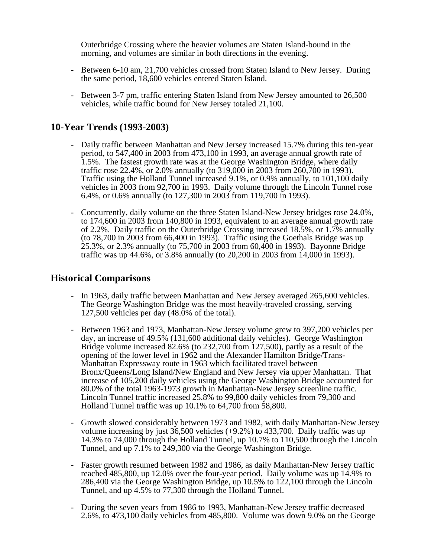Outerbridge Crossing where the heavier volumes are Staten Island-bound in the morning, and volumes are similar in both directions in the evening.

- Between 6-10 am, 21,700 vehicles crossed from Staten Island to New Jersey. During the same period, 18,600 vehicles entered Staten Island.
- Between 3-7 pm, traffic entering Staten Island from New Jersey amounted to 26,500 vehicles, while traffic bound for New Jersey totaled 21,100.

# **10-Year Trends (1993-2003)**

- Daily traffic between Manhattan and New Jersey increased 15.7% during this ten-year period, to 547,400 in 2003 from 473,100 in 1993, an average annual growth rate of 1.5%. The fastest growth rate was at the George Washington Bridge, where daily traffic rose 22.4%, or 2.0% annually (to 319,000 in 2003 from 260,700 in 1993). Traffic using the Holland Tunnel increased 9.1%, or 0.9% annually, to 101,100 daily vehicles in 2003 from 92,700 in 1993. Daily volume through the Lincoln Tunnel rose 6.4%, or 0.6% annually (to 127,300 in 2003 from 119,700 in 1993).
- Concurrently, daily volume on the three Staten Island-New Jersey bridges rose 24.0%, to 174,600 in 2003 from 140,800 in 1993, equivalent to an average annual growth rate of 2.2%. Daily traffic on the Outerbridge Crossing increased 18.5%, or 1.7% annually (to 78,700 in 2003 from 66,400 in 1993). Traffic using the Goethals Bridge was up 25.3%, or 2.3% annually (to 75,700 in 2003 from 60,400 in 1993). Bayonne Bridge traffic was up 44.6%, or 3.8% annually (to 20,200 in 2003 from 14,000 in 1993).

#### **Historical Comparisons**

- In 1963, daily traffic between Manhattan and New Jersey averaged 265,600 vehicles. The George Washington Bridge was the most heavily-traveled crossing, serving 127,500 vehicles per day (48.0% of the total).
- Between 1963 and 1973, Manhattan-New Jersey volume grew to 397,200 vehicles per day, an increase of 49.5% (131,600 additional daily vehicles). George Washington Bridge volume increased 82.6% (to 232,700 from 127,500), partly as a result of the opening of the lower level in 1962 and the Alexander Hamilton Bridge/Trans-Manhattan Expressway route in 1963 which facilitated travel between Bronx/Queens/Long Island/New England and New Jersey via upper Manhattan. That increase of 105,200 daily vehicles using the George Washington Bridge accounted for 80.0% of the total 1963-1973 growth in Manhattan-New Jersey screenline traffic. Lincoln Tunnel traffic increased 25.8% to 99,800 daily vehicles from 79,300 and Holland Tunnel traffic was up 10.1% to 64,700 from 58,800.
- Growth slowed considerably between 1973 and 1982, with daily Manhattan-New Jersey volume increasing by just 36,500 vehicles (+9.2%) to 433,700. Daily traffic was up 14.3% to 74,000 through the Holland Tunnel, up 10.7% to 110,500 through the Lincoln Tunnel, and up 7.1% to 249,300 via the George Washington Bridge.
- Faster growth resumed between 1982 and 1986, as daily Manhattan-New Jersey traffic reached 485,800, up 12.0% over the four-year period. Daily volume was up 14.9% to 286,400 via the George Washington Bridge, up 10.5% to 122,100 through the Lincoln Tunnel, and up 4.5% to 77,300 through the Holland Tunnel.
- During the seven years from 1986 to 1993, Manhattan-New Jersey traffic decreased 2.6%, to 473,100 daily vehicles from 485,800. Volume was down 9.0% on the George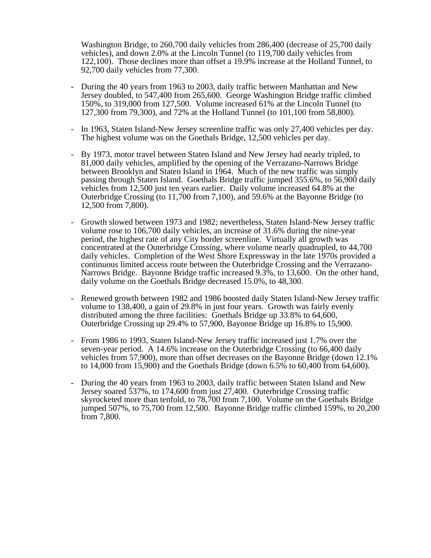Washington Bridge, to 260,700 daily vehicles from 286,400 (decrease of 25,700 daily vehicles), and down 2.0% at the Lincoln Tunnel (to 119,700 daily vehicles from 122,100). Those declines more than offset a 19.9% increase at the Holland Tunnel, to 92,700 daily vehicles from 77,300.

- During the 40 years from 1963 to 2003, daily traffic between Manhattan and New Jersey doubled, to 547,400 from 265,600. George Washington Bridge traffic climbed 150%, to 319,000 from 127,500. Volume increased 61% at the Lincoln Tunnel (to 127,300 from 79,300), and 72% at the Holland Tunnel (to 101,100 from 58,800).
- In 1963, Staten Island-New Jersey screenline traffic was only 27,400 vehicles per day. The highest volume was on the Goethals Bridge, 12,500 vehicles per day.
- By 1973, motor travel between Staten Island and New Jersey had nearly tripled, to 81,000 daily vehicles, amplified by the opening of the Verrazano-Narrows Bridge between Brooklyn and Staten Island in 1964. Much of the new traffic was simply passing through Staten Island. Goethals Bridge traffic jumped 355.6%, to 56,900 daily vehicles from 12,500 just ten years earlier. Daily volume increased 64.8% at the Outerbridge Crossing (to 11,700 from 7,100), and 59.6% at the Bayonne Bridge (to 12,500 from 7,800).
- Growth slowed between 1973 and 1982; nevertheless, Staten Island-New Jersey traffic volume rose to 106,700 daily vehicles, an increase of 31.6% during the nine-year period, the highest rate of any City border screenline. Virtually all growth was concentrated at the Outerbridge Crossing, where volume nearly quadrupled, to 44,700 daily vehicles. Completion of the West Shore Expressway in the late 1970s provided a continuous limited access route between the Outerbridge Crossing and the Verrazano-Narrows Bridge. Bayonne Bridge traffic increased 9.3%, to 13,600. On the other hand, daily volume on the Goethals Bridge decreased 15.0%, to 48,300.
- Renewed growth between 1982 and 1986 boosted daily Staten Island-New Jersey traffic volume to 138,400, a gain of 29.8% in just four years. Growth was fairly evenly distributed among the three facilities: Goethals Bridge up 33.8% to 64,600, Outerbridge Crossing up 29.4% to 57,900, Bayonne Bridge up 16.8% to 15,900.
- From 1986 to 1993, Staten Island-New Jersey traffic increased just 1.7% over the seven-year period. A 14.6% increase on the Outerbridge Crossing (to 66,400 daily vehicles from 57,900), more than offset decreases on the Bayonne Bridge (down 12.1% to 14,000 from 15,900) and the Goethals Bridge (down 6.5% to 60,400 from 64,600).
- During the 40 years from 1963 to 2003, daily traffic between Staten Island and New Jersey soared 537%, to 174,600 from just 27,400. Outerbridge Crossing traffic skyrocketed more than tenfold, to 78,700 from 7,100. Volume on the Goethals Bridge jumped 507%, to 75,700 from 12,500. Bayonne Bridge traffic climbed 159%, to 20,200 from 7,800.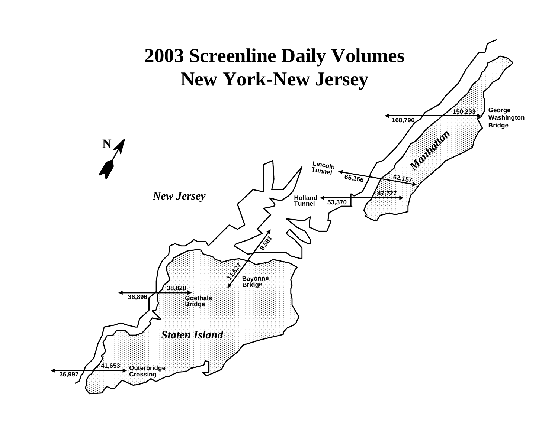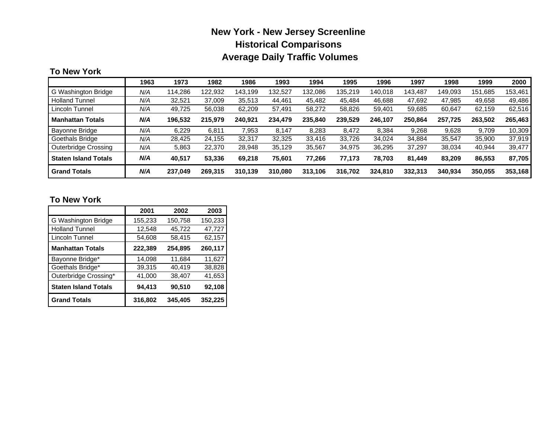# **New York - New Jersey Screenline Historical Comparisons Average Daily Traffic Volumes**

#### **To New York**

|                             | 1963 | 1973    | 1982    | 1986    | 1993    | 1994    | 1995    | 1996    | 1997    | 1998    | 1999    | 2000    |
|-----------------------------|------|---------|---------|---------|---------|---------|---------|---------|---------|---------|---------|---------|
| G Washington Bridge         | N/A  | 114.286 | 122,932 | 143.199 | 132.527 | 132.086 | 135.219 | 140.018 | 143.487 | 149.093 | 151.685 | 153.461 |
| <b>Holland Tunnel</b>       | N/A  | 32.521  | 37,009  | 35,513  | 44.461  | 45.482  | 45,484  | 46.688  | 47,692  | 47.985  | 49.658  | 49,486  |
| Lincoln Tunnel              | N/A  | 49,725  | 56,038  | 62,209  | 57,491  | 58.272  | 58,826  | 59,401  | 59,685  | 60,647  | 62,159  | 62,516  |
| <b>Manhattan Totals</b>     | N/A  | 196.532 | 215,979 | 240.921 | 234,479 | 235.840 | 239.529 | 246,107 | 250.864 | 257,725 | 263,502 | 265,463 |
| Bayonne Bridge              | N/A  | 6.229   | 6.811   | 7,953   | 8.147   | 8.283   | 8.472   | 8.384   | 9.268   | 9.628   | 9.709   | 10,309  |
| Goethals Bridge             | N/A  | 28.425  | 24.155  | 32,317  | 32,325  | 33,416  | 33,726  | 34.024  | 34,884  | 35.547  | 35,900  | 37,919  |
| Outerbridge Crossing        | N/A  | 5,863   | 22,370  | 28,948  | 35.129  | 35,567  | 34.975  | 36,295  | 37,297  | 38,034  | 40,944  | 39,477  |
| <b>Staten Island Totals</b> | N/A  | 40,517  | 53,336  | 69,218  | 75,601  | 77,266  | 77.173  | 78,703  | 81,449  | 83.209  | 86,553  | 87,705  |
| <b>Grand Totals</b>         | N/A  | 237,049 | 269,315 | 310,139 | 310,080 | 313,106 | 316,702 | 324,810 | 332,313 | 340,934 | 350,055 | 353,168 |

## **To New York**

|                             | 2001    | 2002    | 2003    |
|-----------------------------|---------|---------|---------|
| G Washington Bridge         | 155,233 | 150,758 | 150,233 |
| <b>Holland Tunnel</b>       | 12,548  | 45,722  | 47,727  |
| Lincoln Tunnel              | 54,608  | 58,415  | 62,157  |
| <b>Manhattan Totals</b>     | 222,389 | 254,895 | 260,117 |
| Bayonne Bridge*             | 14,098  | 11,684  | 11,627  |
| Goethals Bridge*            | 39,315  | 40,419  | 38,828  |
| Outerbridge Crossing*       | 41,000  | 38,407  | 41,653  |
| <b>Staten Island Totals</b> | 94,413  | 90,510  | 92,108  |
| <b>Grand Totals</b>         | 316,802 | 345,405 | 352,225 |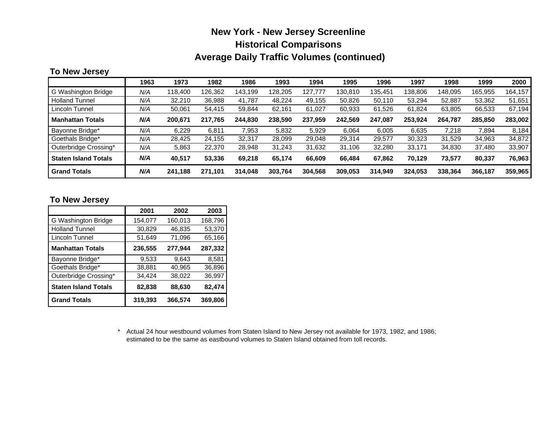# **New York - New Jersey Screenline Historical Comparisons Average Daily Traffic Volumes (continued)**

## **To New Jersey**

|                             | 1963 | 1973    | 1982    | 1986    | 1993    | 1994    | 1995    | 1996    | 1997    | 1998    | 1999    | 2000    |
|-----------------------------|------|---------|---------|---------|---------|---------|---------|---------|---------|---------|---------|---------|
| G Washington Bridge         | N/A  | 118.400 | 126.362 | 143,199 | 128.205 | 127.777 | 130,810 | 135.451 | 138.806 | 148.095 | 165.955 | 164.157 |
| <b>Holland Tunnel</b>       | N/A  | 32,210  | 36.988  | 41.787  | 48.224  | 49,155  | 50,826  | 50,110  | 53,294  | 52.887  | 53,362  | 51,651  |
| Lincoln Tunnel              | N/A  | 50,061  | 54,415  | 59,844  | 62.161  | 61.027  | 60,933  | 61,526  | 61,824  | 63,805  | 66,533  | 67,194  |
| <b>Manhattan Totals</b>     | N/A  | 200.671 | 217,765 | 244,830 | 238.590 | 237,959 | 242.569 | 247,087 | 253.924 | 264,787 | 285,850 | 283,002 |
| Bayonne Bridge*             | N/A  | 6.229   | 6.811   | 7.953   | 5.832   | 5.929   | 6.064   | 6.005   | 6.635   | 7.218   | 7.894   | 8.184   |
| Goethals Bridge*            | N/A  | 28.425  | 24.155  | 32,317  | 28.099  | 29.048  | 29,314  | 29.577  | 30.323  | 31,529  | 34,963  | 34,872  |
| Outerbridge Crossing*       | N/A  | 5,863   | 22,370  | 28,948  | 31.243  | 31,632  | 31,106  | 32,280  | 33,171  | 34,830  | 37,480  | 33,907  |
| <b>Staten Island Totals</b> | N/A  | 40.517  | 53,336  | 69.218  | 65.174  | 66,609  | 66.484  | 67,862  | 70.129  | 73,577  | 80,337  | 76,963  |
| <b>Grand Totals</b>         | N/A  | 241.188 | 271,101 | 314.048 | 303,764 | 304,568 | 309.053 | 314.949 | 324.053 | 338.364 | 366,187 | 359,965 |

#### **To New Jersey**

|                             | 2001    | 2002    | 2003    |
|-----------------------------|---------|---------|---------|
| G Washington Bridge         | 154,077 | 160,013 | 168,796 |
| <b>Holland Tunnel</b>       | 30,829  | 46,835  | 53,370  |
| Lincoln Tunnel              | 51,649  | 71,096  | 65,166  |
| <b>Manhattan Totals</b>     | 236,555 | 277,944 | 287,332 |
| Bayonne Bridge*             | 9,533   | 9,643   | 8,581   |
| Goethals Bridge*            | 38,881  | 40,965  | 36,896  |
| Outerbridge Crossing*       | 34,424  | 38,022  | 36,997  |
| <b>Staten Island Totals</b> | 82,838  | 88,630  | 82,474  |
| <b>Grand Totals</b>         | 319,393 | 366,574 | 369,806 |

\* Actual 24 hour westbound volumes from Staten Island to New Jersey not available for 1973, 1982, and 1986; estimated to be the same as eastbound volumes to Staten Island obtained from toll records.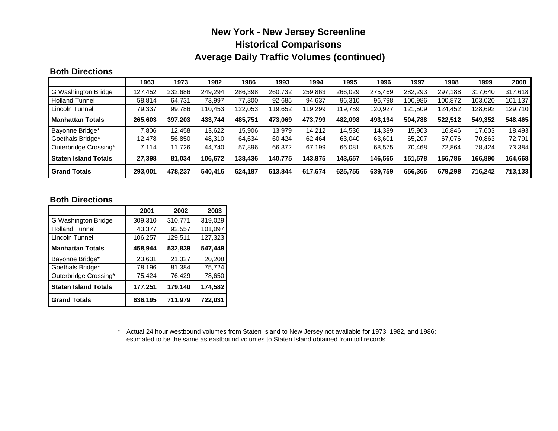# **New York - New Jersey Screenline Historical Comparisons Average Daily Traffic Volumes (continued)**

#### **Both Directions**

|                             | 1963    | 1973    | 1982    | 1986    | 1993    | 1994    | 1995    | 1996    | 1997    | 1998    | 1999    | 2000    |
|-----------------------------|---------|---------|---------|---------|---------|---------|---------|---------|---------|---------|---------|---------|
| G Washington Bridge         | 127,452 | 232.686 | 249.294 | 286,398 | 260,732 | 259,863 | 266.029 | 275.469 | 282,293 | 297.188 | 317.640 | 317,618 |
| <b>Holland Tunnel</b>       | 58,814  | 64.731  | 73.997  | 77,300  | 92,685  | 94,637  | 96,310  | 96.798  | 100,986 | 100.872 | 103,020 | 101,137 |
| Lincoln Tunnel              | 79,337  | 99,786  | 110,453 | 122,053 | 119,652 | 119,299 | 119,759 | 120,927 | 121,509 | 124,452 | 128,692 | 129,710 |
| <b>Manhattan Totals</b>     | 265.603 | 397.203 | 433.744 | 485.751 | 473.069 | 473,799 | 482.098 | 493.194 | 504.788 | 522.512 | 549,352 | 548,465 |
| Bayonne Bridge*             | 806.    | 12.458  | 13,622  | 15,906  | 13.979  | 14,212  | 14.536  | 14.389  | 15.903  | 16.846  | 17,603  | 18,493  |
| Goethals Bridge*            | 12.478  | 56,850  | 48.310  | 64,634  | 60.424  | 62,464  | 63.040  | 63.601  | 65.207  | 67,076  | 70.863  | 72,791  |
| Outerbridge Crossing*       | 114.'   | 11,726  | 44.740  | 57,896  | 66,372  | 67,199  | 66,081  | 68,575  | 70,468  | 72,864  | 78,424  | 73,384  |
| <b>Staten Island Totals</b> | 27,398  | 81.034  | 106.672 | 138.436 | 140.775 | 143.875 | 143.657 | 146.565 | 151.578 | 156.786 | 166,890 | 164,668 |
| <b>Grand Totals</b>         | 293.001 | 478.237 | 540.416 | 624.187 | 613.844 | 617.674 | 625.755 | 639.759 | 656.366 | 679.298 | 716.242 | 713,133 |

#### **Both Directions**

|                             | 2001    | 2002    | 2003    |
|-----------------------------|---------|---------|---------|
| G Washington Bridge         | 309,310 | 310,771 | 319,029 |
| <b>Holland Tunnel</b>       | 43,377  | 92,557  | 101,097 |
| Lincoln Tunnel              | 106,257 | 129,511 | 127,323 |
| <b>Manhattan Totals</b>     | 458,944 | 532,839 | 547,449 |
| Bayonne Bridge*             | 23,631  | 21,327  | 20,208  |
| Goethals Bridge*            | 78,196  | 81,384  | 75,724  |
| Outerbridge Crossing*       | 75,424  | 76,429  | 78,650  |
| <b>Staten Island Totals</b> | 177,251 | 179,140 | 174,582 |
| <b>Grand Totals</b>         | 636,195 | 711,979 | 722,031 |

\* Actual 24 hour westbound volumes from Staten Island to New Jersey not available for 1973, 1982, and 1986; estimated to be the same as eastbound volumes to Staten Island obtained from toll records.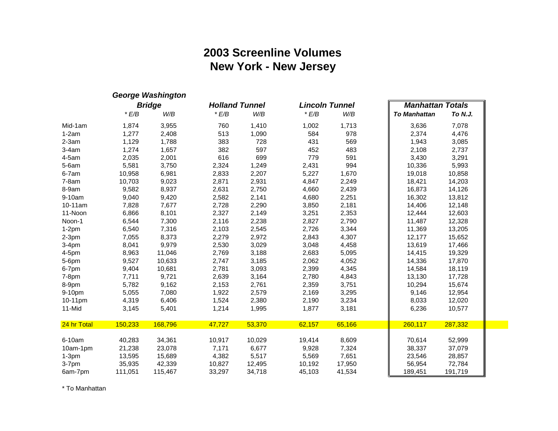# **2003 Screenline Volumes New York - New Jersey**

|             |         | <b>George Washington</b> |                       |        |                       |        |                         |         |
|-------------|---------|--------------------------|-----------------------|--------|-----------------------|--------|-------------------------|---------|
|             |         | <b>Bridge</b>            | <b>Holland Tunnel</b> |        | <b>Lincoln Tunnel</b> |        | <b>Manhattan Totals</b> |         |
|             | E/B     | W/B                      | E/B                   | W/B    | E/B                   | W/B    | <b>To Manhattan</b>     | To N.J. |
| Mid-1am     | 1,874   | 3,955                    | 760                   | 1,410  | 1,002                 | 1,713  | 3,636                   | 7,078   |
| $1-2am$     | 1,277   | 2,408                    | 513                   | 1,090  | 584                   | 978    | 2,374                   | 4,476   |
| $2-3am$     | 1,129   | 1,788                    | 383                   | 728    | 431                   | 569    | 1,943                   | 3,085   |
| $3-4am$     | 1,274   | 1,657                    | 382                   | 597    | 452                   | 483    | 2,108                   | 2,737   |
| $4-5am$     | 2,035   | 2,001                    | 616                   | 699    | 779                   | 591    | 3,430                   | 3,291   |
| $5-6am$     | 5,581   | 3,750                    | 2,324                 | 1,249  | 2,431                 | 994    | 10,336                  | 5,993   |
| 6-7am       | 10,958  | 6,981                    | 2,833                 | 2,207  | 5,227                 | 1,670  | 19,018                  | 10,858  |
| $7-8am$     | 10,703  | 9,023                    | 2,871                 | 2,931  | 4,847                 | 2,249  | 18,421                  | 14,203  |
| 8-9am       | 9,582   | 8,937                    | 2,631                 | 2,750  | 4,660                 | 2,439  | 16,873                  | 14,126  |
| 9-10am      | 9,040   | 9,420                    | 2,582                 | 2,141  | 4,680                 | 2,251  | 16,302                  | 13,812  |
| 10-11am     | 7,828   | 7,677                    | 2,728                 | 2,290  | 3,850                 | 2,181  | 14,406                  | 12,148  |
| 11-Noon     | 6,866   | 8,101                    | 2,327                 | 2,149  | 3,251                 | 2,353  | 12,444                  | 12,603  |
| Noon-1      | 6,544   | 7,300                    | 2,116                 | 2,238  | 2,827                 | 2,790  | 11,487                  | 12,328  |
| $1-2pm$     | 6,540   | 7,316                    | 2,103                 | 2,545  | 2,726                 | 3,344  | 11,369                  | 13,205  |
| $2-3pm$     | 7,055   | 8,373                    | 2,279                 | 2,972  | 2,843                 | 4,307  | 12,177                  | 15,652  |
| $3-4pm$     | 8,041   | 9,979                    | 2,530                 | 3,029  | 3,048                 | 4,458  | 13,619                  | 17,466  |
| $4-5$ pm    | 8,963   | 11,046                   | 2,769                 | 3,188  | 2,683                 | 5,095  | 14,415                  | 19,329  |
| 5-6pm       | 9,527   | 10,633                   | 2,747                 | 3,185  | 2,062                 | 4,052  | 14,336                  | 17,870  |
| 6-7pm       | 9,404   | 10,681                   | 2,781                 | 3,093  | 2,399                 | 4,345  | 14,584                  | 18,119  |
| $7-8pm$     | 7,711   | 9,721                    | 2,639                 | 3,164  | 2,780                 | 4,843  | 13,130                  | 17,728  |
| 8-9pm       | 5,782   | 9,162                    | 2,153                 | 2,761  | 2,359                 | 3,751  | 10,294                  | 15,674  |
| 9-10pm      | 5,055   | 7,080                    | 1,922                 | 2,579  | 2,169                 | 3,295  | 9,146                   | 12,954  |
| 10-11pm     | 4,319   | 6,406                    | 1,524                 | 2,380  | 2,190                 | 3,234  | 8,033                   | 12,020  |
| 11-Mid      | 3,145   | 5,401                    | 1,214                 | 1,995  | 1,877                 | 3,181  | 6,236                   | 10,577  |
| 24 hr Total | 150,233 | 168,796                  | 47,727                | 53,370 | 62,157                | 65,166 | 260,117                 | 287,332 |
|             |         |                          |                       |        |                       |        |                         |         |
| 6-10am      | 40,283  | 34,361                   | 10,917                | 10,029 | 19,414                | 8,609  | 70,614                  | 52,999  |
| 10am-1pm    | 21,238  | 23,078                   | 7,171                 | 6,677  | 9,928                 | 7,324  | 38,337                  | 37,079  |
| $1-3pm$     | 13,595  | 15,689                   | 4,382                 | 5,517  | 5,569                 | 7,651  | 23,546                  | 28,857  |
| 3-7pm       | 35,935  | 42,339                   | 10,827                | 12,495 | 10,192                | 17,950 | 56,954                  | 72,784  |
| 6am-7pm     | 111,051 | 115,467                  | 33,297                | 34,718 | 45,103                | 41,534 | 189,451                 | 191,719 |

\* To Manhattan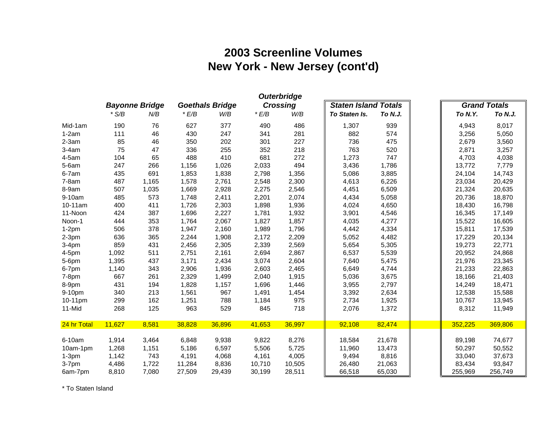# **2003 Screenline Volumes New York - New Jersey (cont'd)**

| <b>Outerbridge</b> |         |                       |        |                        |        |                 |                             |         |  |                |                     |  |
|--------------------|---------|-----------------------|--------|------------------------|--------|-----------------|-----------------------------|---------|--|----------------|---------------------|--|
|                    |         | <b>Bayonne Bridge</b> |        | <b>Goethals Bridge</b> |        | <b>Crossing</b> | <b>Staten Island Totals</b> |         |  |                | <b>Grand Totals</b> |  |
|                    | $*$ S/B | N/B                   | E/B    | W/B                    | E/B    | W/B             | To Staten Is.               | To N.J. |  | <b>To N.Y.</b> | To N.J.             |  |
| Mid-1am            | 190     | 76                    | 627    | 377                    | 490    | 486             | 1,307                       | 939     |  | 4,943          | 8,017               |  |
| $1-2am$            | 111     | 46                    | 430    | 247                    | 341    | 281             | 882                         | 574     |  | 3,256          | 5,050               |  |
| $2-3am$            | 85      | 46                    | 350    | 202                    | 301    | 227             | 736                         | 475     |  | 2,679          | 3,560               |  |
| $3-4am$            | 75      | 47                    | 336    | 255                    | 352    | 218             | 763                         | 520     |  | 2,871          | 3,257               |  |
| $4-5am$            | 104     | 65                    | 488    | 410                    | 681    | 272             | 1,273                       | 747     |  | 4,703          | 4,038               |  |
| $5-6am$            | 247     | 266                   | 1,156  | 1,026                  | 2,033  | 494             | 3,436                       | 1,786   |  | 13,772         | 7,779               |  |
| 6-7am              | 435     | 691                   | 1,853  | 1,838                  | 2,798  | 1,356           | 5,086                       | 3,885   |  | 24,104         | 14,743              |  |
| $7-8am$            | 487     | 1,165                 | 1,578  | 2,761                  | 2,548  | 2,300           | 4,613                       | 6,226   |  | 23,034         | 20,429              |  |
| 8-9am              | 507     | 1,035                 | 1,669  | 2,928                  | 2,275  | 2,546           | 4,451                       | 6,509   |  | 21,324         | 20,635              |  |
| 9-10am             | 485     | 573                   | 1,748  | 2,411                  | 2,201  | 2,074           | 4,434                       | 5,058   |  | 20,736         | 18,870              |  |
| 10-11am            | 400     | 411                   | 1,726  | 2,303                  | 1,898  | 1,936           | 4,024                       | 4,650   |  | 18,430         | 16,798              |  |
| 11-Noon            | 424     | 387                   | 1,696  | 2,227                  | 1,781  | 1,932           | 3,901                       | 4,546   |  | 16,345         | 17,149              |  |
| Noon-1             | 444     | 353                   | 1,764  | 2,067                  | 1,827  | 1,857           | 4,035                       | 4,277   |  | 15,522         | 16,605              |  |
| $1-2pm$            | 506     | 378                   | 1,947  | 2,160                  | 1,989  | 1,796           | 4,442                       | 4,334   |  | 15,811         | 17,539              |  |
| $2-3$ pm           | 636     | 365                   | 2,244  | 1,908                  | 2,172  | 2,209           | 5,052                       | 4,482   |  | 17,229         | 20,134              |  |
| $3-4pm$            | 859     | 431                   | 2,456  | 2,305                  | 2,339  | 2,569           | 5,654                       | 5,305   |  | 19,273         | 22,771              |  |
| $4-5$ pm           | 1,092   | 511                   | 2,751  | 2,161                  | 2,694  | 2,867           | 6,537                       | 5,539   |  | 20,952         | 24,868              |  |
| 5-6pm              | 1,395   | 437                   | 3,171  | 2,434                  | 3,074  | 2,604           | 7,640                       | 5,475   |  | 21,976         | 23,345              |  |
| 6-7pm              | 1,140   | 343                   | 2,906  | 1,936                  | 2,603  | 2,465           | 6,649                       | 4,744   |  | 21,233         | 22,863              |  |
| $7-8pm$            | 667     | 261                   | 2,329  | 1,499                  | 2,040  | 1,915           | 5,036                       | 3,675   |  | 18,166         | 21,403              |  |
| 8-9pm              | 431     | 194                   | 1,828  | 1,157                  | 1,696  | 1,446           | 3,955                       | 2,797   |  | 14,249         | 18,471              |  |
| 9-10pm             | 340     | 213                   | 1,561  | 967                    | 1,491  | 1,454           | 3,392                       | 2,634   |  | 12,538         | 15,588              |  |
| 10-11pm            | 299     | 162                   | 1,251  | 788                    | 1,184  | 975             | 2,734                       | 1,925   |  | 10,767         | 13,945              |  |
| 11-Mid             | 268     | 125                   | 963    | 529                    | 845    | 718             | 2,076                       | 1,372   |  | 8,312          | 11,949              |  |
|                    |         |                       |        |                        |        |                 |                             |         |  |                |                     |  |
| 24 hr Total        | 11,627  | 8,581                 | 38,828 | 36,896                 | 41,653 | 36,997          | 92,108                      | 82,474  |  | 352,225        | 369,806             |  |
| 6-10am             | 1,914   | 3,464                 | 6,848  | 9,938                  | 9,822  | 8,276           | 18,584                      | 21,678  |  | 89,198         | 74,677              |  |
| 10am-1pm           | 1,268   | 1,151                 | 5,186  | 6,597                  | 5,506  | 5,725           | 11,960                      | 13,473  |  | 50,297         | 50,552              |  |
| $1-3pm$            | 1,142   | 743                   | 4,191  | 4,068                  | 4,161  | 4,005           | 9,494                       | 8,816   |  | 33,040         | 37,673              |  |
| 3-7pm              | 4,486   | 1,722                 | 11,284 | 8,836                  | 10,710 | 10,505          | 26,480                      | 21,063  |  | 83,434         | 93,847              |  |
| 6am-7pm            | 8,810   | 7,080                 | 27,509 | 29,439                 | 30,199 | 28,511          | 66,518                      | 65,030  |  | 255,969        | 256,749             |  |

\* To Staten Island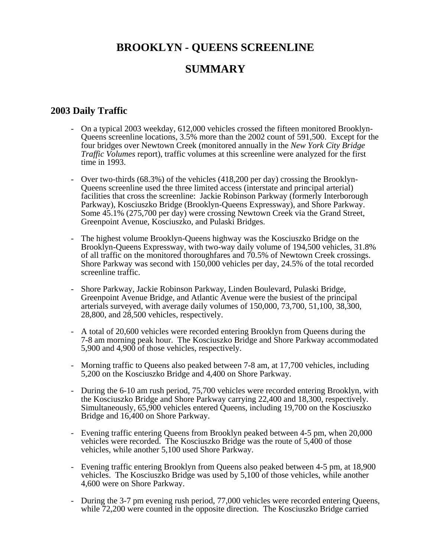# **BROOKLYN - QUEENS SCREENLINE**

# **SUMMARY**

# **2003 Daily Traffic**

- On a typical 2003 weekday, 612,000 vehicles crossed the fifteen monitored Brooklyn-Queens screenline locations, 3.5% more than the 2002 count of 591,500. Except for the four bridges over Newtown Creek (monitored annually in the *New York City Bridge Traffic Volumes* report), traffic volumes at this screenline were analyzed for the first time in 1993.
- Over two-thirds (68.3%) of the vehicles (418,200 per day) crossing the Brooklyn-Queens screenline used the three limited access (interstate and principal arterial) facilities that cross the screenline: Jackie Robinson Parkway (formerly Interborough Parkway), Kosciuszko Bridge (Brooklyn-Queens Expressway), and Shore Parkway. Some 45.1% (275,700 per day) were crossing Newtown Creek via the Grand Street, Greenpoint Avenue, Kosciuszko, and Pulaski Bridges.
- The highest volume Brooklyn-Queens highway was the Kosciuszko Bridge on the Brooklyn-Queens Expressway, with two-way daily volume of 194,500 vehicles, 31.8% of all traffic on the monitored thoroughfares and 70.5% of Newtown Creek crossings. Shore Parkway was second with 150,000 vehicles per day, 24.5% of the total recorded screenline traffic.
- Shore Parkway, Jackie Robinson Parkway, Linden Boulevard, Pulaski Bridge, Greenpoint Avenue Bridge, and Atlantic Avenue were the busiest of the principal arterials surveyed, with average daily volumes of 150,000, 73,700, 51,100, 38,300, 28,800, and 28,500 vehicles, respectively.
- A total of 20,600 vehicles were recorded entering Brooklyn from Queens during the 7-8 am morning peak hour. The Kosciuszko Bridge and Shore Parkway accommodated 5,900 and 4,900 of those vehicles, respectively.
- Morning traffic to Queens also peaked between 7-8 am, at 17,700 vehicles, including 5,200 on the Kosciuszko Bridge and 4,400 on Shore Parkway.
- During the 6-10 am rush period, 75,700 vehicles were recorded entering Brooklyn, with the Kosciuszko Bridge and Shore Parkway carrying 22,400 and 18,300, respectively. Simultaneously, 65,900 vehicles entered Queens, including 19,700 on the Kosciuszko Bridge and 16,400 on Shore Parkway.
- Evening traffic entering Queens from Brooklyn peaked between 4-5 pm, when 20,000 vehicles were recorded. The Kosciuszko Bridge was the route of 5,400 of those vehicles, while another 5,100 used Shore Parkway.
- Evening traffic entering Brooklyn from Queens also peaked between 4-5 pm, at 18,900 vehicles. The Kosciuszko Bridge was used by 5,100 of those vehicles, while another 4,600 were on Shore Parkway.
- During the 3-7 pm evening rush period, 77,000 vehicles were recorded entering Queens, while 72,200 were counted in the opposite direction. The Kosciuszko Bridge carried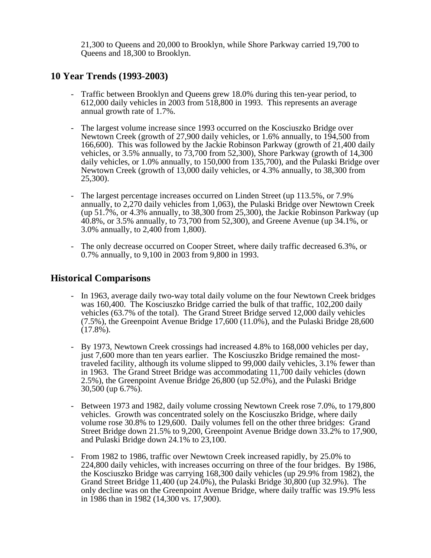21,300 to Queens and 20,000 to Brooklyn, while Shore Parkway carried 19,700 to Queens and 18,300 to Brooklyn.

## **10 Year Trends (1993-2003)**

- Traffic between Brooklyn and Queens grew 18.0% during this ten-year period, to 612,000 daily vehicles in 2003 from 518,800 in 1993. This represents an average annual growth rate of 1.7%.
- The largest volume increase since 1993 occurred on the Kosciuszko Bridge over Newtown Creek (growth of 27,900 daily vehicles, or 1.6% annually, to 194,500 from 166,600). This was followed by the Jackie Robinson Parkway (growth of 21,400 daily vehicles, or 3.5% annually, to 73,700 from 52,300), Shore Parkway (growth of 14,300 daily vehicles, or 1.0% annually, to 150,000 from 135,700), and the Pulaski Bridge over Newtown Creek (growth of 13,000 daily vehicles, or 4.3% annually, to 38,300 from 25,300).
- The largest percentage increases occurred on Linden Street (up 113.5%, or 7.9%) annually, to 2,270 daily vehicles from 1,063), the Pulaski Bridge over Newtown Creek (up 51.7%, or 4.3% annually, to 38,300 from 25,300), the Jackie Robinson Parkway (up 40.8%, or 3.5% annually, to 73,700 from 52,300), and Greene Avenue (up 34.1%, or 3.0% annually, to 2,400 from 1,800).
- The only decrease occurred on Cooper Street, where daily traffic decreased 6.3%, or 0.7% annually, to 9,100 in 2003 from 9,800 in 1993.

## **Historical Comparisons**

- In 1963, average daily two-way total daily volume on the four Newtown Creek bridges was 160,400. The Kosciuszko Bridge carried the bulk of that traffic, 102,200 daily vehicles (63.7% of the total). The Grand Street Bridge served 12,000 daily vehicles (7.5%), the Greenpoint Avenue Bridge 17,600 (11.0%), and the Pulaski Bridge 28,600  $(17.8\%)$ .
- By 1973, Newtown Creek crossings had increased 4.8% to 168,000 vehicles per day, just 7,600 more than ten years earlier. The Kosciuszko Bridge remained the mosttraveled facility, although its volume slipped to 99,000 daily vehicles, 3.1% fewer than in 1963. The Grand Street Bridge was accommodating 11,700 daily vehicles (down 2.5%), the Greenpoint Avenue Bridge 26,800 (up 52.0%), and the Pulaski Bridge 30,500 (up 6.7%).
- Between 1973 and 1982, daily volume crossing Newtown Creek rose 7.0%, to 179,800 vehicles. Growth was concentrated solely on the Kosciuszko Bridge, where daily volume rose 30.8% to 129,600. Daily volumes fell on the other three bridges: Grand Street Bridge down 21.5% to 9,200, Greenpoint Avenue Bridge down 33.2% to 17,900, and Pulaski Bridge down 24.1% to 23,100.
- From 1982 to 1986, traffic over Newtown Creek increased rapidly, by 25.0% to 224,800 daily vehicles, with increases occurring on three of the four bridges. By 1986, the Kosciuszko Bridge was carrying 168,300 daily vehicles (up 29.9% from 1982), the Grand Street Bridge 11,400 (up 24.0%), the Pulaski Bridge 30,800 (up 32.9%). The only decline was on the Greenpoint Avenue Bridge, where daily traffic was 19.9% less in 1986 than in 1982 (14,300 vs. 17,900).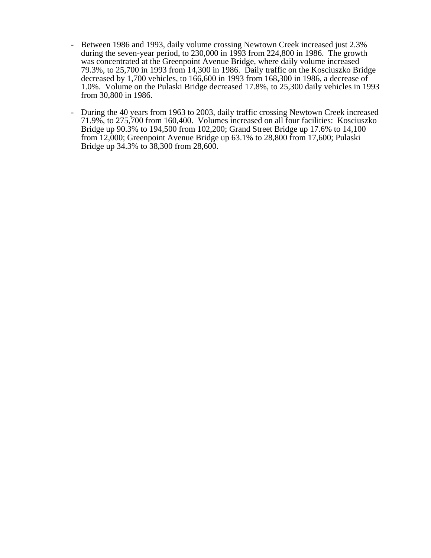- Between 1986 and 1993, daily volume crossing Newtown Creek increased just 2.3% during the seven-year period, to 230,000 in 1993 from 224,800 in 1986. The growth was concentrated at the Greenpoint Avenue Bridge, where daily volume increased 79.3%, to 25,700 in 1993 from 14,300 in 1986. Daily traffic on the Kosciuszko Bridge decreased by 1,700 vehicles, to 166,600 in 1993 from 168,300 in 1986, a decrease of 1.0%. Volume on the Pulaski Bridge decreased 17.8%, to 25,300 daily vehicles in 1993 from 30,800 in 1986.
- During the 40 years from 1963 to 2003, daily traffic crossing Newtown Creek increased 71.9%, to 275,700 from 160,400. Volumes increased on all four facilities: Kosciuszko Bridge up 90.3% to 194,500 from 102,200; Grand Street Bridge up 17.6% to 14,100 from 12,000; Greenpoint Avenue Bridge up 63.1% to 28,800 from 17,600; Pulaski Bridge up 34.3% to 38,300 from 28,600.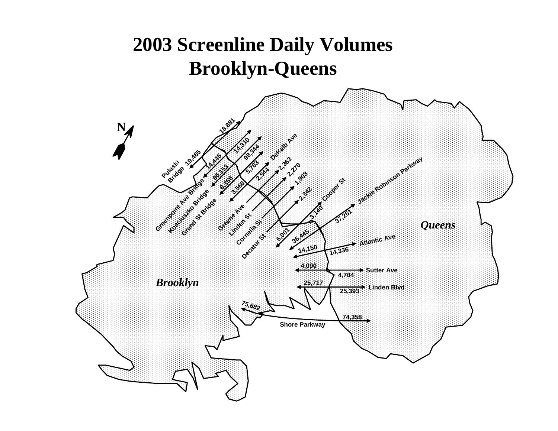# **2003 Screenline Daily Volumes Brooklyn-Queens**

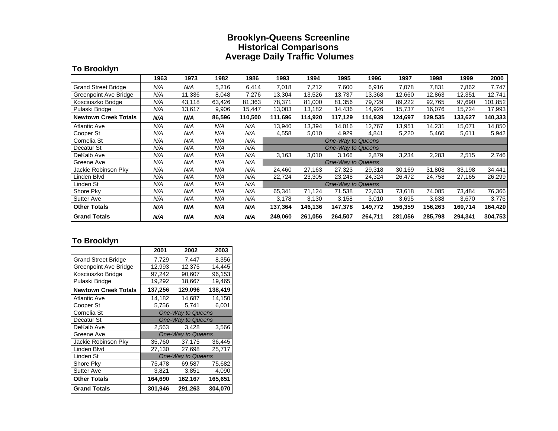#### **Brooklyn-Queens Screenline Historical Comparisons Average Daily Traffic Volumes**

## **To Brooklyn**

|                              | 1963 | 1973   | 1982   | 1986    | 1993              | 1994    | 1995                     | 1996    | 1997    | 1998    | 1999    | 2000    |
|------------------------------|------|--------|--------|---------|-------------------|---------|--------------------------|---------|---------|---------|---------|---------|
| <b>Grand Street Bridge</b>   | N/A  | N/A    | 5,216  | 6,414   | 7,018             | 7,212   | 7,600                    | 6,916   | 7,078   | 7,831   | 7,862   | 7,747   |
| <b>Greenpoint Ave Bridge</b> | N/A  | 11,336 | 8,048  | 7,276   | 13,304            | 13,526  | 13,737                   | 13,368  | 12,660  | 12,863  | 12,351  | 12,741  |
| Kosciuszko Bridge            | N/A  | 43,118 | 63,426 | 81,363  | 78,371            | 81,000  | 81,356                   | 79,729  | 89,222  | 92,765  | 97,690  | 101,852 |
| Pulaski Bridge               | N/A  | 13,617 | 9,906  | 15,447  | 13,003            | 13,182  | 14,436                   | 14,926  | 15,737  | 16,076  | 15,724  | 17,993  |
| <b>Newtown Creek Totals</b>  | N/A  | N/A    | 86,596 | 110,500 | 111,696           | 114,920 | 117,129                  | 114,939 | 124,697 | 129,535 | 133,627 | 140,333 |
| <b>Atlantic Ave</b>          | N/A  | N/A    | N/A    | N/A     | 13,940            | 13,394  | 14,016                   | 12,767  | 13,951  | 14,231  | 15,071  | 14,850  |
| Cooper St                    | N/A  | N/A    | N/A    | N/A     | 4,558             | 5,010   | 4,929                    | 4,841   | 5,220   | 5,460   | 5,611   | 5,942   |
| Cornelia St                  | N/A  | N/A    | N/A    | N/A     | One-Way to Queens |         |                          |         |         |         |         |         |
| Decatur St                   | N/A  | N/A    | N/A    | N/A     |                   |         | <b>One-Way to Queens</b> |         |         |         |         |         |
| DeKalb Ave                   | N/A  | N/A    | N/A    | N/A     | 3,163             | 3,010   | 3,166                    | 2,879   | 3,234   | 2,283   | 2,515   | 2,746   |
| Greene Ave                   | N/A  | N/A    | N/A    | N/A     |                   |         | <b>One-Way to Queens</b> |         |         |         |         |         |
| Jackie Robinson Pky          | N/A  | N/A    | N/A    | N/A     | 24,460            | 27,163  | 27,323                   | 29,318  | 30,169  | 31,808  | 33,198  | 34,441  |
| Linden Blvd                  | N/A  | N/A    | N/A    | N/A     | 22,724            | 23,305  | 23,248                   | 24,324  | 26,472  | 24,758  | 27,165  | 26,299  |
| Linden St                    | N/A  | N/A    | N/A    | N/A     |                   |         | <b>One-Way to Queens</b> |         |         |         |         |         |
| Shore Pky                    | N/A  | N/A    | N/A    | N/A     | 65,341            | 71,124  | 71,538                   | 72,633  | 73,618  | 74,085  | 73,484  | 76,366  |
| <b>Sutter Ave</b>            | N/A  | N/A    | N/A    | N/A     | 3,178             | 3,130   | 3,158                    | 3,010   | 3,695   | 3,638   | 3,670   | 3,776   |
| <b>Other Totals</b>          | N/A  | N/A    | N/A    | N/A     | 137,364           | 146,136 | 147,378                  | 149,772 | 156,359 | 156,263 | 160,714 | 164,420 |
| <b>Grand Totals</b>          | N/A  | N/A    | N/A    | N/A     | 249,060           | 261,056 | 264,507                  | 264,711 | 281,056 | 285,798 | 294,341 | 304,753 |

## **To Brooklyn**

|                              | 2001                     | 2002              | 2003    |  |  |  |  |
|------------------------------|--------------------------|-------------------|---------|--|--|--|--|
| <b>Grand Street Bridge</b>   | 7,729                    | 7,447             | 8,356   |  |  |  |  |
| <b>Greenpoint Ave Bridge</b> | 12,993                   | 12,375            | 14,445  |  |  |  |  |
| Kosciuszko Bridge            | 97,242                   | 90,607            | 96,153  |  |  |  |  |
| Pulaski Bridge               | 19,292                   | 18,667            | 19,465  |  |  |  |  |
| <b>Newtown Creek Totals</b>  | 137,256                  | 129,096           | 138,419 |  |  |  |  |
| <b>Atlantic Ave</b>          | 14,182                   | 14,687            | 14,150  |  |  |  |  |
| Cooper St                    | 5,756                    | 5,741             | 6,001   |  |  |  |  |
| Cornelia St                  | One-Way to Queens        |                   |         |  |  |  |  |
| Decatur St                   |                          | One-Way to Queens |         |  |  |  |  |
| DeKalb Ave                   | 2,563                    | 3.428             | 3,566   |  |  |  |  |
| Greene Ave                   | <b>One-Way to Queens</b> |                   |         |  |  |  |  |
| Jackie Robinson Pky          | 35,760                   | 37,175            | 36,445  |  |  |  |  |
| Linden Blvd                  | 27,130                   | 27,698            | 25,717  |  |  |  |  |
| Linden St                    |                          | One-Way to Queens |         |  |  |  |  |
| Shore Pky                    | 75,478                   | 69,587            | 75,682  |  |  |  |  |
| <b>Sutter Ave</b>            | 3,821                    | 3.851             | 4,090   |  |  |  |  |
| <b>Other Totals</b>          | 164,690                  | 162,167           | 165,651 |  |  |  |  |
| <b>Grand Totals</b>          | 301,946                  | 291,263           | 304,070 |  |  |  |  |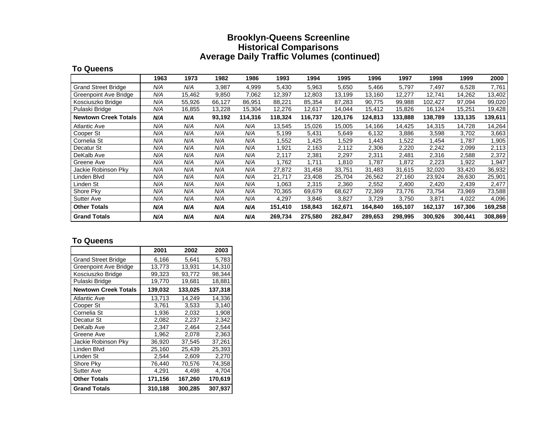#### **Brooklyn-Queens Screenline Historical Comparisons Average Daily Traffic Volumes (continued)**

#### **To Queens**

|                              | 1963 | 1973   | 1982   | 1986    | 1993    | 1994    | 1995    | 1996    | 1997    | 1998    | 1999    | 2000    |
|------------------------------|------|--------|--------|---------|---------|---------|---------|---------|---------|---------|---------|---------|
| <b>Grand Street Bridge</b>   | N/A  | N/A    | 3,987  | 4,999   | 5,430   | 5,963   | 5,650   | 5,466   | 5,797   | 7,497   | 6,528   | 7,761   |
| <b>Greenpoint Ave Bridge</b> | N/A  | 15,462 | 9,850  | 7.062   | 12,397  | 12,803  | 13,199  | 13,160  | 12,277  | 12,741  | 14,262  | 13,402  |
| Kosciuszko Bridge            | N/A  | 55,926 | 66,127 | 86,951  | 88,221  | 85,354  | 87,283  | 90.775  | 99,988  | 102,427 | 97,094  | 99,020  |
| Pulaski Bridge               | N/A  | 16,855 | 13,228 | 15,304  | 12,276  | 12,617  | 14,044  | 15,412  | 15,826  | 16,124  | 15,251  | 19,428  |
| <b>Newtown Creek Totals</b>  | N/A  | N/A    | 93,192 | 114,316 | 118,324 | 116,737 | 120,176 | 124,813 | 133,888 | 138,789 | 133,135 | 139,611 |
| <b>Atlantic Ave</b>          | N/A  | N/A    | N/A    | N/A     | 13,545  | 15,026  | 15,005  | 14,166  | 14,425  | 14,315  | 14,728  | 14,264  |
| Cooper St                    | N/A  | N/A    | N/A    | N/A     | 5.199   | 5,431   | 5,649   | 6,132   | 3,886   | 3,598   | 3,702   | 3,663   |
| Cornelia St                  | N/A  | N/A    | N/A    | N/A     | .552    | 1,425   | 1,529   | 1,443   | .522    | 1,454   | 1,787   | 1,905   |
| Decatur St                   | N/A  | N/A    | N/A    | N/A     | .921    | 2,163   | 2,112   | 2,306   | 2,220   | 2,242   | 2,099   | 2,113   |
| DeKalb Ave                   | N/A  | N/A    | N/A    | N/A     | 2,117   | 2,381   | 2,297   | 2,311   | 2,481   | 2,316   | 2,588   | 2,372   |
| Greene Ave                   | N/A  | N/A    | N/A    | N/A     | .762    | 1,711   | 1,810   | 1,787   | .872    | 2,223   | 1,922   | 1,947   |
| Jackie Robinson Pky          | N/A  | N/A    | N/A    | N/A     | 27,872  | 31,458  | 33,751  | 31,483  | 31,615  | 32,020  | 33,420  | 36,932  |
| Linden Blvd                  | N/A  | N/A    | N/A    | N/A     | 21,717  | 23,408  | 25,704  | 26,562  | 27,160  | 23,924  | 26,630  | 25,901  |
| Linden St                    | N/A  | N/A    | N/A    | N/A     | 1,063   | 2,315   | 2,360   | 2,552   | 2,400   | 2,420   | 2,439   | 2,477   |
| Shore Pky                    | N/A  | N/A    | N/A    | N/A     | 70,365  | 69,679  | 68,627  | 72,369  | 73,776  | 73,754  | 73,969  | 73,588  |
| <b>Sutter Ave</b>            | N/A  | N/A    | N/A    | N/A     | 4,297   | 3,846   | 3,827   | 3,729   | 3,750   | 3,871   | 4,022   | 4,096   |
| <b>Other Totals</b>          | N/A  | N/A    | N/A    | N/A     | 151,410 | 158,843 | 162,671 | 164,840 | 165,107 | 162,137 | 167,306 | 169,258 |
| <b>Grand Totals</b>          | N/A  | N/A    | N/A    | N/A     | 269,734 | 275,580 | 282,847 | 289,653 | 298,995 | 300,926 | 300,441 | 308,869 |

#### **To Queens**

|                             | 2001    | 2002    | 2003    |
|-----------------------------|---------|---------|---------|
| <b>Grand Street Bridge</b>  | 6,166   | 5,641   | 5,783   |
| Greenpoint Ave Bridge       | 13,773  | 13,931  | 14,310  |
| Kosciuszko Bridge           | 99,323  | 93,772  | 98,344  |
| Pulaski Bridge              | 19,770  | 19,681  | 18,881  |
| <b>Newtown Creek Totals</b> | 139,032 | 133,025 | 137,318 |
| Atlantic Ave                | 13,713  | 14.249  | 14,336  |
| Cooper St                   | 3,761   | 3,533   | 3,140   |
| Cornelia St                 | 1,936   | 2,032   | 1,908   |
| Decatur St                  | 2,082   | 2,237   | 2,342   |
| DeKalb Ave                  | 2,347   | 2,464   | 2,544   |
| Greene Ave                  | 1.962   | 2.078   | 2,363   |
| Jackie Robinson Pky         | 36,920  | 37,545  | 37,261  |
| Linden Blvd                 | 25,160  | 25,439  | 25,393  |
| Linden St                   | 2,544   | 2,609   | 2,270   |
| Shore Pky                   | 76,440  | 70,576  | 74,358  |
| <b>Sutter Ave</b>           | 4,291   | 4,498   | 4,704   |
| <b>Other Totals</b>         | 171,156 | 167,260 | 170,619 |
| <b>Grand Totals</b>         | 310,188 | 300,285 | 307,937 |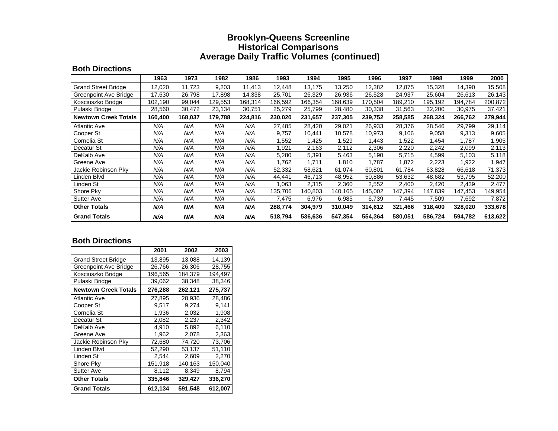#### **Brooklyn-Queens Screenline Historical Comparisons Average Daily Traffic Volumes (continued)**

#### **Both Directions**

|                             | 1963    | 1973    | 1982    | 1986    | 1993    | 1994    | 1995    | 1996    | 1997    | 1998    | 1999    | 2000    |
|-----------------------------|---------|---------|---------|---------|---------|---------|---------|---------|---------|---------|---------|---------|
| <b>Grand Street Bridge</b>  | 12,020  | 11,723  | 9,203   | 11,413  | 12,448  | 13,175  | 13,250  | 12,382  | 12,875  | 15,328  | 14,390  | 15,508  |
| Greenpoint Ave Bridge       | 17,630  | 26,798  | 17,898  | 14,338  | 25,701  | 26,329  | 26,936  | 26,528  | 24,937  | 25,604  | 26,613  | 26,143  |
| Kosciuszko Bridge           | 102,190 | 99,044  | 129,553 | 168,314 | 166,592 | 166,354 | 168,639 | 170,504 | 189,210 | 195,192 | 194,784 | 200,872 |
| Pulaski Bridge              | 28,560  | 30,472  | 23,134  | 30,751  | 25,279  | 25,799  | 28,480  | 30,338  | 31,563  | 32,200  | 30,975  | 37,421  |
| <b>Newtown Creek Totals</b> | 160,400 | 168,037 | 179,788 | 224,816 | 230,020 | 231,657 | 237,305 | 239,752 | 258,585 | 268,324 | 266,762 | 279,944 |
| <b>Atlantic Ave</b>         | N/A     | N/A     | N/A     | N/A     | 27,485  | 28,420  | 29,021  | 26,933  | 28,376  | 28,546  | 29,799  | 29,114  |
| Cooper St                   | N/A     | N/A     | N/A     | N/A     | 9,757   | 10,441  | 10,578  | 10,973  | 9,106   | 9,058   | 9,313   | 9,605   |
| Cornelia St                 | N/A     | N/A     | N/A     | N/A     | .552    | 1,425   | 1,529   | 1,443   | .522    | 1,454   | 1,787   | 1,905   |
| Decatur St                  | N/A     | N/A     | N/A     | N/A     | .921    | 2,163   | 2,112   | 2,306   | 2,220   | 2,242   | 2,099   | 2,113   |
| DeKalb Ave                  | N/A     | N/A     | N/A     | N/A     | 5,280   | 5,391   | 5,463   | 5,190   | 5,715   | 4,599   | 5,103   | 5,118   |
| Greene Ave                  | N/A     | N/A     | N/A     | N/A     | .762    | 1,711   | 1,810   | 1,787   | .872    | 2,223   | 1,922   | 1,947   |
| Jackie Robinson Pky         | N/A     | N/A     | N/A     | N/A     | 52,332  | 58,621  | 61,074  | 60,801  | 61,784  | 63,828  | 66,618  | 71,373  |
| Linden Blvd                 | N/A     | N/A     | N/A     | N/A     | 44,441  | 46,713  | 48,952  | 50,886  | 53,632  | 48,682  | 53,795  | 52,200  |
| Linden St                   | N/A     | N/A     | N/A     | N/A     | 1,063   | 2,315   | 2,360   | 2,552   | 2,400   | 2,420   | 2,439   | 2,477   |
| Shore Pky                   | N/A     | N/A     | N/A     | N/A     | 135.706 | 140,803 | 140,165 | 145,002 | 147,394 | 147,839 | 147,453 | 149,954 |
| <b>Sutter Ave</b>           | N/A     | N/A     | N/A     | N/A     | 7,475   | 6,976   | 6,985   | 6,739   | 7,445   | 7,509   | 7,692   | 7,872   |
| <b>Other Totals</b>         | N/A     | N/A     | N/A     | N/A     | 288,774 | 304,979 | 310,049 | 314,612 | 321,466 | 318,400 | 328,020 | 333,678 |
| <b>Grand Totals</b>         | N/A     | N/A     | N/A     | N/A     | 518,794 | 536,636 | 547,354 | 554,364 | 580,051 | 586,724 | 594,782 | 613,622 |

#### **Both Directions**

|                             | 2001    | 2002    | 2003    |
|-----------------------------|---------|---------|---------|
| <b>Grand Street Bridge</b>  | 13,895  | 13,088  | 14,139  |
| Greenpoint Ave Bridge       | 26,766  | 26,306  | 28,755  |
| Kosciuszko Bridge           | 196,565 | 184.379 | 194,497 |
| Pulaski Bridge              | 39,062  | 38,348  | 38,346  |
| <b>Newtown Creek Totals</b> | 276,288 | 262,121 | 275,737 |
| <b>Atlantic Ave</b>         | 27,895  | 28,936  | 28,486  |
| Cooper St                   | 9.517   | 9.274   | 9,141   |
| Cornelia St                 | 1,936   | 2,032   | 1,908   |
| Decatur St                  | 2,082   | 2,237   | 2,342   |
| DeKalb Ave                  | 4.910   | 5.892   | 6,110   |
| Greene Ave                  | 1,962   | 2,078   | 2,363   |
| Jackie Robinson Pky         | 72,680  | 74,720  | 73,706  |
| Linden Blvd                 | 52,290  | 53,137  | 51,110  |
| Linden St                   | 2,544   | 2,609   | 2,270   |
| Shore Pky                   | 151,918 | 140,163 | 150,040 |
| <b>Sutter Ave</b>           | 8,112   | 8,349   | 8,794   |
| <b>Other Totals</b>         | 335,846 | 329,427 | 336,270 |
| <b>Grand Totals</b>         | 612,134 | 591,548 | 612,007 |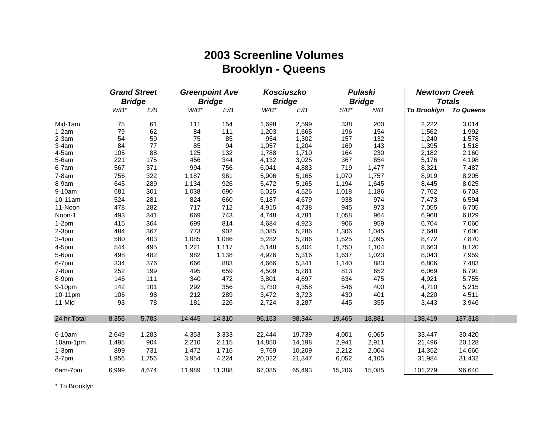# **2003 Screenline Volumes Brooklyn - Queens**

|             | <b>Grand Street</b> |               | <b>Greenpoint Ave</b> |               |         | Kosciuszko    |         | <b>Pulaski</b> |                       | <b>Newtown Creek</b> |  |  |
|-------------|---------------------|---------------|-----------------------|---------------|---------|---------------|---------|----------------|-----------------------|----------------------|--|--|
|             |                     | <b>Bridge</b> |                       | <b>Bridge</b> |         | <b>Bridge</b> |         | <b>Bridge</b>  |                       | <b>Totals</b>        |  |  |
|             | $W/B^*$             | E/B           | $W/B^*$               | E/B           | $W/B^*$ | E/B           | $S/B^*$ | N/B            | To Brooklyn To Queens |                      |  |  |
| Mid-1am     | 75                  | 61            | 111                   | 154           | 1,698   | 2,599         | 338     | 200            | 2,222                 | 3,014                |  |  |
| $1-2am$     | 79                  | 62            | 84                    | 111           | 1,203   | 1,665         | 196     | 154            | 1,562                 | 1,992                |  |  |
| $2-3am$     | 54                  | 59            | 75                    | 85            | 954     | 1,302         | 157     | 132            | 1,240                 | 1,578                |  |  |
| $3-4am$     | 84                  | 77            | 85                    | 94            | 1,057   | 1,204         | 169     | 143            | 1,395                 | 1,518                |  |  |
| $4-5am$     | 105                 | 88            | 125                   | 132           | 1,788   | 1,710         | 164     | 230            | 2,182                 | 2,160                |  |  |
| $5-6am$     | 221                 | 175           | 456                   | 344           | 4,132   | 3,025         | 367     | 654            | 5,176                 | 4,198                |  |  |
| 6-7am       | 567                 | 371           | 994                   | 756           | 6,041   | 4,883         | 719     | 1,477          | 8,321                 | 7,487                |  |  |
| $7-8am$     | 756                 | 322           | 1,187                 | 961           | 5,906   | 5,165         | 1,070   | 1,757          | 8,919                 | 8,205                |  |  |
| 8-9am       | 645                 | 289           | 1,134                 | 926           | 5,472   | 5,165         | 1,194   | 1,645          | 8,445                 | 8,025                |  |  |
| 9-10am      | 681                 | 301           | 1,038                 | 690           | 5,025   | 4,526         | 1,018   | 1,186          | 7,762                 | 6,703                |  |  |
| 10-11am     | 524                 | 281           | 824                   | 660           | 5,187   | 4,679         | 938     | 974            | 7,473                 | 6,594                |  |  |
| 11-Noon     | 478                 | 282           | 717                   | 712           | 4,915   | 4,738         | 945     | 973            | 7,055                 | 6,705                |  |  |
| Noon-1      | 493                 | 341           | 669                   | 743           | 4,748   | 4,781         | 1,058   | 964            | 6,968                 | 6,829                |  |  |
| $1-2pm$     | 415                 | 364           | 699                   | 814           | 4,684   | 4,923         | 906     | 959            | 6,704                 | 7,060                |  |  |
| $2-3pm$     | 484                 | 367           | 773                   | 902           | 5,085   | 5,286         | 1,306   | 1,045          | 7,648                 | 7,600                |  |  |
| $3-4pm$     | 580                 | 403           | 1,085                 | 1,086         | 5,282   | 5,286         | 1,525   | 1,095          | 8,472                 | 7,870                |  |  |
| 4-5pm       | 544                 | 495           | 1,221                 | 1,117         | 5,148   | 5,404         | 1,750   | 1,104          | 8,663                 | 8,120                |  |  |
| 5-6pm       | 498                 | 482           | 982                   | 1,138         | 4,926   | 5,316         | 1,637   | 1,023          | 8,043                 | 7,959                |  |  |
| 6-7pm       | 334                 | 376           | 666                   | 883           | 4,666   | 5,341         | 1,140   | 883            | 6,806                 | 7,483                |  |  |
| $7-8pm$     | 252                 | 199           | 495                   | 659           | 4,509   | 5,281         | 813     | 652            | 6,069                 | 6,791                |  |  |
| 8-9pm       | 146                 | 111           | 340                   | 472           | 3,801   | 4,697         | 634     | 475            | 4,921                 | 5,755                |  |  |
| 9-10pm      | 142                 | 101           | 292                   | 356           | 3,730   | 4,358         | 546     | 400            | 4,710                 | 5,215                |  |  |
| 10-11pm     | 106                 | 98            | 212                   | 289           | 3,472   | 3,723         | 430     | 401            | 4,220                 | 4,511                |  |  |
| 11-Mid      | 93                  | 78            | 181                   | 226           | 2,724   | 3,287         | 445     | 355            | 3,443                 | 3,946                |  |  |
| 24 hr Total | 8,356               | 5,783         | 14,445                | 14,310        | 96,153  | 98,344        | 19,465  | 18,881         | 138,419               | 137,318              |  |  |
| 6-10am      | 2,649               | 1,283         | 4,353                 | 3,333         | 22,444  | 19,739        | 4,001   | 6,065          | 33,447                | 30,420               |  |  |
| 10am-1pm    | 1,495               | 904           | 2,210                 | 2,115         | 14,850  | 14,198        | 2,941   | 2,911          | 21,496                | 20,128               |  |  |
| $1-3pm$     | 899                 | 731           | 1,472                 | 1,716         | 9,769   | 10,209        | 2,212   | 2,004          | 14,352                | 14,660               |  |  |
| $3-7$ pm    | 1,956               | 1,756         | 3,954                 | 4,224         | 20,022  | 21,347        | 6,052   | 4,105          | 31,984                | 31,432               |  |  |
| 6am-7pm     | 6,999               | 4,674         | 11,989                | 11,388        | 67,085  | 65,493        | 15,206  | 15,085         | 101,279               | 96,640               |  |  |

\* To Brooklyn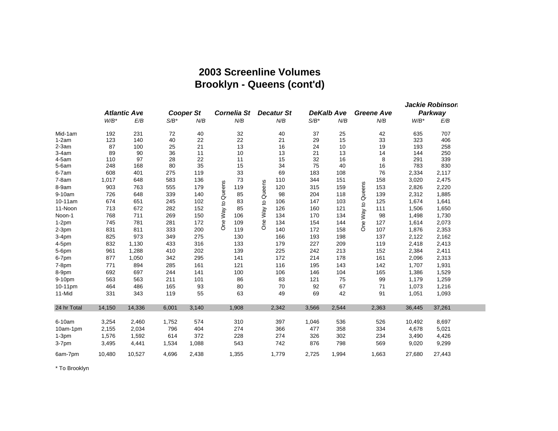# **2003 Screenline Volumes Brooklyn - Queens (cont'd)**

|             |         |        | <b>Cooper St</b><br><b>Atlantic Ave</b> |       | Cornelia St              |                          | DeKalb Ave | <b>Greene Ave</b> | Jackie Robinson<br>Parkway |         |        |
|-------------|---------|--------|-----------------------------------------|-------|--------------------------|--------------------------|------------|-------------------|----------------------------|---------|--------|
|             | $W/B^*$ | E/B    | $S/B^*$                                 | N/B   | N/B                      | <b>Decatur St</b><br>N/B | $S/B^*$    | N/B               | N/B                        | $W/B^*$ | E/B    |
| Mid-1am     | 192     | 231    | 72                                      | 40    | 32                       | 40                       | 37         | 25                | 42                         | 635     | 707    |
| $1-2am$     | 123     | 140    | 40                                      | 22    | 22                       | 21                       | 29         | 15                | 33                         | 323     | 406    |
| $2-3am$     | 87      | 100    | 25                                      | 21    | 13                       | 16                       | 24         | 10                | 19                         | 193     | 258    |
| $3-4am$     | 89      | 90     | 36                                      | 11    | 10                       | 13                       | 21         | 13                | 14                         | 144     | 250    |
| $4-5am$     | 110     | 97     | 28                                      | 22    | 11                       | 15                       | 32         | 16                | 8                          | 291     | 339    |
| $5-6am$     | 248     | 168    | 80                                      | 35    | 15                       | 34                       | 75         | 40                | 16                         | 783     | 830    |
| $6-7am$     | 608     | 401    | 275                                     | 119   | 33                       | 69                       | 183        | 108               | 76                         | 2,334   | 2,117  |
| $7-8am$     | 1,017   | 648    | 583                                     | 136   | 73                       | 110                      | 344        | 151               | 158                        | 3,020   | 2,475  |
| 8-9am       | 903     | 763    | 555                                     | 179   | One Way to Queens<br>119 | One Way to Queens<br>120 | 315        | 159               | One Way to Queens<br>153   | 2,826   | 2,220  |
| 9-10am      | 726     | 648    | 339                                     | 140   | 85                       | 98                       | 204        | 118               | 139                        | 2,312   | 1,885  |
| 10-11am     | 674     | 651    | 245                                     | 102   | 83                       | 106                      | 147        | 103               | 125                        | 1,674   | 1,641  |
| 11-Noon     | 713     | 672    | 282                                     | 152   | 85                       | 126                      | 160        | 121               | 111                        | 1,506   | 1,650  |
| Noon-1      | 768     | 711    | 269                                     | 150   | 106                      | 134                      | 170        | 134               | 98                         | 1,498   | 1,730  |
| $1-2pm$     | 745     | 781    | 281                                     | 172   | 109                      | 134                      | 154        | 144               | 127                        | 1,614   | 2,073  |
| $2-3pm$     | 831     | 811    | 333                                     | 200   | 119                      | 140                      | 172        | 158               | 107                        | 1,876   | 2,353  |
| $3-4pm$     | 825     | 973    | 349                                     | 275   | 130                      | 166                      | 193        | 198               | 137                        | 2,122   | 2,162  |
| 4-5pm       | 832     | 1,130  | 433                                     | 316   | 133                      | 179                      | 227        | 209               | 119                        | 2,418   | 2,413  |
| 5-6pm       | 961     | 1,288  | 410                                     | 202   | 139                      | 225                      | 242        | 213               | 152                        | 2,384   | 2,411  |
| 6-7pm       | 877     | 1,050  | 342                                     | 295   | 141                      | 172                      | 214        | 178               | 161                        | 2,096   | 2,313  |
| $7-8pm$     | 771     | 894    | 285                                     | 161   | 121                      | 116                      | 195        | 143               | 142                        | 1,707   | 1,931  |
| 8-9pm       | 692     | 697    | 244                                     | 141   | 100                      | 106                      | 146        | 104               | 165                        | 1,386   | 1,529  |
| 9-10pm      | 563     | 563    | 211                                     | 101   | 86                       | 83                       | 121        | 75                | 99                         | 1,179   | 1,259  |
| 10-11pm     | 464     | 486    | 165                                     | 93    | 80                       | 70                       | 92         | 67                | 71                         | 1,073   | 1,216  |
| 11-Mid      | 331     | 343    | 119                                     | 55    | 63                       | 49                       | 69         | 42                | 91                         | 1,051   | 1,093  |
| 24 hr Total | 14,150  | 14,336 | 6,001                                   | 3,140 | 1,908                    | 2,342                    | 3,566      | 2,544             | 2,363                      | 36,445  | 37,261 |
| 6-10am      | 3,254   | 2,460  | 1,752                                   | 574   | 310                      | 397                      | 1,046      | 536               | 526                        | 10,492  | 8,697  |
| 10am-1pm    | 2,155   | 2,034  | 796                                     | 404   | 274                      | 366                      | 477        | 358               | 334                        | 4,678   | 5,021  |
| $1-3pm$     | 1,576   | 1,592  | 614                                     | 372   | 228                      | 274                      | 326        | 302               | 234                        | 3,490   | 4,426  |
| $3-7$ pm    | 3,495   | 4,441  | 1,534                                   | 1,088 | 543                      | 742                      | 876        | 798               | 569                        | 9,020   | 9,299  |
| 6am-7pm     | 10,480  | 10,527 | 4,696                                   | 2,438 | 1,355                    | 1,779                    | 2,725      | 1,994             | 1,663                      | 27,680  | 27,443 |

\* To Brooklyn